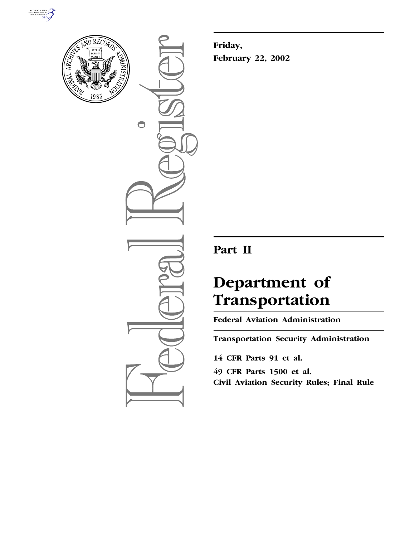



 $\bigcirc$ 

**Friday, February 22, 2002**

## **Part II**

# **Department of Transportation**

**Federal Aviation Administration**

**Transportation Security Administration**

**14 CFR Parts 91 et al.**

**49 CFR Parts 1500 et al.**

**Civil Aviation Security Rules; Final Rule**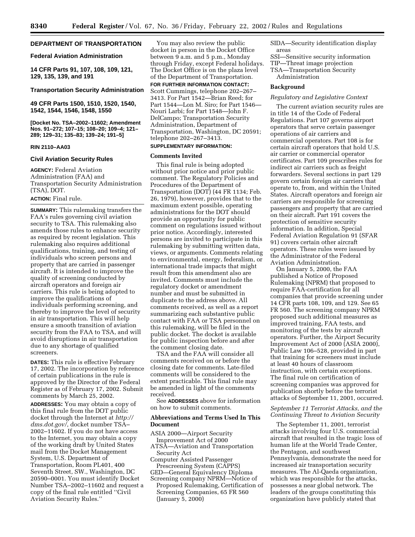## **DEPARTMENT OF TRANSPORTATION**

#### **Federal Aviation Administration**

**14 CFR Parts 91, 107, 108, 109, 121, 129, 135, 139, and 191**

## **Transportation Security Administration**

**49 CFR Parts 1500, 1510, 1520, 1540, 1542, 1544, 1546, 1548, 1550**

**[Docket No. TSA–2002–11602; Amendment Nos. 91–272; 107–15; 108–20; 109–4; 121– 289; 129–31; 135–83; 139–24; 191–5]**

## **RIN 2110–AA03**

#### **Civil Aviation Security Rules**

**AGENCY:** Federal Aviation Administration (FAA) and Transportation Security Administration (TSA), DOT.

## **ACTION:** Final rule.

**SUMMARY:** This rulemaking transfers the FAA's rules governing civil aviation security to TSA. This rulemaking also amends those rules to enhance security as required by recent legislation. This rulemaking also requires additional qualifications, training, and testing of individuals who screen persons and property that are carried in passenger aircraft. It is intended to improve the quality of screening conducted by aircraft operators and foreign air carriers. This rule is being adopted to improve the qualifications of individuals performing screening, and thereby to improve the level of security in air transportation. This will help ensure a smooth transition of aviation security from the FAA to TSA, and will avoid disruptions in air transportation due to any shortage of qualified screeners.

**DATES:** This rule is effective February 17, 2002. The incorporation by reference of certain publications in the rule is approved by the Director of the Federal Register as of February 17, 2002. Submit comments by March 25, 2002.

**ADDRESSES:** You may obtain a copy of this final rule from the DOT public docket through the Internet at *http:// dms.dot.gov/*, docket number TSA– 2002–11602. If you do not have access to the Internet, you may obtain a copy of the working draft by United States mail from the Docket Management System, U.S. Department of Transportation, Room PL401, 400 Seventh Street, SW., Washington, DC 20590–0001. You must identify Docket Number TSA–2002–11602 and request a copy of the final rule entitled ''Civil Aviation Security Rules.''

You may also review the public docket in person in the Docket Office between 9 a.m. and 5 p.m., Monday through Friday, except Federal holidays. The Docket Office is on the plaza level of the Department of Transportation.

**FOR FURTHER INFORMATION CONTACT:** Scott Cummings, telephone 202–267– 3413. For Part 1542—Brian Reed; for Part 1544—Lon M. Siro; for Part 1546— Nouri Larbi; for Part 1548—John F. DelCampo; Transportation Security Administration, Department of Transportation, Washington, DC 20591; telephone 202–267–3413. **SUPPLEMENTARY INFORMATION:**

## **Comments Invited**

This final rule is being adopted without prior notice and prior public comment. The Regulatory Policies and Procedures of the Department of Transportation (DOT) (44 FR 1134; Feb. 26, 1979), however, provides that to the maximum extent possible, operating administrations for the DOT should provide an opportunity for public comment on regulations issued without prior notice. Accordingly, interested persons are invited to participate in this rulemaking by submitting written data, views, or arguments. Comments relating to environmental, energy, federalism, or international trade impacts that might result from this amendment also are invited. Comments must include the regulatory docket or amendment number and must be submitted in duplicate to the address above. All comments received, as well as a report summarizing each substantive public contact with FAA or TSA personnel on this rulemaking, will be filed in the public docket. The docket is available for public inspection before and after the comment closing date.

TSA and the FAA will consider all comments received on or before the closing date for comments. Late-filed comments will be considered to the extent practicable. This final rule may be amended in light of the comments received.

See **ADDRESSES** above for information on how to submit comments.

## **Abbreviations and Terms Used In This Document**

- ASIA 2000—Airport Security
- Improvement Act of 2000 ATSA—Aviation and Transportation Security Act
- Computer Assisted Passenger Prescreening System (CAPPS)
- GED—General Equivalency Diploma
- Screening company NPRM—Notice of Proposed Rulemaking, Certification of Screening Companies, 65 FR 560 (January 5, 2000)
- SIDA—Security identification display areas
- SSI—Sensitive security information
- TIP—Threat image projection

TSA—Transportation Security

## Administration

## **Background**

## *Regulatory and Legislative Context*

The current aviation security rules are in title 14 of the Code of Federal Regulations. Part 107 governs airport operators that serve certain passenger operations of air carriers and commercial operators. Part 108 is for certain aircraft operators that hold U.S. air carrier or commercial operator certificates. Part 109 prescribes rules for indirect air carriers such as freight forwarders. Several sections in part 129 govern certain foreign air carriers that operate to, from, and within the United States. Aircraft operators and foreign air carriers are responsible for screening passengers and property that are carried on their aircraft. Part 191 covers the protection of sensitive security information. In addition, Special Federal Aviation Regulation 91 (SFAR 91) covers certain other aircraft operators. These rules were issued by the Administrator of the Federal Aviation Administration.

On January 5, 2000, the FAA published a Notice of Proposed Rulemaking (NPRM) that proposed to require FAA-certification for all companies that provide screening under 14 CFR parts 108, 109, and 129. See 65 FR 560. The screening company NPRM proposed such additional measures as improved training, FAA tests, and monitoring of the tests by aircraft operators. Further, the Airport Security Improvement Act of 2000 (ASIA 2000), Public Law 106–528, provided in part that training for screeners must include at least 40 hours of classroom instruction, with certain exceptions. The final rule on certification of screening companies was approved for publication shortly before the terrorist attacks of September 11, 2001, occurred.

## *September 11 Terrorist Attacks, and the Continuing Threat to Aviation Security*

The September 11, 2001, terrorist attacks involving four U.S. commercial aircraft that resulted in the tragic loss of human life at the World Trade Center, the Pentagon, and southwest Pennsylvania, demonstrate the need for increased air transportation security measures. The Al-Qaeda organization, which was responsible for the attacks, possesses a near global network. The leaders of the groups constituting this organization have publicly stated that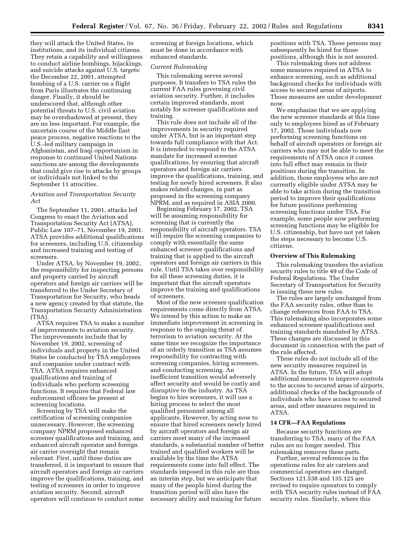they will attack the United States, its institutions, and its individual citizens. They retain a capability and willingness to conduct airline bombings, hijackings, and suicide attacks against U.S. targets: the December 22, 2001, attempted bombing of a U.S. carrier on a flight from Paris illustrates the continuing danger. Finally, it should be underscored that, although other potential threats to U.S. civil aviation may be overshadowed at present, they are no less important. For example, the uncertain course of the Middle East peace process, negative reactions to the U.S.-led military campaign in Afghanistan, and Iraqi opportunism in response to continued United Nations sanctions are among the developments that could give rise to attacks by groups or individuals not linked to the September 11 atrocities.

## *Aviation and Transportation Security Act*

The September 11, 2001, attacks led Congress to enact the Aviation and Transportation Security Act (ATSA), Public Law 107–71, November 19, 2001. ATSA provides additional qualifications for screeners, including U.S. citizenship and increased training and testing of screeners.

Under ATSA, by November 19, 2002, the responsibility for inspecting persons and property carried by aircraft operators and foreign air carriers will be transferred to the Under Secretary of Transportation for Security, who heads a new agency created by that statute, the Transportation Security Administration (TSA).

ATSA requires TSA to make a number of improvements to aviation security. The improvements include that by November 19, 2002, screening of individuals and property in the United States be conducted by TSA employees and companies under contract with TSA. ATSA requires enhanced qualifications and training of individuals who perform screening functions. It requires that Federal law enforcement officers be present at screening locations.

Screening by TSA will make the certification of screening companies unnecessary. However, the screening company NPRM proposed enhanced screener qualifications and training, and enhanced aircraft operator and foreign air carrier oversight that remain relevant. First, until these duties are transferred, it is important to ensure that aircraft operators and foreign air carriers improve the qualifications, training, and testing of screeners in order to improve aviation security. Second, aircraft operators will continue to conduct some

screening at foreign locations, which must be done in accordance with enhanced standards.

## *Current Rulemaking*

This rulemaking serves several purposes. It transfers to TSA rules the current FAA rules governing civil aviation security. Further, it includes certain improved standards, most notably for screener qualifications and training.

This rule does not include all of the improvements in security required under ATSA, but is an important step towards full compliance with that Act. It is intended to respond to the ATSA mandate for increased screener qualifications, by ensuring that aircraft operators and foreign air carriers improve the qualifications, training, and testing for newly hired screeners. It also makes related changes, in part as proposed in the screening company NPRM, and as required in ASIA 2000.

Beginning February 17, 2002, TSA will be assuming responsibility for screening that is currently the responsibility of aircraft operators. TSA will require the screening companies to comply with essentially the same enhanced screener qualifications and training that is applied to the aircraft operators and foreign air carriers in this rule. Until TSA takes over responsibility for all these screening duties, it is important that the aircraft operators improve the training and qualifications of screeners.

Most of the new screener qualification requirements come directly from ATSA. We intend by this action to make an immediate improvement in screening in response to the ongoing threat of terrorism to aviation security. At the same time we recognize the importance of an orderly transition as TSA assumes responsibility for contracting with screening companies, hiring screeners, and conducting screening. An inefficient transition would adversely affect security and would be costly and disruptive to the industry. As TSA begins to hire screeners, it will use a hiring process to select the most qualified personnel among all applicants. However, by acting now to ensure that hired screeners newly hired by aircraft operators and foreign air carriers meet many of the increased standards, a substantial number of better trained and qualified workers will be available by the time the ATSA requirements come into full effect. The standards imposed in this rule are thus an interim step, but we anticipate that many of the people hired during the transition period will also have the necessary ability and training for future

positions with TSA. These persons may subsequently be hired for those positions, although this is not assured.

This rulemaking does not address some measures required in ATSA to enhance screening, such as additional background checks for individuals with access to secured areas of airports. Those measures are under development now.

We emphasize that we are applying the new screener standards at this time only to employees hired as of February 17, 2002. Those individuals now performing screening functions on behalf of aircraft operators or foreign air carriers who may not be able to meet the requirements of ATSA once it comes into full effect may remain in their positions during the transition. In addition, those employees who are not currently eligible under ATSA may be able to take action during the transition period to improve their qualifications for future positions performing screening functions under TSA. For example, some people now performing screening functions may be eligible for U.S. citizenship, but have not yet taken the steps necessary to become U.S. citizens.

## **Overview of This Rulemaking**

This rulemaking transfers the aviation security rules to title 49 of the Code of Federal Regulations. The Under Secretary of Transportation for Security is issuing these new rules.

The rules are largely unchanged from the FAA security rules, other than to change references from FAA to TSA. This rulemaking also incorporates some enhanced screener qualifications and training standards mandated by ATSA. These changes are discussed in this document in connection with the part of the rule affected.

These rules do not include all of the new security measures required in ATSA. In the future, TSA will adopt additional measures to improve controls to the access to secured areas of airports, additional checks of the backgrounds of individuals who have access to secured areas, and other measures required in ATSA.

## **14 CFR—FAA Regulations**

Because security functions are transferring to TSA, many of the FAA rules are no longer needed. This rulemaking removes these parts.

Further, several references in the operations rules for air carriers and commercial operators are changed. Sections 121.538 and 135.125 are revised to require operators to comply with TSA security rules instead of FAA security rules. Similarly, where this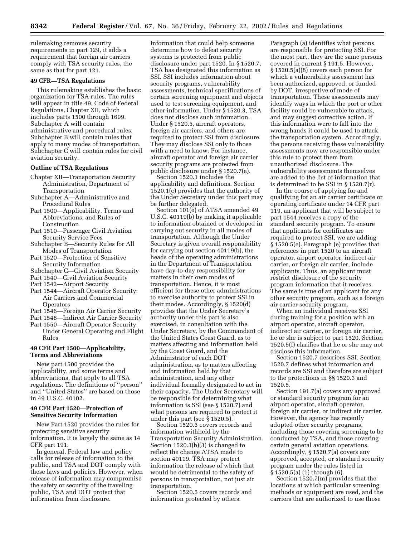rulemaking removes security requirements in part 129, it adds a requirement that foreign air carriers comply with TSA security rules, the same as that for part 121.

## **49 CFR—TSA Regulations**

This rulemaking establishes the basic organization for TSA rules. The rules will appear in title 49, Code of Federal Regulations, Chapter XII, which includes parts 1500 through 1699. Subchapter A will contain administrative and procedural rules. Subchapter B will contain rules that apply to many modes of transportation. Subchapter C will contain rules for civil aviation security.

## **Outline of TSA Regulations**

- Chapter XII—Transportation Security Administration, Department of Transportation
- Subchapter A—Administrative and Procedural Rules
- Part 1500—Applicability, Terms and Abbreviations, and Rules of Construction
- Part 1510—Passenger Civil Aviation Security Service Fees
- Subchapter B—Security Rules for All Modes of Transportation
- Part 1520—Protection of Sensitive Security Information
- Subchapter C—Civil Aviation Security
- Part 1540—Civil Aviation Security
- Part 1542—Airport Security
- Part 1544—Aircraft Operator Security: Air Carriers and Commercial **Operators**
- Part 1546—Foreign Air Carrier Security
- Part 1548—Indirect Air Carrier Security
- Part 1550—Aircraft Operator Security Under General Operating and Flight Rules

## **49 CFR Part 1500—Applicability, Terms and Abbreviations**

New part 1500 provides the applicability, and some terms and abbreviations, that apply to all TSA regulations. The definitions of ''person'' and ''United States'' are based on those in 49 U.S.C. 40102.

## **49 CFR Part 1520—Protection of Sensitive Security Information**

New Part 1520 provides the rules for protecting sensitive security information. It is largely the same as 14 CFR part 191.

In general, Federal law and policy calls for release of information to the public, and TSA and DOT comply with these laws and policies. However, when release of information may compromise the safety or security of the traveling public, TSA and DOT protect that information from disclosure.

Information that could help someone determine how to defeat security systems is protected from public disclosure under part 1520. In § 1520.7, TSA has designated this information as SSI. SSI includes information about security programs, vulnerability assessments, technical specifications of certain screening equipment and objects used to test screening equipment, and other information. Under § 1520.3, TSA does not disclose such information. Under § 1520.5, aircraft operators, foreign air carriers, and others are required to protect SSI from disclosure. They may disclose SSI only to those with a need to know. For instance, aircraft operator and foreign air carrier security programs are protected from public disclosure under § 1520.7(a).

Section 1520.1 includes the applicability and definitions. Section 1520.1(c) provides that the authority of the Under Secretary under this part may be further delegated.

Section 101(e) of ATSA amended 49 U.S.C. 40119(b) by making it applicable to information obtained or developed in carrying out security in all modes of transportation. Although the Under Secretary is given overall responsibility for carrying out section 40119(b), the heads of the operating administrations in the Department of Transportation have day-to-day responsibility for matters in their own modes of transportation. Hence, it is most efficient for these other administrations to exercise authority to protect SSI in their modes. Accordingly, § 1520(d) provides that the Under Secretary's authority under this part is also exercised, in consultation with the Under Secretary, by the Commandant of the United States Coast Guard, as to matters affecting and information held by the Coast Guard, and the Administrator of each DOT administration, as to matters affecting and information held by that administration, and any other individual formally designated to act in their capacity. The Under Secretary will be responsible for determining what information is SSI (see § 1520.7) and what persons are required to protect it under this part (see § 1520.5).

Section 1520.3 covers records and information withheld by the Transportation Security Administration. Section 1520.3(b)(3) is changed to reflect the change ATSA made to section 40119. TSA may protect information the release of which that would be detrimental to the safety of persons in transportation, not just air transportation.

Section 1520.5 covers records and information protected by others.

Paragraph (a) identifies what persons are responsible for protecting SSI. For the most part, they are the same persons covered in current § 191.5. However, § 1520.5(a)(8) covers each person for which a vulnerability assessment has been authorized, approved, or funded by DOT, irrespective of mode of transportation. These assessments may identify ways in which the port or other facility could be vulnerable to attack, and may suggest corrective action. If this information were to fall into the wrong hands it could be used to attack the transportation system. Accordingly, the persons receiving these vulnerability assessments now are responsible under this rule to protect them from unauthorized disclosure. The vulnerability assessments themselves are added to the list of information that is determined to be SSI in § 1520.7(r).

In the course of applying for and qualifying for an air carrier certificate or operating certificate under 14 CFR part 119, an applicant that will be subject to part 1544 receives a copy of the standard security program. To ensure that applicants for certificates are required to protect SSI, we are adding § 1520.5(e). Paragraph (e) provides that references in part 1520 to an aircraft operator, airport operator, indirect air carrier, or foreign air carrier, include applicants. Thus, an applicant must restrict disclosure of the security program information that it receives. The same is true of an applicant for any other security program, such as a foreign air carrier security program.

When an individual receives SSI during training for a position with an airport operator, aircraft operator, indirect air carrier, or foreign air carrier, he or she is subject to part 1520. Section 1520.5(f) clarifies that he or she may not disclose this information.

Section 1520.7 describes SSI. Section 1520.7 defines what information and records are SSI and therefore are subject to the protections in §§ 1520.3 and 1520.5.

Section 191.7(a) covers any approved or standard security program for an airport operator, aircraft operator, foreign air carrier, or indirect air carrier. However, the agency has recently adopted other security programs, including those covering screening to be conducted by TSA, and those covering certain general aviation operations. Accordingly, § 1520.7(a) covers any approved, accepted, or standard security program under the rules listed in § 1520.5(a) (1) through (6).

Section 1520.7(m) provides that the locations at which particular screening methods or equipment are used, and the carriers that are authorized to use those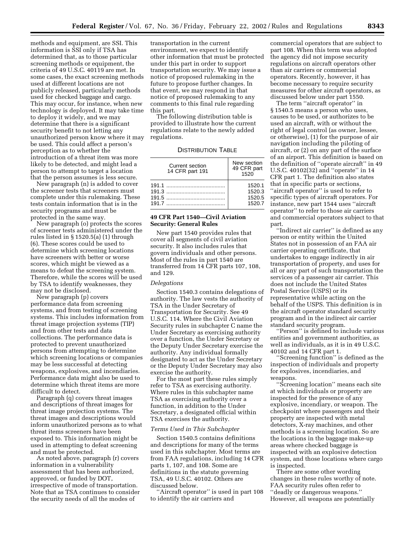methods and equipment, are SSI. This information is SSI only if TSA has determined that, as to those particular screening methods or equipment, the criteria of 49 U.S.C. 40119 are met. In some cases, the exact screening methods used at different locations are not publicly released, particularly methods used for checked baggage and cargo. This may occur, for instance, when new technology is deployed. It may take time to deploy it widely, and we may determine that there is a significant security benefit to not letting any unauthorized person know where it may be used. This could affect a person's perception as to whether the introduction of a threat item was more likely to be detected, and might lead a person to attempt to target a location that the person assumes is less secure.

New paragraph (n) is added to cover the screener tests that screeners must complete under this rulemaking. These tests contain information that is in the security programs and must be protected in the same way.

New paragraph (o) protects the scores of screener tests administered under the rules listed in § 1520.5(a) (1) through (6). These scores could be used to determine which screening locations have screeners with better or worse scores, which might be viewed as a means to defeat the screening system. Therefore, while the scores will be used by TSA to identify weaknesses, they may not be disclosed.

New paragraph (p) covers performance data from screening systems, and from testing of screening systems. This includes information from threat image projection systems (TIP) and from other tests and data collections. The performance data is protected to prevent unauthorized persons from attempting to determine which screening locations or companies may be less successful at detecting weapons, explosives, and incendiaries. Performance data might also be used to determine which threat items are more difficult to detect.

Paragraph (q) covers threat images and descriptions of threat images for threat image projection systems. The threat images and descriptions would inform unauthorized persons as to what threat items screeners have been exposed to. This information might be used in attempting to defeat screening and must be protected.

As noted above, paragraph (r) covers information in a vulnerability assessment that has been authorized, approved, or funded by DOT, irrespective of mode of transportation. Note that as TSA continues to consider the security needs of all the modes of

transportation in the current environment, we expect to identify other information that must be protected under this part in order to support transportation security. We may issue a notice of proposed rulemaking in the future to propose further changes. In that event, we may respond in that notice of proposed rulemaking to any comments to this final rule regarding this part.

The following distribution table is provided to illustrate how the current regulations relate to the newly added regulations.

## DISTRIBUTION TABLE

| Current section<br>14 CFR part 191 | New section<br>49 CFR part<br>1520 |
|------------------------------------|------------------------------------|
|                                    | 1520.1                             |
|                                    | 1520.3                             |
|                                    | 1520.5                             |
|                                    | 1520.7                             |

## **49 CFR Part 1540—Civil Aviation Security: General Rules**

New part 1540 provides rules that cover all segments of civil aviation security. It also includes rules that govern individuals and other persons. Most of the rules in part 1540 are transferred from 14 CFR parts 107, 108, and 129.

## *Delegations*

Section 1540.3 contains delegations of authority. The law vests the authority of TSA in the Under Secretary of Transportation for Security. See 49 U.S.C. 114. Where the Civil Aviation Security rules in subchapter C name the Under Secretary as exercising authority over a function, the Under Secretary or the Deputy Under Secretary exercise the authority. Any individual formally designated to act as the Under Secretary or the Deputy Under Secretary may also exercise the authority.

For the most part these rules simply refer to TSA as exercising authority. Where rules in this subchapter name TSA as exercising authority over a function, in addition to the Under Secretary, a designated official within TSA exercises the authority.

## *Terms Used in This Subchapter*

Section 1540.5 contains definitions and descriptions for many of the terms used in this subchapter. Most terms are from FAA regulations, including 14 CFR parts 1, 107, and 108. Some are definitions in the statute governing TSA, 49 U.S.C. 40102. Others are discussed below.

'Aircraft operator'' is used in part 108 to identify the air carriers and

commercial operators that are subject to part 108. When this term was adopted the agency did not impose security regulations on aircraft operators other than air carriers or commercial operators. Recently, however, it has become necessary to require security measures for other aircraft operators, as discussed below under part 1550.

The term ''aircraft operator'' in § 1540.5 means a person who uses, causes to be used, or authorizes to be used an aircraft, with or without the right of legal control (as owner, lessee, or otherwise), (1) for the purpose of air navigation including the piloting of aircraft, or (2) on any part of the surface of an airport. This definition is based on the definition of ''operate aircraft'' in 49 U.S.C. 40102(32) and ''operate'' in 14 CFR part 1. The definition also states that in specific parts or sections, ''aircraft operator'' is used to refer to specific types of aircraft operators. For instance, new part 1544 uses ''aircraft operator'' to refer to those air carriers and commercial operators subject to that part.

''Indirect air carrier'' is defined as any person or entity within the United States not in possession of an FAA air carrier operating certificate, that undertakes to engage indirectly in air transportation of property, and uses for all or any part of such transportation the services of a passenger air carrier. This does not include the United States Postal Service (USPS) or its representative while acting on the behalf of the USPS. This definition is in the aircraft operator standard security program and in the indirect air carrier standard security program.

''Person'' is defined to include various entities and government authorities, as well as individuals, as it is in 49 U.S.C. 40102 and 14 CFR part 1.

''Screening function'' is defined as the inspection of individuals and property for explosives, incendiaries, and weapons.

''Screening location'' means each site at which individuals or property are inspected for the presence of any explosive, incendiary, or weapon. The checkpoint where passengers and their property are inspected with metal detectors, X-ray machines, and other methods is a screening location. So are the locations in the baggage make-up areas where checked baggage is inspected with an explosive detection system, and those locations where cargo is inspected.

There are some other wording changes in these rules worthy of note. FAA security rules often refer to ''deadly or dangerous weapons.'' However, all weapons are potentially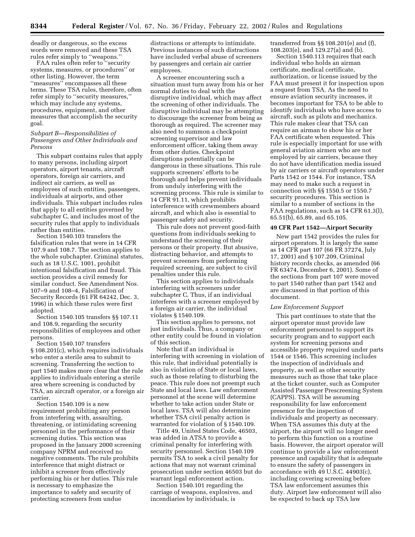deadly or dangerous, so the excess words were removed and these TSA rules refer simply to ''weapons.''

FAA rules often refer to ''security systems, measures, or procedures'' or other listing. However, the term ''measures'' encompasses all these terms. These TSA rules, therefore, often refer simply to ''security measures,'' which may include any systems, procedures, equipment, and other measures that accomplish the security goal.

## *Subpart B—Responsibilities of Passengers and Other Individuals and Persons*

This subpart contains rules that apply to many persons, including airport operators, airport tenants, aircraft operators, foreign air carriers, and indirect air carriers, as well as employees of such entities, passengers, individuals at airports, and other individuals. This subpart includes rules that apply to all entities governed by subchapter C, and includes most of the security rules that apply to individuals rather than entities.

Section 1540.103 transfers the falsification rules that were in 14 CFR 107.9 and 108.7. The section applies to the whole subchapter. Criminal statutes, such as 18 U.S.C. 1001, prohibit intentional falsification and fraud. This section provides a civil remedy for similar conduct. See Amendment Nos. 107–9 and 108–4, Falsification of Security Records (61 FR 64242, Dec. 3, 1996) in which these rules were first adopted.

Section 1540.105 transfers §§ 107.11 and 108.9, regarding the security responsibilities of employees and other persons.

Section 1540.107 transfers § 108.201(c), which requires individuals who enter a sterile area to submit to screening. Transferring the section to part 1540 makes more clear that the rule applies to individuals entering a sterile area where screening is conducted by TSA, an aircraft operator, or a foreign air carrier.

Section 1540.109 is a new requirement prohibiting any person from interfering with, assaulting, threatening, or intimidating screening personnel in the performance of their screening duties. This section was proposed in the January 2000 screening company NPRM and received no negative comments. The rule prohibits interference that might distract or inhibit a screener from effectively performing his or her duties. This rule is necessary to emphasize the importance to safety and security of protecting screeners from undue

distractions or attempts to intimidate. Previous instances of such distractions have included verbal abuse of screeners by passengers and certain air carrier employees.

A screener encountering such a situation must turn away from his or her normal duties to deal with the disruptive individual, which may affect the screening of other individuals. The disruptive individual may be attempting to discourage the screener from being as thorough as required. The screener may also need to summon a checkpoint screening supervisor and law enforcement officer, taking them away from other duties. Checkpoint disruptions potentially can be dangerous in these situations. This rule supports screeners' efforts to be thorough and helps prevent individuals from unduly interfering with the screening process. This rule is similar to 14 CFR 91.11, which prohibits interference with crewmembers aboard aircraft, and which also is essential to passenger safety and security.

This rule does not prevent good-faith questions from individuals seeking to understand the screening of their persons or their property. But abusive, distracting behavior, and attempts to prevent screeners from performing required screening, are subject to civil penalties under this rule.

This section applies to individuals interfering with screeners under subchapter C. Thus, if an individual interferes with a screener employed by a foreign air carrier, the individual violates § 1540.109.

This section applies to persons, not just individuals. Thus, a company or other entity could be found in violation of this section.

Note that if an individual is interfering with screening in violation of this rule, that individual potentially is also in violation of State or local laws, such as those relating to disturbing the peace. This rule does not preempt such State and local laws. Law enforcement personnel at the scene will determine whether to take action under State or local laws. TSA will also determine whether TSA civil penalty action is warranted for violation of § 1540.109.

Title 49, United States Code, 46503, was added in ATSA to provide a criminal penalty for interfering with security personnel. Section 1540.109 permits TSA to seek a civil penalty for actions that may not warrant criminal prosecution under section 46503 but do warrant legal enforcement action.

Section 1540.101 regarding the carriage of weapons, explosives, and incendiaries by individuals, is

transferred from §§ 108.201(e) and (f), 108.203(e), and 129.27(a) and (b).

Section 1540.113 requires that each individual who holds an airman certificate, medical certificate, authorization, or license issued by the FAA must present it for inspection upon a request from TSA. As the need to ensure aviation security increases, it becomes important for TSA to be able to identify individuals who have access to aircraft, such as pilots and mechanics. This rule makes clear that TSA can require an airman to show his or her FAA certificate when requested. This rule is especially important for use with general aviation airmen who are not employed by air carriers, because they do not have identification media issued by air carriers or aircraft operators under Parts 1542 or 1544. For instance, TSA may need to make such a request in connection with §§ 1550.5 or 1550.7 security procedures. This section is similar to a number of sections in the FAA regulations, such as 14 CFR 61.3(l), 65.51(b), 65.89, and 65.105.

## **49 CFR Part 1542—Airport Security**

New part 1542 provides the rules for airport operators. It is largely the same as 14 CFR part 107 (66 FR 37274, July 17, 2001) and § 107.209, Criminal history records checks, as amended (66 FR 63474, December 6, 2001). Some of the sections from part 107 were moved to part 1540 rather than part 1542 and are discussed in that portion of this document.

#### *Law Enforcement Support*

This part continues to state that the airport operator must provide law enforcement personnel to support its security program and to support each system for screening persons and accessible property required under parts 1544 or 1546. This screening includes the inspection of individuals and property, as well as other security measures such as those that take place at the ticket counter, such as Computer Assisted Passenger Prescreening System (CAPPS). TSA will be assuming responsibility for law enforcement presence for the inspection of individuals and property as necessary. When TSA assumes this duty at the airport, the airport will no longer need to perform this function on a routine basis. However, the airport operator will continue to provide a law enforcement presence and capability that is adequate to ensure the safety of passengers in accordance with 49 U.S.C. 44903(c), including covering screening before TSA law enforcement assumes this duty. Airport law enforcement will also be expected to back up TSA law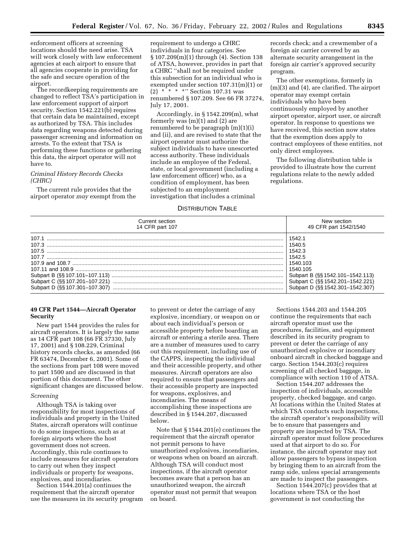enforcement officers at screening locations should the need arise. TSA will work closely with law enforcement agencies at each airport to ensure that all agencies cooperate in providing for the safe and secure operation of the airport.

The recordkeeping requirements are changed to reflect TSA's participation in law enforcement support of airport security. Section 1542.221(b) requires that certain data be maintained, except as authorized by TSA. This includes data regarding weapons detected during passenger screening and information on arrests. To the extent that TSA is performing these functions or gathering this data, the airport operator will not have to.

## *Criminal History Records Checks (CHRC)*

The current rule provides that the airport operator *may* exempt from the

requirement to undergo a CHRC individuals in four categories. See § 107.209(m)(1) through (4). Section 138 of ATSA, however, provides in part that a CHRC ''shall not be required under this subsection for an individual who is exempted under section 107.31(m)(1) or  $(2)$  \* \* \* \* " Section 107.31 was renumbered § 107.209. See 66 FR 37274, July 17, 2001.

Accordingly, in  $\S 1542.209(m)$ , what formerly was (m)(1) and (2) are renumbered to be paragraph (m)(1)(i) and (ii), and are revised to state that the airport operator must authorize the subject individuals to have unescorted access authority. These individuals include an employee of the Federal, state, or local government (including a law enforcement officer) who, as a condition of employment, has been subjected to an employment investigation that includes a criminal

## DISTRIBUTION TABLE

records check; and a crewmember of a foreign air carrier covered by an alternate security arrangement in the foreign air carrier's approved security program.

The other exemptions, formerly in (m)(3) and (4), are clarified. The airport operator may exempt certain individuals who have been continuously employed by another airport operator, airport user, or aircraft operator. In response to questions we have received, this section now states that the exemption does apply to contract employees of these entities, not only direct employees.

The following distribution table is provided to illustrate how the current regulations relate to the newly added regulations.

| Current section. | New section                                                                                                                                                                 |
|------------------|-----------------------------------------------------------------------------------------------------------------------------------------------------------------------------|
| 14 CFR part 107  | 49 CFR part 1542/1540                                                                                                                                                       |
| 1071<br>107.3    | 1542.1<br>1540.5<br>1542.3<br>1542.5<br>1540.103<br>1540.105<br>Subpart B (\$§ 1542.101–1542.113)<br>Subpart C (\$§ 1542.201–1542.221)<br>Subpart D (\$§ 1542.301-1542.307) |

## **49 CFR Part 1544—Aircraft Operator Security**

New part 1544 provides the rules for aircraft operators. It is largely the same as 14 CFR part 108 (66 FR 37330, July 17, 2001) and § 108.229, Criminal history records checks, as amended (66 FR 63474, December 6, 2001). Some of the sections from part 108 were moved to part 1500 and are discussed in that portion of this document. The other significant changes are discussed below.

#### *Screening*

Although TSA is taking over responsibility for most inspections of individuals and property in the United States, aircraft operators will continue to do some inspections, such as at foreign airports where the host government does not screen. Accordingly, this rule continues to include measures for aircraft operators to carry out when they inspect individuals or property for weapons, explosives, and incendiaries.

Section 1544.201(a) continues the requirement that the aircraft operator use the measures in its security program to prevent or deter the carriage of any explosive, incendiary, or weapon on or about each individual's person or accessible property before boarding an aircraft or entering a sterile area. There are a number of measures used to carry out this requirement, including use of the CAPPS, inspecting the individual and their accessible property, and other measures. Aircraft operators are also required to ensure that passengers and their accessible property are inspected for weapons, explosives, and incendiaries. The means of accomplishing these inspections are described in § 1544.207, discussed below.

Note that § 1544.201(e) continues the requirement that the aircraft operator not permit persons to have unauthorized explosives, incendiaries, or weapons when on board an aircraft. Although TSA will conduct most inspections, if the aircraft operator becomes aware that a person has an unauthorized weapon, the aircraft operator must not permit that weapon on board.

Sections 1544.203 and 1544.205 continue the requirements that each aircraft operator must use the procedures, facilities, and equipment described in its security program to prevent or deter the carriage of any unauthorized explosive or incendiary onboard aircraft in checked baggage and cargo. Section 1544.203(c) requires screening of all checked baggage, in compliance with section 110 of ATSA.

Section 1544.207 addresses the inspection of individuals, accessible property, checked baggage, and cargo. At locations within the United States at which TSA conducts such inspections, the aircraft operator's responsibility will be to ensure that passengers and property are inspected by TSA. The aircraft operator must follow procedures used at that airport to do so. For instance, the aircraft operator may not allow passengers to bypass inspection by bringing them to an aircraft from the ramp side, unless special arrangements are made to inspect the passengers.

Section 1544.207(c) provides that at locations where TSA or the host government is not conducting the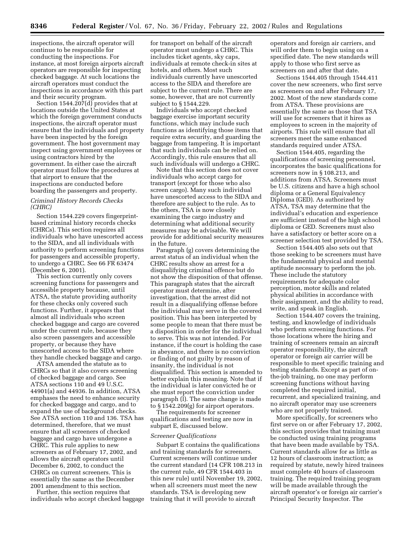**8346 Federal Register** / Vol. 67, No. 36 / Friday, February 22, 2002 / Rules and Regulations

inspections, the aircraft operator will continue to be responsible for conducting the inspections. For instance, at most foreign airports aircraft operators are responsible for inspecting checked baggage. At such locations the aircraft operators must conduct the inspections in accordance with this part and their security program.

Section  $1544.207(d)$  provides that at locations outside the United States at which the foreign government conducts inspections, the aircraft operator must ensure that the individuals and property have been inspected by the foreign government. The host government may inspect using government employees or using contractors hired by the government. In either case the aircraft operator must follow the procedures at that airport to ensure that the inspections are conducted before boarding the passengers and property.

## *Criminal History Records Checks (CHRC)*

Section 1544.229 covers fingerprintbased criminal history records checks (CHRCs). This section requires all individuals who have unescorted access to the SIDA, and all individuals with authority to perform screening functions for passengers and accessible property, to undergo a CHRC. See 66 FR 63474 (December 6, 2001).

This section currently only covers screening functions for passengers and accessible property because, until ATSA, the statute providing authority for these checks only covered such functions. Further, it appears that almost all individuals who screen checked baggage and cargo are covered under the current rule, because they also screen passengers and accessible property, or because they have unescorted access to the SIDA where they handle checked baggage and cargo.

ATSA amended the statute as to CHRCs so that it also covers screening of checked baggage and cargo. See ATSA sections 110 and 49 U.S.C. 44901(a) and 44936. In addition, ATSA emphases the need to enhance security for checked baggage and cargo, and to expand the use of background checks. See ATSA section 110 and 136. TSA has determined, therefore, that we must ensure that all screeners of checked baggage and cargo have undergone a CHRC. This rule applies to new screeners as of February 17, 2002, and allows the aircraft operators until December 6, 2002, to conduct the CHRCs on current screeners. This is essentially the same as the December 2001 amendment to this section.

Further, this section requires that individuals who accept checked baggage

for transport on behalf of the aircraft operator must undergo a CHRC. This includes ticket agents, sky caps, individuals at remote check-in sites at hotels, and others. Most such individuals currently have unescorted access to the SIDA and therefore are subject to the current rule. There are some, however, that are not currently subject to § 1544.229.

Individuals who accept checked baggage exercise important security functions, which may include such functions as identifying those items that require extra security, and guarding the baggage from tampering. It is important that such individuals can be relied on. Accordingly, this rule ensures that all such individuals will undergo a CHRC.

Note that this section does not cover individuals who accept cargo for transport (except for those who also screen cargo). Many such individual have unescorted access to the SIDA and therefore are subject to the rule. As to the others, TSA is now closely examining the cargo industry and determining what additional security measures may be advisable. We will provide for additional security measures in the future.

Paragraph (g) covers determining the arrest status of an individual when the CHRC results show an arrest for a disqualifying criminal offence but do not show the disposition of that offense. This paragraph states that the aircraft operator must determine, after investigation, that the arrest did not result in a disqualifying offense before the individual may serve in the covered position. This has been interpreted by some people to mean that there must be a disposition in order for the individual to serve. This was not intended. For instance, if the court is holding the case in abeyance, and there is no conviction or finding of not guilty by reason of insanity, the individual is not disqualified. This section is amended to better explain this meaning. Note that if the individual is later convicted he or she must report the conviction under paragraph (l). The same change is made to § 1542.209(g) for airport operators.

The requirements for screener qualifications and testing are now in subpart E, discussed below.

## *Screener Qualifications*

Subpart E contains the qualifications and training standards for screeners. Current screeners will continue under the current standard (14 CFR 108.213 in the current rule, 49 CFR 1544.403 in this new rule) until November 19, 2002, when all screeners must meet the new standards. TSA is developing new training that it will provide to aircraft

operators and foreign air carriers, and will order them to begin using on a specified date. The new standards will apply to those who first serve as screeners on and after that date.

Sections 1544.405 through 1544.411 cover the new screeners, who first serve as screeners on and after February 17, 2002. Most of the new standards come from ATSA. These provisions are essentially the same as those that TSA will use for screeners that it hires as employees to screen in the majority of airports. This rule will ensure that all screeners meet the same enhanced standards required under ATSA.

Section 1544.405, regarding the qualifications of screening personnel, incorporates the basic qualifications for screeners now in § 108.213, and additions from ATSA. Screeners must be U.S. citizens and have a high school diploma or a General Equivalency Diploma (GED). As authorized by ATSA, TSA may determine that the individual's education and experience are sufficient instead of the high school diploma or GED. Screeners must also have a satisfactory or better score on a screener selection test provided by TSA.

Section 1544.405 also sets out that those seeking to be screeners must have the fundamental physical and mental aptitude necessary to perform the job. These include the statutory requirements for adequate color perception, motor skills and related physical abilities in accordance with their assignment, and the ability to read, write, and speak in English.

Section 1544.407 covers the training, testing, and knowledge of individuals who perform screening functions. For those locations where the hiring and training of screeners remain an aircraft operator responsibility, the aircraft operator or foreign air carrier will be responsible to meet specific training and testing standards. Except as part of onthe-job training, no one may perform screening functions without having completed the required initial, recurrent, and specialized training, and no aircraft operator may use screeners who are not properly trained.

More specifically, for screeners who first serve on or after February 17, 2002, this section provides that training must be conducted using training programs that have been made available by TSA. Current standards allow for as little as 12 hours of classroom instruction; as required by statute, newly hired trainees must complete 40 hours of classroom training. The required training program will be made available through the aircraft operator's or foreign air carrier's Principal Security Inspector. The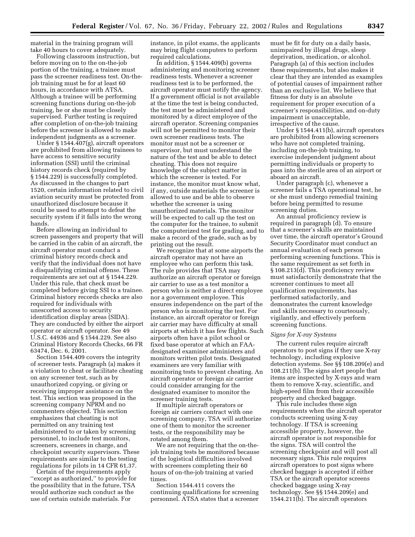material in the training program will take 40 hours to cover adequately.

Following classroom instruction, but before moving on to the on-the-job portion of the training, a trainee must pass the screener readiness test. On-thejob training must be for at least 60 hours, in accordance with ATSA. Although a trainee will be performing screening functions during on-the-job training, he or she must be closely supervised. Further testing is required after completion of on-the-job training before the screener is allowed to make independent judgments as a screener.

Under § 1544.407(g), aircraft operators are prohibited from allowing trainees to have access to sensitive security information (SSI) until the criminal history records check (required by § 1544.229) is successfully completed. As discussed in the changes to part 1520, certain information related to civil aviation security must be protected from unauthorized disclosure because it could be used to attempt to defeat the security system if it falls into the wrong hands.

Before allowing an individual to screen passengers and property that will be carried in the cabin of an aircraft, the aircraft operator must conduct a criminal history records check and verify that the individual does not have a disqualifying criminal offense. These requirements are set out at § 1544.229. Under this rule, that check must be completed before giving SSI to a trainee. Criminal history records checks are also required for individuals with unescorted access to security identification display areas (SIDA). They are conducted by either the airport operator or aircraft operator. See 49 U.S.C. 44936 and § 1544.229. See also Criminal History Records Checks, 66 FR 63474, Dec. 6, 2001.

Section 1544.409 covers the integrity of screener tests. Paragraph (a) makes it a violation to cheat or facilitate cheating on any screener test, such as by unauthorized copying, or giving or receiving improper assistance on the test. This section was proposed in the screening company NPRM and no commenters objected. This section emphasizes that cheating is not permitted on any training test administered to or taken by screening personnel, to include test monitors, screeners, screeners in charge, and checkpoint security supervisors. These requirements are similar to the testing regulations for pilots in 14 CFR 61.37.

Certain of the requirements apply ''except as authorized,'' to provide for the possibility that in the future, TSA would authorize such conduct as the use of certain outside materials. For

instance, in pilot exams, the applicants may bring flight computers to perform required calculations.

In addition, § 1544.409(b) governs administering and monitoring screener readiness tests. Whenever a screener readiness test is to be performed, the aircraft operator must notify the agency. If a government official is not available at the time the test is being conducted, the test must be administered and monitored by a direct employee of the aircraft operator. Screening companies will not be permitted to monitor their own screener readiness tests. The monitor must not be a screener or supervisor, but must understand the nature of the test and be able to detect cheating. This does not require knowledge of the subject matter in which the screener is tested. For instance, the monitor must know what, if any, outside materials the screener is allowed to use and be able to observe whether the screener is using unauthorized materials. The monitor will be expected to call up the test on the computer for the trainee, to submit the computerized test for grading, and to make a record of the grade, such as by printing out the result.

We recognize that at some airports the aircraft operator may not have an employee who can perform this task. The rule provides that TSA may authorize an aircraft operator or foreign air carrier to use as a test monitor a person who is neither a direct employee nor a government employee. This ensures independence on the part of the person who is monitoring the test. For instance, an aircraft operator or foreign air carrier may have difficulty at small airports at which it has few flights. Such airports often have a pilot school or fixed base operator at which an FAAdesignated examiner administers and monitors written pilot tests. Designated examiners are very familiar with monitoring tests to prevent cheating. An aircraft operator or foreign air carrier could consider arranging for the designated examiner to monitor the screener training tests.

If multiple aircraft operators or foreign air carriers contract with one screening company, TSA will authorize one of them to monitor the screener tests, or the responsibility may be rotated among them.

We are not requiring that the on-thejob training tests be monitored because of the logistical difficulties involved with screeners completing their 60 hours of on-the-job training at varied times.

Section 1544.411 covers the continuing qualifications for screening personnel. ATSA states that a screener

must be fit for duty on a daily basis, unimpaired by illegal drugs, sleep deprivation, medication, or alcohol. Paragraph (a) of this section includes these requirements, but also makes it clear that they are intended as examples of potential causes of impairment rather than an exclusive list. We believe that fitness for duty is an absolute requirement for proper execution of a screener's responsibilities, and on-duty impairment is unacceptable, irrespective of the cause.

Under § 1544.411(b), aircraft operators are prohibited from allowing screeners who have not completed training, including on-the-job training, to exercise independent judgment about permitting individuals or property to pass into the sterile area of an airport or aboard an aircraft.

Under paragraph (c), whenever a screener fails a TSA operational test, he or she must undergo remedial training before being permitted to resume screening duties.

An annual proficiency review is required in paragraph (d). To ensure that a screener's skills are maintained over time, the aircraft operator's Ground Security Coordinator must conduct an annual evaluation of each person performing screening functions. This is the same requirement as set forth in § 108.213(d). This proficiency review must satisfactorily demonstrate that the screener continues to meet all qualification requirements, has performed satisfactorily, and demonstrates the current knowledge and skills necessary to courteously, vigilantly, and effectively perform screening functions.

## *Signs for X-ray Systems*

The current rules require aircraft operators to post signs if they use X-ray technology, including explosive detection systems. See §§ 108.209(e) and 108.211(b). The signs alert people that items are inspected by X-rays and warn them to remove X-ray, scientific, and high-speed film from their accessible property and checked baggage.

This rule includes these sign requirements when the aircraft operator conducts screening using X-ray technology. If TSA is screening accessible property, however, the aircraft operator is not responsible for the signs. TSA will control the screening checkpoint and will post all necessary signs. This rule requires aircraft operators to post signs where checked baggage is accepted if either TSA or the aircraft operator screens checked baggage using X-ray technology. See §§ 1544.209(e) and 1544.211(b). The aircraft operators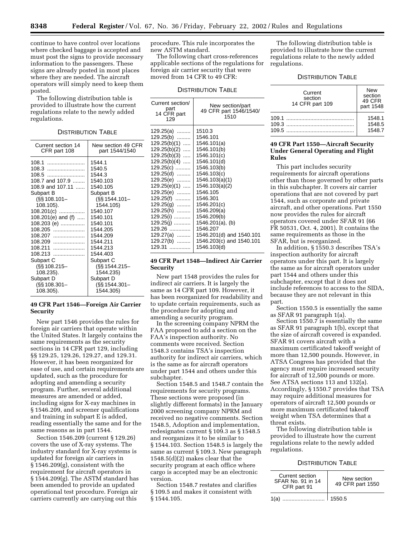continue to have control over locations where checked baggage is accepted and must post the signs to provide necessary information to the passengers. These signs are already posted in most places where they are needed. The aircraft operators will simply need to keep them

The following distribution table is provided to illustrate how the current regulations relate to the newly added regulations.

## DISTRIBUTION TABLE

| Current section 14                                                                                                                                                                                                                                                           | New section 49 CFR                                                                                                                                                                                                                                    |
|------------------------------------------------------------------------------------------------------------------------------------------------------------------------------------------------------------------------------------------------------------------------------|-------------------------------------------------------------------------------------------------------------------------------------------------------------------------------------------------------------------------------------------------------|
| CFR part 108                                                                                                                                                                                                                                                                 | part 1544/1540                                                                                                                                                                                                                                        |
| 108.1<br>108.5<br>108.7 and 107.9<br>108.9 and $107.11$<br>Subpart B<br>(§§ 108.101–<br>108.105).<br>$108.201(c)$<br>108.201(e) and (f)<br>108.203 (e)<br>108.205<br>$108.207$<br>$108.209$<br>$108.211$<br>$108.213$<br>Subpart C<br>(§§ 108.215–<br>108.235).<br>Subpart D | 1544.1<br>1540.5<br>1544.3<br>1540.103<br>1540.105<br>Subpart B<br>(§§ 1544.101–<br>1544.105)<br>1540.107<br>1540.101<br>1540.101<br>1544.205<br>1544.209<br>1544.211<br>1544.213<br>1544.403<br>Subpart C<br>(§§ 1544.215–<br>1544.235)<br>Subpart D |
| $(S\$ 108.301-                                                                                                                                                                                                                                                               | (§§ 1544.301–                                                                                                                                                                                                                                         |
| 108.305).                                                                                                                                                                                                                                                                    | 1544.305)                                                                                                                                                                                                                                             |

## **49 CFR Part 1546—Foreign Air Carrier Security**

New part 1546 provides the rules for foreign air carriers that operate within the United States. It largely contains the same requirements as the security sections in 14 CFR part 129, including §§ 129.25, 129.26, 129.27, and 129.31. However, it has been reorganized for ease of use, and certain requirements are updated, such as the procedure for adopting and amending a security program. Further, several additional measures are amended or added, including signs for X-ray machines in § 1546.209, and screener qualifications and training in subpart E is added, reading essentially the same and for the same reasons as in part 1544.

Section 1546.209 (current § 129.26) covers the use of X-ray systems. The industry standard for X-ray systems is updated for foreign air carriers in § 1546.209(g), consistent with the requirement for aircraft operators in § 1544.209(g). The ASTM standard has been amended to provide an updated operational test procedure. Foreign air carriers currently are carrying out this

procedure. This rule incorporates the new ASTM standard.

The following chart cross-references applicable sections of the regulations for foreign air carrier security that were moved from 14 CFR to 49 CFR:

## DISTRIBUTION TABLE

| Current section/<br>part<br>14 CFR part<br>129 | New section/part<br>49 CFR part 1546/1540/<br>1510 |
|------------------------------------------------|----------------------------------------------------|
| 129.25(a)                                      | 1510.3                                             |
| $129.25(b)$                                    | 1546.101                                           |
| $129.25(b)(1)$                                 | 1546.101(a)                                        |
| 129.25(b)(2)                                   | 1546.101(b)                                        |
| $129.25(b)(3)$                                 | 1546.101(c)                                        |
| $129.25(b)(4)$                                 | 1546.101(d)                                        |
| 129.25(c)                                      | 1546.103(b)                                        |
| 129.25(d)                                      | 1546.103(c)                                        |
| 129.25(e)                                      | 1546.103(a)(1)                                     |
| 129.25(e)(1)                                   | 1546.103(a)(2)                                     |
| 129.25(e)                                      | 1546.105                                           |
| 129.25(f)                                      | 1546.301                                           |
| 129.25(g)                                      | 1546.201(c)                                        |
| 129.25(h)                                      | 1546.209(a)                                        |
| 129.25(i)                                      | 1546.209(b)                                        |
| 129.25(j)                                      | 1546.201(a), (b)                                   |
| 129.26                                         | 1546.207                                           |
| 129.27(a)                                      | 1546.201(d) and 1540.101                           |
| 129.27(b)                                      | 1546.203(c) and 1540.101                           |
| 129.31                                         | 1546.103(d)                                        |

## **49 CFR Part 1548—Indirect Air Carrier Security**

New part 1548 provides the rules for indirect air carriers. It is largely the same as 14 CFR part 109. However, it has been reorganized for readability and to update certain requirements, such as the procedure for adopting and amending a security program.

In the screening company NPRM the FAA proposed to add a section on the FAA's inspection authority. No comments were received. Section 1548.3 contains TSA's inspection authority for indirect air carriers, which is the same as for aircraft operators under part 1544 and others under this subchapter.

Section 1548.5 and 1548.7 contain the requirements for security programs. These sections were proposed (in slightly different formats) in the January 2000 screening company NPRM and received no negative comments. Section 1548.5, Adoption and implementation, redesignates current § 109.3 as § 1548.5 and reorganizes it to be similar to § 1544.103. Section 1548.5 is largely the same as current § 109.3. New paragraph 1548.5(d)(2) makes clear that the security program at each office where cargo is accepted may be an electronic version.

Section 1548.7 restates and clarifies § 109.5 and makes it consistent with § 1544.105.

The following distribution table is provided to illustrate how the current regulations relate to the newly added regulations.

## DISTRIBUTION TABLE

| Current<br>section<br>14 CFR part 109 | <b>New</b><br>section<br>49 CFR<br>part 1548 |  |
|---------------------------------------|----------------------------------------------|--|
| 109.1                                 | 1548.1                                       |  |
|                                       | 1548.5                                       |  |
| 109.5                                 | 1548.7                                       |  |

## **49 CFR Part 1550—Aircraft Security Under General Operating and Flight Rules**

This part includes security requirements for aircraft operations other than those governed by other parts in this subchapter. It covers air carrier operations that are not covered by part 1544, such as corporate and private aircraft, and other operations. Part 1550 now provides the rules for aircraft operators covered under SFAR 91 (66 FR 50531, Oct. 4, 2001). It contains the same requirements as those in the SFAR, but is reorganized.

In addition, § 1550.3 describes TSA's inspection authority for aircraft operators under this part. It is largely the same as for aircraft operators under part 1544 and others under this subchapter, except that it does not include references to access to the SIDA, because they are not relevant in this part.

Section 1550.5 is essentially the same as SFAR 91 paragraph 1(a).

Section 1550.7 is essentially the same as SFAR 91 paragraph 1(b), except that the size of aircraft covered is expanded. SFAR 91 covers aircraft with a maximum certificated takeoff weight of more than 12,500 pounds. However, in ATSA Congress has provided that the agency must require increased security for aircraft of 12,500 pounds or more. See ATSA sections 113 and 132(a). Accordingly, § 1550.7 provides that TSA may require additional measures for operators of aircraft 12,500 pounds or more maximum certificated takeoff weight when TSA determines that a threat exists.

The following distribution table is provided to illustrate how the current regulations relate to the newly added regulations.

## DISTRIBUTION TABLE

| Current section<br>SFAR No. 91 in 14<br>CFR part 91 | New section<br>49 CFR part 1550 |
|-----------------------------------------------------|---------------------------------|
| 1(a)<br>.                                           | 1550.5                          |

posted.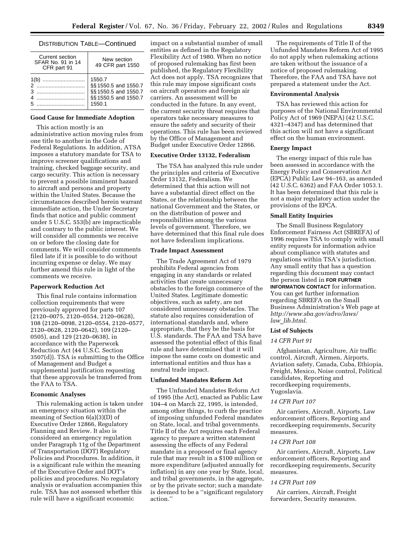## DISTRIBUTION TABLE—Continued

| Current section<br>SFAR No. 91 in 14<br>CFR part 91 | New section<br>49 CFR part 1550                                                          |
|-----------------------------------------------------|------------------------------------------------------------------------------------------|
| 2                                                   | 1550.7<br>§§ 1550.5 and 1550.7<br>§§ 1550.5 and 1550.7<br>§§ 1550.5 and 1550.7<br>1550.1 |

## **Good Cause for Immediate Adoption**

This action mostly is an administrative action moving rules from one title to another in the Code of Federal Regulations. In addition, ATSA imposes a statutory mandate for TSA to improve screener qualifications and training, checked baggage security, and cargo security. This action is necessary to prevent a possible imminent hazard to aircraft and persons and property within the United States. Because the circumstances described herein warrant immediate action, the Under Secretary finds that notice and public comment under 5 U.S.C. 553(b) are impracticable and contrary to the public interest. We will consider all comments we receive on or before the closing date for comments. We will consider comments filed late if it is possible to do without incurring expense or delay. We may further amend this rule in light of the comments we receive.

## **Paperwork Reduction Act**

This final rule contains information collection requirements that were previously approved for parts 107 (2120–0075, 2120–0554, 2120–0628), 108 (2120–0098, 2120–0554, 2120–0577, 2120–0628, 2120–0642), 109 (2120– 0505), and 129 (2120–0638), in accordance with the Paperwork Reduction Act (44 U.S.C. Section 3507(d)). TSA is submitting to the Office of Management and Budget a supplemental justification requesting that these approvals be transferred from the FAA to TSA.

## **Economic Analyses**

This rulemaking action is taken under an emergency situation within the meaning of Section 6(a)(3)(D) of Executive Order 12866, Regulatory Planning and Review. It also is considered an emergency regulation under Paragraph 11g of the Department of Transportation (DOT) Regulatory Policies and Procedures. In addition, it is a significant rule within the meaning of the Executive Order and DOT's policies and procedures. No regulatory analysis or evaluation accompanies this rule. TSA has not assessed whether this rule will have a significant economic

impact on a substantial number of small entities as defined in the Regulatory Flexibility Act of 1980. When no notice of proposed rulemaking has first been published, the Regulatory Flexibility Act does not apply. TSA recognizes that this rule may impose significant costs on aircraft operators and foreign air carriers. An assessment will be conducted in the future. In any event, the current security threat requires that operators take necessary measures to ensure the safety and security of their operations. This rule has been reviewed by the Office of Management and Budget under Executive Order 12866.

#### **Executive Order 13132, Federalism**

The TSA has analyzed this rule under the principles and criteria of Executive Order 13132, Federalism. We determined that this action will not have a substantial direct effect on the States, or the relationship between the national Government and the States, or on the distribution of power and responsibilities among the various levels of government. Therefore, we have determined that this final rule does not have federalism implications.

## **Trade Impact Assessment**

The Trade Agreement Act of 1979 prohibits Federal agencies from engaging in any standards or related activities that create unnecessary obstacles to the foreign commerce of the United States. Legitimate domestic objectives, such as safety, are not considered unnecessary obstacles. The statute also requires consideration of international standards and, where appropriate, that they be the basis for U.S. standards. The FAA and TSA have assessed the potential effect of this final rule and have determined that it will impose the same costs on domestic and international entities and thus has a neutral trade impact.

## **Unfunded Mandates Reform Act**

The Unfunded Mandates Reform Act of 1995 (the Act), enacted as Public Law 104–4 on March 22, 1995, is intended, among other things, to curb the practice of imposing unfunded Federal mandates on State, local, and tribal governments. Title II of the Act requires each Federal agency to prepare a written statement assessing the effects of any Federal mandate in a proposed or final agency rule that may result in a \$100 million or more expenditure (adjusted annually for inflation) in any one year by State, local, and tribal governments, in the aggregate, or by the private sector; such a mandate is deemed to be a ''significant regulatory action.''

The requirements of Title II of the Unfunded Mandates Reform Act of 1995 do not apply when rulemaking actions are taken without the issuance of a notice of proposed rulemaking. Therefore, the FAA and TSA have not prepared a statement under the Act.

#### **Environmental Analysis**

TSA has reviewed this action for purposes of the National Environmental Policy Act of 1969 (NEPA) (42 U.S.C. 4321–4347) and has determined that this action will not have a significant effect on the human environment.

## **Energy Impact**

The energy impact of this rule has been assessed in accordance with the Energy Policy and Conservation Act (EPCA) Public Law 94–163, as amended (42 U.S.C. 6362) and FAA Order 1053.1. It has been determined that this rule is not a major regulatory action under the provisions of the EPCA.

## **Small Entity Inquiries**

The Small Business Regulatory Enforcement Fairness Act (SBREFA) of 1996 requires TSA to comply with small entity requests for information advice about compliance with statutes and regulations within TSA's jurisdiction. Any small entity that has a question regarding this document may contact the person listed in **FOR FURTHER**

**INFORMATION CONTACT** for information. You can get further information regarding SBREFA on the Small Business Administration's Web page at *http://www.sba.gov/advo/laws/ law*\_*lib.html*.

## **List of Subjects**

## *14 CFR Part 91*

Afghanistan, Agriculture, Air traffic control, Aircraft, Airmen, Airports, Aviation safety, Canada, Cuba, Ethiopia, Freight, Mexico, Noise control, Political candidates, Reporting and recordkeeping requirements, Yugoslavia.

## *14 CFR Part 107*

Air carriers, Aircraft, Airports, Law enforcement officers, Reporting and recordkeeping requirements, Security measures.

## *14 CFR Part 108*

Air carriers, Aircraft, Airports, Law enforcement officers, Reporting and recordkeeping requirements, Security measures.

#### *14 CFR Part 109*

Air carriers, Aircraft, Freight forwarders, Security measures.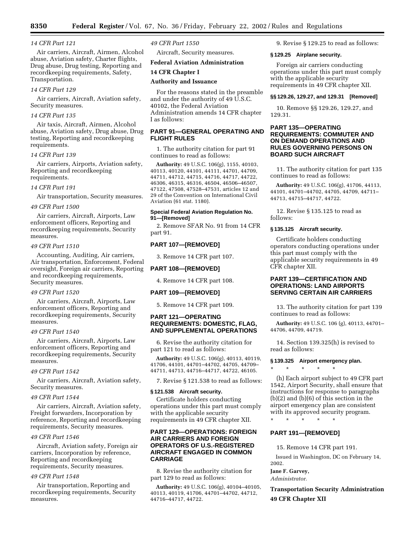#### *14 CFR Part 121*

Air carriers, Aircraft, Airmen, Alcohol abuse, Aviation safety, Charter flights, Drug abuse, Drug testing, Reporting and recordkeeping requirements, Safety, Transportation.

## *14 CFR Part 129*

Air carriers, Aircraft, Aviation safety, Security measures.

## *14 CFR Part 135*

Air taxis, Aircraft, Airmen, Alcohol abuse, Aviation safety, Drug abuse, Drug testing, Reporting and recordkeeping requirements.

#### *14 CFR Part 139*

Air carriers, Airports, Aviation safety, Reporting and recordkeeping requirements.

#### *14 CFR Part 191*

Air transportation, Security measures.

#### *49 CFR Part 1500*

Air carriers, Aircraft, Airports, Law enforcement officers, Reporting and recordkeeping requirements, Security measures.

## *49 CFR Part 1510*

Accounting, Auditing, Air carriers, Air transportation, Enforcement, Federal oversight, Foreign air carriers, Reporting and recordkeeping requirements, Security measures.

## *49 CFR Part 1520*

Air carriers, Aircraft, Airports, Law enforcement officers, Reporting and recordkeeping requirements, Security measures.

## *49 CFR Part 1540*

Air carriers, Aircraft, Airports, Law enforcement officers, Reporting and recordkeeping requirements, Security measures.

#### *49 CFR Part 1542*

Air carriers, Aircraft, Aviation safety, Security measures.

## *49 CFR Part 1544*

Air carriers, Aircraft, Aviation safety, Freight forwarders, Incorporation by reference, Reporting and recordkeeping requirements, Security measures.

## *49 CFR Part 1546*

Aircraft, Aviation safety, Foreign air carriers, Incorporation by reference, Reporting and recordkeeping requirements, Security measures.

## *49 CFR Part 1548*

Air transportation, Reporting and recordkeeping requirements, Security measures.

## *49 CFR Part 1550*

Aircraft, Security measures.

**Federal Aviation Administration**

## **14 CFR Chapter I**

## **Authority and Issuance**

For the reasons stated in the preamble and under the authority of 49 U.S.C. 40102, the Federal Aviation Administration amends 14 CFR chapter I as follows:

## **PART 91—GENERAL OPERATING AND FLIGHT RULES**

1. The authority citation for part 91 continues to read as follows:

**Authority:** 49 U.S.C. 106(g), 1155, 40103, 40113, 40120, 44101, 44111, 44701, 44709, 44711, 44712, 44715, 44716, 44717, 44722, 46306, 46315, 46316, 46504, 46506–46507, 47122, 47508, 47528–47531, articles 12 and 29 of the Convention on International Civil Aviation (61 stat. 1180).

## **Special Federal Aviation Regulation No. 91—[Removed]**

2. Remove SFAR No. 91 from 14 CFR part 91.

## **PART 107—[REMOVED]**

3. Remove 14 CFR part 107.

## **PART 108—[REMOVED]**

4. Remove 14 CFR part 108.

## **PART 109—[REMOVED]**

5. Remove 14 CFR part 109.

## **PART 121—OPERATING REQUIREMENTS: DOMESTIC, FLAG, AND SUPPLEMENTAL OPERATIONS**

6. Revise the authority citation for part 121 to read as follows:

**Authority:** 49 U.S.C. 106(g), 40113, 40119, 41706, 44101, 44701–44702, 44705, 44709– 44711, 44713, 44716–44717, 44722, 46105.

7. Revise § 121.538 to read as follows:

## **§ 121.538 Aircraft security.**

Certificate holders conducting operations under this part must comply with the applicable security requirements in 49 CFR chapter XII.

## **PART 129—OPERATIONS: FOREIGN AIR CARRIERS AND FOREIGN OPERATORS OF U.S.-REGISTERED AIRCRAFT ENGAGED IN COMMON CARRIAGE**

8. Revise the authority citation for part 129 to read as follows:

**Authority:** 49 U.S.C. 106(g), 40104–40105, 40113, 40119, 41706, 44701–44702, 44712, 44716–44717, 44722.

9. Revise § 129.25 to read as follows:

## **§ 129.25 Airplane security.**

Foreign air carriers conducting operations under this part must comply with the applicable security requirements in 49 CFR chapter XII.

## **§§ 129.26, 129.27, and 129.31 [Removed]**

10. Remove §§ 129.26, 129.27, and 129.31.

## **PART 135—OPERATING REQUIREMENTS: COMMUTER AND ON DEMAND OPERATIONS AND RULES GOVERNING PERSONS ON BOARD SUCH AIRCRAFT**

11. The authority citation for part 135 continues to read as follows:

**Authority:** 49 U.S.C. 106(g), 41706, 44113, 44101, 44701–44702, 44705, 44709, 44711– 44713, 44715–44717, 44722.

12. Revise § 135.125 to read as follows:

## **§ 135.125 Aircraft security.**

Certificate holders conducting operators conducting operations under this part must comply with the applicable security requirements in 49 CFR chapter XII.

## **PART 139—CERTIFICATION AND OPERATIONS: LAND AIRPORTS SERVING CERTAIN AIR CARRIERS**

13. The authority citation for part 139 continues to read as follows:

**Authority:** 49 U.S.C. 106 (g), 40113, 44701– 44706, 44709, 44719.

14. Section 139.325(h) is revised to read as follows:

## **§ 139.325 Airport emergency plan.**

\* \* \* \* \*

(h) Each airport subject to 49 CFR part 1542, Airport Security, shall ensure that instructions for response to paragraphs (b)(2) and (b)(6) of this section in the airport emergency plan are consistent with its approved security program.

\* \* \* \* \*

## **PART 191—[REMOVED]**

15. Remove 14 CFR part 191.

Issued in Washington, DC on February 14, 2002.

**Jane F. Garvey,**

#### *Administrator.*

**Transportation Security Administration 49 CFR Chapter XII**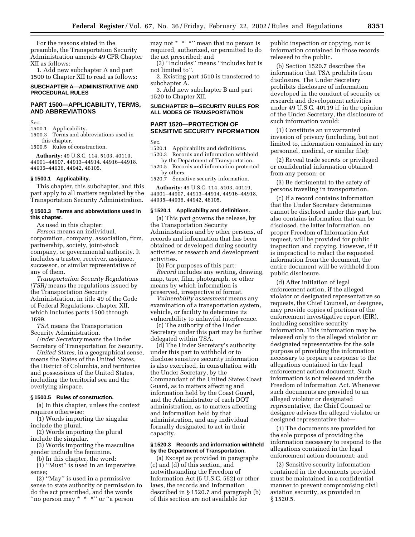For the reasons stated in the preamble, the Transportation Security Administration amends 49 CFR Chapter XII as follows:

1. Add new subchapter A and part 1500 to Chapter XII to read as follows:

## **SUBCHAPTER A—ADMINISTRATIVE AND PROCEDURAL RULES**

## **PART 1500—APPLICABILITY, TERMS, AND ABBREVIATIONS**

Sec.

1500.1 Applicability.

1500.3 Terms and abbreviations used in this chapter.

1500.5 Rules of construction.

**Authority:** 49 U.S.C. 114, 5103, 40119, 44901–44907, 44913–44914, 44916–44918, 44935–44936, 44942, 46105.

## **§ 1500.1 Applicability.**

This chapter, this subchapter, and this part apply to all matters regulated by the Transportation Security Administration.

## **§ 1500.3 Terms and abbreviations used in this chapter.**

As used in this chapter:

*Person* means an individual, corporation, company, association, firm, partnership, society, joint-stock company, or governmental authority. It includes a trustee, receiver, assignee, successor, or similar representative of any of them.

*Transportation Security Regulations (TSR)* means the regulations issued by the Transportation Security Administration, in title 49 of the Code of Federal Regulations, chapter XII, which includes parts 1500 through 1699.

*TSA* means the Transportation Security Administration.

*Under Secretary* means the Under Secretary of Transportation for Security.

*United States,* in a geographical sense, means the States of the United States, the District of Columbia, and territories and possessions of the United States, including the territorial sea and the overlying airspace.

## **§ 1500.5 Rules of construction.**

(a) In this chapter, unless the context requires otherwise:

(1) Words importing the singular include the plural.

(2) Words importing the plural include the singular.

(3) Words importing the masculine gender include the feminine.

(b) In this chapter, the word:

(1) ''Must'' is used in an imperative sense;

(2) ''May'' is used in a permissive sense to state authority or permission to do the act prescribed, and the words ''no person may \* \* \*'' or ''a person

may not \* \* \*'' mean that no person is required, authorized, or permitted to do the act prescribed; and

(3) ''Includes'' means ''includes but is not limited to''.

2. Existing part 1510 is transferred to subchapter A.

3. Add new subchapter B and part 1520 to Chapter XII.

## **SUBCHAPTER B—SECURITY RULES FOR ALL MODES OF TRANSPORTATION**

## **PART 1520—PROTECTION OF SENSITIVE SECURITY INFORMATION**

Sec.<br>1520.1

Applicability and definitions.

1520.3 Records and information withheld by the Department of Transportation.

1520.5 Records and information protected by others.

1520.7 Sensitive security information.

**Authority:** 49 U.S.C. 114, 5103, 40119, 44901–44907, 44913–44914, 44916–44918, 44935–44936, 44942, 46105.

#### **§ 1520.1 Applicability and definitions.**

(a) This part governs the release, by the Transportation Security Administration and by other persons, of records and information that has been obtained or developed during security activities or research and development activities.

(b) For purposes of this part:

*Record* includes any writing, drawing, map, tape, film, photograph, or other means by which information is preserved, irrespective of format.

*Vulnerability assessment* means any examination of a transportation system, vehicle, or facility to determine its vulnerability to unlawful interference.

(c) The authority of the Under Secretary under this part may be further delegated within TSA.

(d) The Under Secretary's authority under this part to withhold or to disclose sensitive security information is also exercised, in consultation with the Under Secretary, by the Commandant of the United States Coast Guard, as to matters affecting and information held by the Coast Guard, and the Administrator of each DOT administration, as to matters affecting and information held by that administration, and any individual formally designated to act in their capacity.

## **§ 1520.3 Records and information withheld by the Department of Transportation.**

(a) Except as provided in paragraphs (c) and (d) of this section, and notwithstanding the Freedom of Information Act (5 U.S.C. 552) or other laws, the records and information described in § 1520.7 and paragraph (b) of this section are not available for

public inspection or copying, nor is information contained in those records released to the public.

(b) Section 1520.7 describes the information that TSA prohibits from disclosure. The Under Secretary prohibits disclosure of information developed in the conduct of security or research and development activities under 49 U.S.C. 40119 if, in the opinion of the Under Secretary, the disclosure of such information would:

(1) Constitute an unwarranted invasion of privacy (including, but not limited to, information contained in any personnel, medical, or similar file);

(2) Reveal trade secrets or privileged or confidential information obtained from any person; or

(3) Be detrimental to the safety of persons traveling in transportation.

(c) If a record contains information that the Under Secretary determines cannot be disclosed under this part, but also contains information that can be disclosed, the latter information, on proper Freedom of Information Act request, will be provided for public inspection and copying. However, if it is impractical to redact the requested information from the document, the entire document will be withheld from public disclosure.

(d) After initiation of legal enforcement action, if the alleged violator or designated representative so requests, the Chief Counsel, or designee, may provide copies of portions of the enforcement investigative report (EIR), including sensitive security information. This information may be released only to the alleged violator or designated representative for the sole purpose of providing the information necessary to prepare a response to the allegations contained in the legal enforcement action document. Such information is not released under the Freedom of Information Act. Whenever such documents are provided to an alleged violator or designated representative, the Chief Counsel or designee advises the alleged violator or designed representative that—

(1) The documents are provided for the sole purpose of providing the information necessary to respond to the allegations contained in the legal enforcement action document; and

(2) Sensitive security information contained in the documents provided must be maintained in a confidential manner to prevent compromising civil aviation security, as provided in § 1520.5.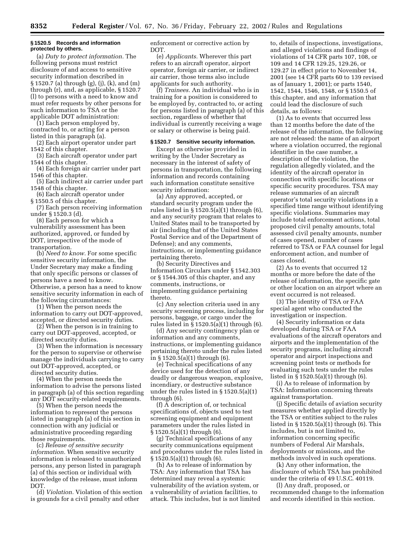## **§ 1520.5 Records and information protected by others.**

(a) *Duty to protect information.* The following persons must restrict disclosure of and access to sensitive security information described in § 1520.7 (a) through (g), (j), (k), and (m) through (r), and, as applicable, § 1520.7 (l) to persons with a need to know and must refer requests by other persons for such information to TSA or the applicable DOT administration:

(1) Each person employed by, contracted to, or acting for a person listed in this paragraph (a).

(2) Each airport operator under part 1542 of this chapter.

(3) Each aircraft operator under part 1544 of this chapter.

(4) Each foreign air carrier under part 1546 of this chapter.

(5) Each indirect air carrier under part 1548 of this chapter.

(6) Each aircraft operator under § 1550.5 of this chapter.

(7) Each person receiving information under § 1520.3 (d).

(8) Each person for which a vulnerability assessment has been authorized, approved, or funded by DOT, irrespective of the mode of transportation.

(b) *Need to know.* For some specific sensitive security information, the Under Secretary may make a finding that only specific persons or classes of persons have a need to know. Otherwise, a person has a need to know sensitive security information in each of the following circumstances:

(1) When the person needs the information to carry out DOT-approved, accepted, or directed security duties.

(2) When the person is in training to carry out DOT-approved, accepted, or directed security duties.

(3) When the information is necessary for the person to supervise or otherwise manage the individuals carrying to carry out DOT-approved, accepted, or directed security duties.

(4) When the person needs the information to advise the persons listed in paragraph (a) of this section regarding any DOT security-related requirements.

(5) When the person needs the information to represent the persons listed in paragraph (a) of this section in connection with any judicial or administrative proceeding regarding those requirements.

(c) *Release of sensitive security information.* When sensitive security information is released to unauthorized persons, any person listed in paragraph (a) of this section or individual with knowledge of the release, must inform DOT.

(d) *Violation.* Violation of this section is grounds for a civil penalty and other

enforcement or corrective action by DOT.

(e) *Applicants.* Wherever this part refers to an aircraft operator, airport operator, foreign air carrier, or indirect air carrier, those terms also include applicants for such authority.

(f) *Trainees.* An individual who is in training for a position is considered to be employed by, contracted to, or acting for persons listed in paragraph (a) of this section, regardless of whether that individual is currently receiving a wage or salary or otherwise is being paid.

## **§ 1520.7 Sensitive security information.**

Except as otherwise provided in writing by the Under Secretary as necessary in the interest of safety of persons in transportation, the following information and records containing such information constitute sensitive security information:

(a) Any approved, accepted, or standard security program under the rules listed in  $\S 1520.5(a)(1)$  through  $(6)$ , and any security program that relates to United States mail to be transported by air (including that of the United States Postal Service and of the Department of Defense); and any comments, instructions, or implementing guidance pertaining thereto.

(b) Security Directives and Information Circulars under § 1542.303 or § 1544.305 of this chapter, and any comments, instructions, or implementing guidance pertaining thereto.

(c) Any selection criteria used in any security screening process, including for persons, baggage, or cargo under the rules listed in § 1520.5(a)(1) through (6).

(d) Any security contingency plan or information and any comments, instructions, or implementing guidance pertaining thereto under the rules listed in § 1520.5(a)(1) through (6).

(e) Technical specifications of any device used for the detection of any deadly or dangerous weapon, explosive, incendiary, or destructive substance under the rules listed in § 1520.5(a)(1) through (6).

(f) A description of, or technical specifications of, objects used to test screening equipment and equipment parameters under the rules listed in § 1520.5(a)(1) through (6).

(g) Technical specifications of any security communications equipment and procedures under the rules listed in § 1520.5(a)(1) through (6).

(h) As to release of information by TSA: Any information that TSA has determined may reveal a systemic vulnerability of the aviation system, or a vulnerability of aviation facilities, to attack. This includes, but is not limited to, details of inspections, investigations, and alleged violations and findings of violations of 14 CFR parts 107, 108, or 109 and 14 CFR 129.25, 129.26, or 129.27 in effect prior to November 14, 2001 (see 14 CFR parts 60 to 139 revised as of January 1, 2001); or parts 1540, 1542, 1544, 1546, 1548, or § 1550.5 of this chapter, and any information that could lead the disclosure of such details, as follows:

(1) As to events that occurred less than 12 months before the date of the release of the information, the following are not released: the name of an airport where a violation occurred, the regional identifier in the case number, a description of the violation, the regulation allegedly violated, and the identity of the aircraft operator in connection with specific locations or specific security procedures. TSA may release summaries of an aircraft operator's total security violations in a specified time range without identifying specific violations. Summaries may include total enforcement actions, total proposed civil penalty amounts, total assessed civil penalty amounts, number of cases opened, number of cases referred to TSA or FAA counsel for legal enforcement action, and number of cases closed.

(2) As to events that occurred 12 months or more before the date of the release of information, the specific gate or other location on an airport where an event occurred is not released.

(3) The identity of TSA or FAA special agent who conducted the investigation or inspection.

(4) Security information or data developed during TSA or FAA evaluations of the aircraft operators and airports and the implementation of the security programs, including aircraft operator and airport inspections and screening point tests or methods for evaluating such tests under the rules listed in § 1520.5(a)(1) through (6).

(i) As to release of information by TSA: Information concerning threats against transportation.

(j) Specific details of aviation security measures whether applied directly by the TSA or entities subject to the rules listed in § 1520.5(a)(1) through (6). This includes, but is not limited to, information concerning specific numbers of Federal Air Marshals, deployments or missions, and the methods involved in such operations.

(k) Any other information, the disclosure of which TSA has prohibited under the criteria of 49 U.S.C. 40119.

(l) Any draft, proposed, or recommended change to the information and records identified in this section.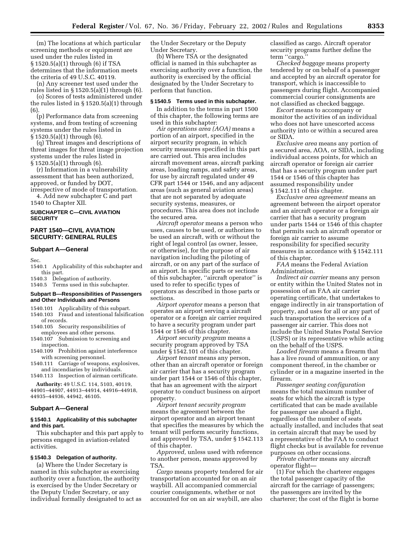(m) The locations at which particular screening methods or equipment are used under the rules listed in § 1520.5(a)(1) through (6) if TSA determines that the information meets the criteria of 49 U.S.C. 40119.

(n) Any screener test used under the rules listed in § 1520.5(a)(1) through (6). (o) Scores of tests administered under

the rules listed in § 1520.5(a)(1) through (6).

(p) Performance data from screening systems, and from testing of screening systems under the rules listed in § 1520.5(a)(1) through (6).

(q) Threat images and descriptions of threat images for threat image projection systems under the rules listed in § 1520.5(a)(1) through (6).

(r) Information in a vulnerability assessment that has been authorized, approved, or funded by DOT, irrespective of mode of transportation.

4. Add new subchapter C and part 1540 to Chapter XII.

## **SUBCHAPTER C—CIVIL AVIATION SECURITY**

## **PART 1540—CIVIL AVIATION SECURITY: GENERAL RULES**

## **Subpart A—General**

Sec.

1540.1 Applicability of this subchapter and this part.

1540.3 Delegation of authority.

1540.5 Terms used in this subchapter.

#### **Subpart B—Responsibilities of Passengers and Other Individuals and Persons**

- 1540.101 Applicability of this subpart. 1540.103 Fraud and intentional falsification of records.
- 1540.105 Security responsibilities of employees and other persons.
- 1540.107 Submission to screening and inspection.
- 1540.109 Prohibition against interference with screening personnel.
- 1540.111 Carriage of weapons, explosives, and incendiaries by individuals.

1540.113 Inspection of airman certificate.

**Authority:** 49 U.S.C. 114, 5103, 40119, 44901–44907, 44913–44914, 44916–44918, 44935–44936, 44942, 46105.

## **Subpart A—General**

#### **§ 1540.1 Applicability of this subchapter and this part.**

This subchapter and this part apply to persons engaged in aviation-related activities.

## **§ 1540.3 Delegation of authority.**

(a) Where the Under Secretary is named in this subchapter as exercising authority over a function, the authority is exercised by the Under Secretary or the Deputy Under Secretary, or any individual formally designated to act as the Under Secretary or the Deputy Under Secretary.

(b) Where TSA or the designated official is named in this subchapter as exercising authority over a function, the authority is exercised by the official designated by the Under Secretary to perform that function.

## **§ 1540.5 Terms used in this subchapter.**

In addition to the terms in part 1500 of this chapter, the following terms are used in this subchapter:

*Air operations area (AOA)* means a portion of an airport, specified in the airport security program, in which security measures specified in this part are carried out. This area includes aircraft movement areas, aircraft parking areas, loading ramps, and safety areas, for use by aircraft regulated under 49 CFR part 1544 or 1546, and any adjacent areas (such as general aviation areas) that are not separated by adequate security systems, measures, or procedures. This area does not include the secured area.

*Aircraft operator* means a person who uses, causes to be used, or authorizes to be used an aircraft, with or without the right of legal control (as owner, lessee, or otherwise), for the purpose of air navigation including the piloting of aircraft, or on any part of the surface of an airport. In specific parts or sections of this subchapter, ''aircraft operator'' is used to refer to specific types of operators as described in those parts or sections.

*Airport operator* means a person that operates an airport serving a aircraft operator or a foreign air carrier required to have a security program under part 1544 or 1546 of this chapter.

*Airport security program* means a security program approved by TSA under § 1542.101 of this chapter.

*Airport tenant* means any person, other than an aircraft operator or foreign air carrier that has a security program under part 1544 or 1546 of this chapter, that has an agreement with the airport operator to conduct business on airport property.

*Airport tenant security program* means the agreement between the airport operator and an airport tenant that specifies the measures by which the tenant will perform security functions, and approved by TSA, under § 1542.113 of this chapter.

*Approved,* unless used with reference to another person, means approved by TSA.

*Cargo* means property tendered for air transportation accounted for on an air waybill. All accompanied commercial courier consignments, whether or not accounted for on an air waybill, are also

classified as cargo. Aircraft operator security programs further define the term "cargo."

*Checked baggage* means property tendered by or on behalf of a passenger and accepted by an aircraft operator for transport, which is inaccessible to passengers during flight. Accompanied commercial courier consignments are not classified as checked baggage.

*Escort* means to accompany or monitor the activities of an individual who does not have unescorted access authority into or within a secured area or SIDA.

*Exclusive area* means any portion of a secured area, AOA, or SIDA, including individual access points, for which an aircraft operator or foreign air carrier that has a security program under part 1544 or 1546 of this chapter has assumed responsibility under § 1542.111 of this chapter.

*Exclusive area agreement* means an agreement between the airport operator and an aircraft operator or a foreign air carrier that has a security program under parts 1544 or 1546 of this chapter that permits such an aircraft operator or foreign air carrier to assume responsibility for specified security measures in accordance with § 1542.111 of this chapter.

*FAA* means the Federal Aviation Administration.

*Indirect air carrier* means any person or entity within the United States not in possession of an FAA air carrier operating certificate, that undertakes to engage indirectly in air transportation of property, and uses for all or any part of such transportation the services of a passenger air carrier. This does not include the United States Postal Service (USPS) or its representative while acting on the behalf of the USPS.

*Loaded firearm* means a firearm that has a live round of ammunition, or any component thereof, in the chamber or cylinder or in a magazine inserted in the firearm.

*Passenger seating configuration* means the total maximum number of seats for which the aircraft is type certificated that can be made available for passenger use aboard a flight, regardless of the number of seats actually installed, and includes that seat in certain aircraft that may be used by a representative of the FAA to conduct flight checks but is available for revenue purposes on other occasions.

*Private charter* means any aircraft operator flight—

(1) For which the charterer engages the total passenger capacity of the aircraft for the carriage of passengers; the passengers are invited by the charterer; the cost of the flight is borne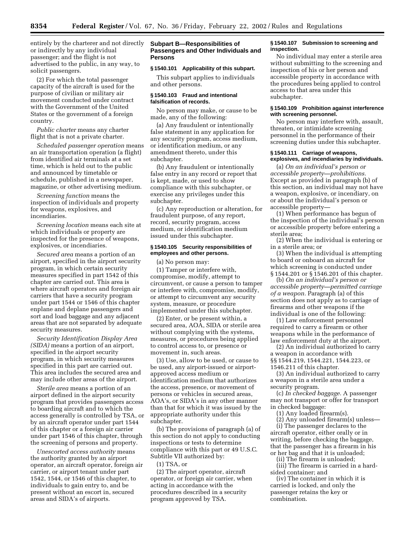entirely by the charterer and not directly or indirectly by any individual passenger; and the flight is not advertised to the public, in any way, to solicit passengers.

(2) For which the total passenger capacity of the aircraft is used for the purpose of civilian or military air movement conducted under contract with the Government of the United States or the government of a foreign country.

*Public charter* means any charter flight that is not a private charter.

*Scheduled passenger operation* means an air transportation operation (a flight) from identified air terminals at a set time, which is held out to the public and announced by timetable or schedule, published in a newspaper, magazine, or other advertising medium.

*Screening function* means the inspection of individuals and property for weapons, explosives, and incendiaries.

*Screening location* means each site at which individuals or property are inspected for the presence of weapons, explosives, or incendiaries.

*Secured area* means a portion of an airport, specified in the airport security program, in which certain security measures specified in part 1542 of this chapter are carried out. This area is where aircraft operators and foreign air carriers that have a security program under part 1544 or 1546 of this chapter enplane and deplane passengers and sort and load baggage and any adjacent areas that are not separated by adequate security measures.

*Security Identification Display Area (SIDA)* means a portion of an airport, specified in the airport security program, in which security measures specified in this part are carried out. This area includes the secured area and may include other areas of the airport.

*Sterile area* means a portion of an airport defined in the airport security program that provides passengers access to boarding aircraft and to which the access generally is controlled by TSA, or by an aircraft operator under part 1544 of this chapter or a foreign air carrier under part 1546 of this chapter, through the screening of persons and property.

*Unescorted access authority* means the authority granted by an airport operator, an aircraft operator, foreign air carrier, or airport tenant under part 1542, 1544, or 1546 of this chapter, to individuals to gain entry to, and be present without an escort in, secured areas and SIDA's of airports.

## **Subpart B—Responsibilities of Passengers and Other Individuals and Persons**

#### **§ 1540.101 Applicability of this subpart.**

This subpart applies to individuals and other persons.

## **§ 1540.103 Fraud and intentional falsification of records.**

No person may make, or cause to be made, any of the following:

(a) Any fraudulent or intentionally false statement in any application for any security program, access medium, or identification medium, or any amendment thereto, under this subchapter.

(b) Any fraudulent or intentionally false entry in any record or report that is kept, made, or used to show compliance with this subchapter, or exercise any privileges under this subchapter.

(c) Any reproduction or alteration, for fraudulent purpose, of any report, record, security program, access medium, or identification medium issued under this subchapter.

## **§ 1540.105 Security responsibilities of employees and other persons.**

(a) No person may:

(1) Tamper or interfere with, compromise, modify, attempt to circumvent, or cause a person to tamper or interfere with, compromise, modify, or attempt to circumvent any security system, measure, or procedure implemented under this subchapter.

(2) Enter, or be present within, a secured area, AOA, SIDA or sterile area without complying with the systems, measures, or procedures being applied to control access to, or presence or movement in, such areas.

(3) Use, allow to be used, or cause to be used, any airport-issued or airportapproved access medium or identification medium that authorizes the access, presence, or movement of persons or vehicles in secured areas, AOA's, or SIDA's in any other manner than that for which it was issued by the appropriate authority under this subchapter.

(b) The provisions of paragraph (a) of this section do not apply to conducting inspections or tests to determine compliance with this part or 49 U.S.C. Subtitle VII authorized by:

## (1) TSA, or

(2) The airport operator, aircraft operator, or foreign air carrier, when acting in accordance with the procedures described in a security program approved by TSA.

#### **§ 1540.107 Submission to screening and inspection.**

No individual may enter a sterile area without submitting to the screening and inspection of his or her person and accessible property in accordance with the procedures being applied to control access to that area under this subchapter.

## **§ 1540.109 Prohibition against interference with screening personnel.**

No person may interfere with, assault, threaten, or intimidate screening personnel in the performance of their screening duties under this subchapter.

#### **§ 1540.111 Carriage of weapons, explosives, and incendiaries by individuals.**

(a) *On an individual's person or accessible property—prohibitions.* Except as provided in paragraph (b) of this section, an individual may not have a weapon, explosive, or incendiary, on or about the individual's person or accessible property—

(1) When performance has begun of the inspection of the individual's person or accessible property before entering a sterile area;

(2) When the individual is entering or in a sterile area; or

(3) When the individual is attempting to board or onboard an aircraft for which screening is conducted under § 1544.201 or § 1546.201 of this chapter.

(b) *On an individual's person or accessible property—permitted carriage of a weapon.* Paragraph (a) of this section does not apply as to carriage of firearms and other weapons if the individual is one of the following:

(1) Law enforcement personnel required to carry a firearm or other weapons while in the performance of law enforcement duty at the airport.

(2) An individual authorized to carry a weapon in accordance with §§ 1544.219, 1544.221, 1544.223, or 1546.211 of this chapter.

(3) An individual authorized to carry a weapon in a sterile area under a security program.

(c) *In checked baggage.* A passenger may not transport or offer for transport in checked baggage:

(1) Any loaded firearm(s).

(2) Any unloaded firearm(s) unless— (i) The passenger declares to the aircraft operator, either orally or in writing, before checking the baggage, that the passenger has a firearm in his or her bag and that it is unloaded;

(ii) The firearm is unloaded;

(iii) The firearm is carried in a hardsided container; and

(iv) The container in which it is carried is locked, and only the passenger retains the key or combination.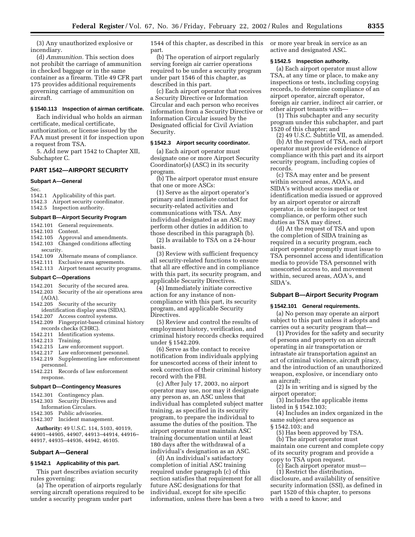(3) Any unauthorized explosive or incendiary.

(d) *Ammunition.* This section does not prohibit the carriage of ammunition in checked baggage or in the same container as a firearm. Title 49 CFR part 175 provides additional requirements governing carriage of ammunition on aircraft.

## **§ 1540.113 Inspection of airman certificate.**

Each individual who holds an airman certificate, medical certificate, authorization, or license issued by the FAA must present it for inspection upon a request from TSA.

5. Add new part 1542 to Chapter XII, Subchapter C.

## **PART 1542—AIRPORT SECURITY**

#### **Subpart A—General**

Sec.

| 1542.1 | Applicability of this part.   |
|--------|-------------------------------|
| 1542.3 | Airport security coordinator. |

## 1542.5 Inspection authority.

#### **Subpart B—Airport Security Program**

- 1542.101 General requirements.
- 1542.103 Content.
- 1542.105 Approval and amendments.
- 1542.103 Changed conditions affecting
- security.
- 1542.109 Alternate means of compliance.
- 1542.111 Exclusive area agreements.
- 1542.113 Airport tenant security programs.

#### **Subpart C—Operations**

- 1542.201 Security of the secured area.
- 1542.203 Security of the air operations area (AOA).
- 1542.205 Security of the security
- identification display area (SIDA).
- 1542.207 Access control systems. 1542.209 Fingerprint-based criminal history
- records checks (CHRC). 1542.211 Identification systems.
- 1542.213 Training.
- 
- 1542.215 Law enforcement support. 1542.217 Law enforcement personnel.
- 1542.219 Supplementing law enforcement personnel.
- 1542.221 Records of law enforcement response.

#### **Subpart D—Contingency Measures**

|          | 1542.301 Contingency plan.             |  |
|----------|----------------------------------------|--|
|          | 1542.303 Security Directives and       |  |
|          | Information Circulars.                 |  |
|          | 1542.305 Public advisories.            |  |
| $\cdots$ | $\mathbf{r}$ . The set of $\mathbf{r}$ |  |

1542.307 Incident management.

**Authority:** 49 U.S.C. 114, 5103, 40119, 44901–44905, 44907, 44913–44914, 44916– 44917, 44935–44936, 44942, 46105.

#### **Subpart A—General**

## **§ 1542.1 Applicability of this part.**

This part describes aviation security rules governing:

(a) The operation of airports regularly serving aircraft operations required to be under a security program under part

1544 of this chapter, as described in this part.

(b) The operation of airport regularly serving foreign air carrier operations required to be under a security program under part 1546 of this chapter, as described in this part.

(c) Each airport operator that receives a Security Directive or Information Circular and each person who receives information from a Security Directive or Information Circular issued by the Designated official for Civil Aviation Security.

#### **§ 1542.3 Airport security coordinator.**

(a) Each airport operator must designate one or more Airport Security Coordinator(s) (ASC) in its security program.

(b) The airport operator must ensure that one or more ASCs:

(1) Serve as the airport operator's primary and immediate contact for security-related activities and communications with TSA. Any individual designated as an ASC may perform other duties in addition to those described in this paragraph (b).

(2) Is available to TSA on a 24-hour basis.

(3) Review with sufficient frequency all security-related functions to ensure that all are effective and in compliance with this part, its security program, and applicable Security Directives.

(4) Immediately initiate corrective action for any instance of noncompliance with this part, its security program, and applicable Security Directives.

(5) Review and control the results of employment history, verification, and criminal history records checks required under § 1542.209.

(6) Serve as the contact to receive notification from individuals applying for unescorted access of their intent to seek correction of their criminal history record with the FBI.

(c) After July 17, 2003, no airport operator may use, nor may it designate any person as, an ASC unless that individual has completed subject matter training, as specified in its security program, to prepare the individual to assume the duties of the position. The airport operator must maintain ASC training documentation until at least 180 days after the withdrawal of a individual's designation as an ASC.

(d) An individual's satisfactory completion of initial ASC training required under paragraph (c) of this section satisfies that requirement for all future ASC designations for that individual, except for site specific information, unless there has been a two or more year break in service as an active and designated ASC.

#### **§ 1542.5 Inspection authority.**

(a) Each airport operator must allow TSA, at any time or place, to make any inspections or tests, including copying records, to determine compliance of an airport operator, aircraft operator, foreign air carrier, indirect air carrier, or other airport tenants with—

(1) This subchapter and any security program under this subchapter, and part 1520 of this chapter; and

(2) 49 U.S.C. Subtitle VII, as amended. (b) At the request of TSA, each airport operator must provide evidence of compliance with this part and its airport security program, including copies of records.

(c) TSA may enter and be present within secured areas, AOA's, and SIDA's without access media or identification media issued or approved by an airport operator or aircraft operator, in order to inspect or test compliance, or perform other such duties as TSA may direct.

(d) At the request of TSA and upon the completion of SIDA training as required in a security program, each airport operator promptly must issue to TSA personnel access and identification media to provide TSA personnel with unescorted access to, and movement within, secured areas, AOA's, and SIDA's.

## **Subpart B—Airport Security Program**

## **§ 1542.101 General requirements.**

(a) No person may operate an airport subject to this part unless it adopts and carries out a security program that—

(1) Provides for the safety and security of persons and property on an aircraft operating in air transportation or intrastate air transportation against an act of criminal violence, aircraft piracy, and the introduction of an unauthorized weapon, explosive, or incendiary onto an aircraft;

(2) Is in writing and is signed by the airport operator;

(3) Includes the applicable items listed in § 1542.103;

(4) Includes an index organized in the same subject area sequence as

§ 1542.103; and

(5) Has been approved by TSA. (b) The airport operator must maintain one current and complete copy of its security program and provide a copy to TSA upon request.

(c) Each airport operator must— (1) Restrict the distribution,

disclosure, and availability of sensitive security information (SSI), as defined in part 1520 of this chapter, to persons with a need to know; and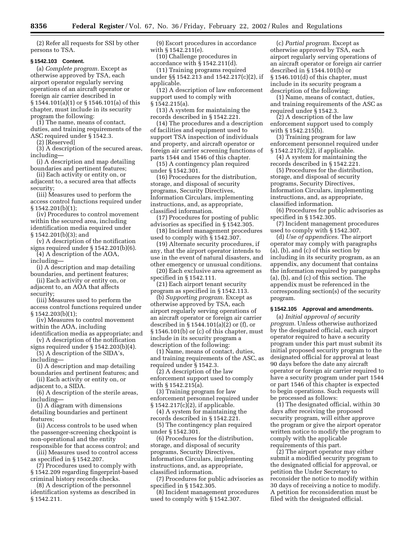(2) Refer all requests for SSI by other persons to TSA.

## **§ 1542.103 Content.**

(a) *Complete program.* Except as otherwise approved by TSA, each airport operator regularly serving operations of an aircraft operator or foreign air carrier described in § 1544.101(a)(1) or § 1546.101(a) of this chapter, must include in its security program the following:

(1) The name, means of contact, duties, and training requirements of the ASC required under § 1542.3.

(2) [Reserved]

(3) A description of the secured areas, including—

(i) A description and map detailing boundaries and pertinent features;

(ii) Each activity or entity on, or adjacent to, a secured area that affects security;

(iii) Measures used to perform the access control functions required under § 1542.201(b)(1);

(iv) Procedures to control movement within the secured area, including identification media required under § 1542.201(b)(3); and

(v) A description of the notification signs required under § 1542.201(b)(6).

(4) A description of the AOA, including—

(i) A description and map detailing boundaries, and pertinent features;

(ii) Each activity or entity on, or adjacent to, an AOA that affects security;

(iii) Measures used to perform the access control functions required under § 1542.203(b)(1);

(iv) Measures to control movement within the AOA, including

identification media as appropriate; and (v) A description of the notification

signs required under § 1542.203(b)(4). (5) A description of the SIDA's, including—

(i) A description and map detailing

boundaries and pertinent features; and (ii) Each activity or entity on, or

adjacent to, a SIDA. (6) A description of the sterile areas, including—

(i) A diagram with dimensions detailing boundaries and pertinent features;

(ii) Access controls to be used when the passenger-screening checkpoint is non-operational and the entity responsible for that access control; and

(iii) Measures used to control access as specified in § 1542.207.

(7) Procedures used to comply with § 1542.209 regarding fingerprint-based criminal history records checks.

(8) A description of the personnel identification systems as described in § 1542.211.

(9) Escort procedures in accordance with § 1542.211(e).

(10) Challenge procedures in accordance with § 1542.211(d).

(11) Training programs required under §§ 1542.213 and 1542.217(c)(2), if applicable.

(12) A description of law enforcement support used to comply with § 1542.215(a).

(13) A system for maintaining the records described in § 1542.221.

(14) The procedures and a description of facilities and equipment used to support TSA inspection of individuals and property, and aircraft operator or foreign air carrier screening functions of parts 1544 and 1546 of this chapter.

(15) A contingency plan required under § 1542.301.

(16) Procedures for the distribution, storage, and disposal of security programs, Security Directives, Information Circulars, implementing instructions, and, as appropriate, classified information.

(17) Procedures for posting of public advisories as specified in § 1542.305.

(18) Incident management procedures used to comply with § 1542.307.

(19) Alternate security procedures, if any, that the airport operator intends to use in the event of natural disasters, and other emergency or unusual conditions.

(20) Each exclusive area agreement as specified in § 1542.111.

(21) Each airport tenant security program as specified in § 1542.113.

(b) *Supporting program.* Except as otherwise approved by TSA, each airport regularly serving operations of an aircraft operator or foreign air carrier described in § 1544.101(a)(2) or (f), or § 1546.101(b) or (c) of this chapter, must include in its security program a description of the following:

(1) Name, means of contact, duties, and training requirements of the ASC, as required under § 1542.3.

(2) A description of the law enforcement support used to comply with § 1542.215(a).

(3) Training program for law enforcement personnel required under § 1542.217(c)(2), if applicable.

(4) A system for maintaining the records described in § 1542.221.

(5) The contingency plan required under § 1542.301.

(6) Procedures for the distribution, storage, and disposal of security programs, Security Directives, Information Circulars, implementing instructions, and, as appropriate, classified information.

(7) Procedures for public advisories as specified in § 1542.305.

(8) Incident management procedures used to comply with § 1542.307.

(c) *Partial program.* Except as otherwise approved by TSA, each airport regularly serving operations of an aircraft operator or foreign air carrier described in § 1544.101(b) or § 1546.101(d) of this chapter, must include in its security program a description of the following:

(1) Name, means of contact, duties, and training requirements of the ASC as required under § 1542.3.

(2) A description of the law enforcement support used to comply with § 1542.215(b).

(3) Training program for law enforcement personnel required under § 1542.217(c)(2), if applicable.

(4) A system for maintaining the records described in § 1542.221.

(5) Procedures for the distribution, storage, and disposal of security programs, Security Directives, Information Circulars, implementing instructions, and, as appropriate, classified information.

(6) Procedures for public advisories as specified in § 1542.305.

(7) Incident management procedures used to comply with § 1542.307.

(d) *Use of appendices.* The airport operator may comply with paragraphs (a), (b), and (c) of this section by including in its security program, as an appendix, any document that contains the information required by paragraphs (a), (b), and (c) of this section. The appendix must be referenced in the corresponding section(s) of the security program.

#### **§ 1542.105 Approval and amendments.**

(a) *Initial approval of security program.* Unless otherwise authorized by the designated official, each airport operator required to have a security program under this part must submit its initial proposed security program to the designated official for approval at least 90 days before the date any aircraft operator or foreign air carrier required to have a security program under part 1544 or part 1546 of this chapter is expected to begin operations. Such requests will be processed as follows:

(1) The designated official, within 30 days after receiving the proposed security program, will either approve the program or give the airport operator written notice to modify the program to comply with the applicable requirements of this part.

(2) The airport operator may either submit a modified security program to the designated official for approval, or petition the Under Secretary to reconsider the notice to modify within 30 days of receiving a notice to modify. A petition for reconsideration must be filed with the designated official.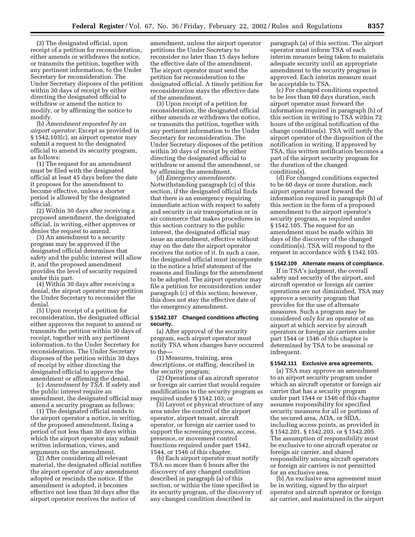(3) The designated official, upon receipt of a petition for reconsideration, either amends or withdraws the notice, or transmits the petition, together with any pertinent information, to the Under Secretary for reconsideration. The Under Secretary disposes of the petition within 30 days of receipt by either directing the designated official to withdraw or amend the notice to modify, or by affirming the notice to modify.

(b) *Amendment requested by an airport operator.* Except as provided in § 1542.103(c), an airport operator may submit a request to the designated official to amend its security program, as follows:

(1) The request for an amendment must be filed with the designated official at least 45 days before the date it proposes for the amendment to become effective, unless a shorter period is allowed by the designated official.

(2) Within 30 days after receiving a proposed amendment, the designated official, in writing, either approves or denies the request to amend.

(3) An amendment to a security program may be approved if the designated official determines that safety and the public interest will allow it, and the proposed amendment provides the level of security required under this part.

(4) Within 30 days after receiving a denial, the airport operator may petition the Under Secretary to reconsider the denial.

(5) Upon receipt of a petition for reconsideration, the designated official either approves the request to amend or transmits the petition within 30 days of receipt, together with any pertinent information, to the Under Secretary for reconsideration. The Under Secretary disposes of the petition within 30 days of receipt by either directing the designated official to approve the amendment or affirming the denial.

(c) *Amendment by TSA.* If safety and the public interest require an amendment, the designated official may amend a security program as follows:

(1) The designated official sends to the airport operator a notice, in writing, of the proposed amendment, fixing a period of not less than 30 days within which the airport operator may submit written information, views, and arguments on the amendment.

(2) After considering all relevant material, the designated official notifies the airport operator of any amendment adopted or rescinds the notice. If the amendment is adopted, it becomes effective not less than 30 days after the airport operator receives the notice of

amendment, unless the airport operator petitions the Under Secretary to reconsider no later than 15 days before the effective date of the amendment. The airport operator must send the petition for reconsideration to the designated official. A timely petition for reconsideration stays the effective date of the amendment.

(3) Upon receipt of a petition for reconsideration, the designated official either amends or withdraws the notice, or transmits the petition, together with any pertinent information to the Under Secretary for reconsideration. The Under Secretary disposes of the petition within 30 days of receipt by either directing the designated official to withdraw or amend the amendment, or by affirming the amendment.

(d) *Emergency amendments.* Notwithstanding paragraph (c) of this section, if the designated official finds that there is an emergency requiring immediate action with respect to safety and security in air transportation or in air commerce that makes procedures in this section contrary to the public interest, the designated official may issue an amendment, effective without stay on the date the airport operator receives the notice of it. In such a case, the designated official must incorporate in the notice a brief statement of the reasons and findings for the amendment to be adopted. The airport operator may file a petition for reconsideration under paragraph (c) of this section; however, this does not stay the effective date of the emergency amendment.

#### **§ 1542.107 Changed conditions affecting security.**

(a) After approval of the security program, each airport operator must notify TSA when changes have occurred to the—

(1) Measures, training, area descriptions, or staffing, described in the security program;

(2) Operations of an aircraft operator or foreign air carrier that would require modifications to the security program as required under § 1542.103; or

(3) Layout or physical structure of any area under the control of the airport operator, airport tenant, aircraft operator, or foreign air carrier used to support the screening process, access, presence, or movement control functions required under part 1542, 1544, or 1546 of this chapter.

(b) Each airport operator must notify TSA no more than 6 hours after the discovery of any changed condition described in paragraph (a) of this section, or within the time specified in its security program, of the discovery of any changed condition described in

paragraph (a) of this section. The airport operator must inform TSA of each interim measure being taken to maintain adequate security until an appropriate amendment to the security program is approved. Each interim measure must be acceptable to TSA.

(c) For changed conditions expected to be less than 60 days duration, each airport operator must forward the information required in paragraph (b) of this section in writing to TSA within 72 hours of the original notification of the change condition(s). TSA will notify the airport operator of the disposition of the notification in writing. If approved by TSA, this written notification becomes a part of the airport security program for the duration of the changed condition(s).

(d) For changed conditions expected to be 60 days or more duration, each airport operator must forward the information required in paragraph (b) of this section in the form of a proposed amendment to the airport operator's security program, as required under § 1542.105. The request for an amendment must be made within 30 days of the discovery of the changed condition(s). TSA will respond to the request in accordance with § 1542.105.

## **§ 1542.109 Alternate means of compliance.**

If in TSA's judgment, the overall safety and security of the airport, and aircraft operator or foreign air carrier operations are not diminished, TSA may approve a security program that provides for the use of alternate measures. Such a program may be considered only for an operator of an airport at which service by aircraft operators or foreign air carriers under part 1544 or 1546 of this chapter is determined by TSA to be seasonal or infrequent.

#### **§ 1542.111 Exclusive area agreements.**

(a) TSA may approve an amendment to an airport security program under which an aircraft operator or foreign air carrier that has a security program under part 1544 or 1546 of this chapter assumes responsibility for specified security measures for all or portions of the secured area, AOA, or SIDA, including access points, as provided in § 1542.201, § 1542.203, or § 1542.205. The assumption of responsibility must be exclusive to one aircraft operator or foreign air carrier, and shared responsibility among aircraft operators or foreign air carriers is not permitted for an exclusive area.

(b) An exclusive area agreement must be in writing, signed by the airport operator and aircraft operator or foreign air carrier, and maintained in the airport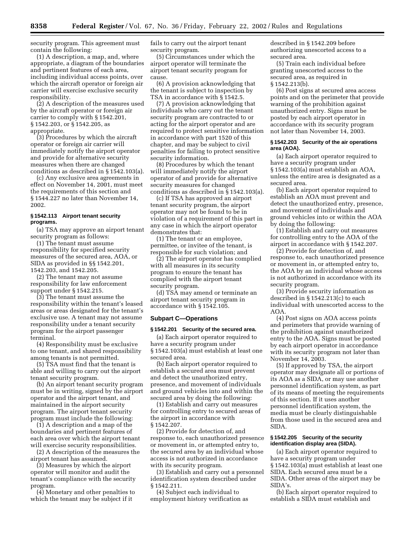security program. This agreement must contain the following:

(1) A description, a map, and, where appropriate, a diagram of the boundaries and pertinent features of each area, including individual access points, over which the aircraft operator or foreign air carrier will exercise exclusive security responsibility.

(2) A description of the measures used by the aircraft operator or foreign air carrier to comply with § 1542.201, § 1542.203, or § 1542.205, as appropriate.

(3) Procedures by which the aircraft operator or foreign air carrier will immediately notify the airport operator and provide for alternative security measures when there are changed conditions as described in § 1542.103(a).

(c) Any exclusive area agreements in effect on November 14, 2001, must meet the requirements of this section and § 1544.227 no later than November 14, 2002.

## **§ 1542.113 Airport tenant security programs.**

(a) TSA may approve an airport tenant security program as follows:

(1) The tenant must assume responsibility for specified security measures of the secured area, AOA, or SIDA as provided in §§ 1542.201, 1542.203, and 1542.205.

(2) The tenant may not assume responsibility for law enforcement support under § 1542.215.

(3) The tenant must assume the responsibility within the tenant's leased areas or areas designated for the tenant's exclusive use. A tenant may not assume responsibility under a tenant security program for the airport passenger terminal.

(4) Responsibility must be exclusive to one tenant, and shared responsibility among tenants is not permitted.

(5) TSA must find that the tenant is able and willing to carry out the airport tenant security program.

(b) An airport tenant security program must be in writing, signed by the airport operator and the airport tenant, and maintained in the airport security program. The airport tenant security program must include the following:

(1) A description and a map of the boundaries and pertinent features of each area over which the airport tenant will exercise security responsibilities.

(2) A description of the measures the airport tenant has assumed.

(3) Measures by which the airport operator will monitor and audit the tenant's compliance with the security program.

(4) Monetary and other penalties to which the tenant may be subject if it

fails to carry out the airport tenant security program.

(5) Circumstances under which the airport operator will terminate the airport tenant security program for cause.

(6) A provision acknowledging that the tenant is subject to inspection by TSA in accordance with § 1542.5.

(7) A provision acknowledging that individuals who carry out the tenant security program are contracted to or acting for the airport operator and are required to protect sensitive information in accordance with part 1520 of this chapter, and may be subject to civil penalties for failing to protect sensitive security information.

(8) Procedures by which the tenant will immediately notify the airport operator of and provide for alternative security measures for changed conditions as described in § 1542.103(a).

(c) If TSA has approved an airport tenant security program, the airport operator may not be found to be in violation of a requirement of this part in any case in which the airport operator demonstrates that:

(1) The tenant or an employee, permittee, or invitee of the tenant, is responsible for such violation; and

(2) The airport operator has complied with all measures in its security program to ensure the tenant has complied with the airport tenant security program.

(d) TSA may amend or terminate an airport tenant security program in accordance with § 1542.105.

## **Subpart C—Operations**

## **§ 1542.201 Security of the secured area.**

(a) Each airport operator required to have a security program under § 1542.103(a) must establish at least one secured area.

(b) Each airport operator required to establish a secured area must prevent and detect the unauthorized entry, presence, and movement of individuals and ground vehicles into and within the secured area by doing the following:

(1) Establish and carry out measures for controlling entry to secured areas of the airport in accordance with § 1542.207.

(2) Provide for detection of, and response to, each unauthorized presence or movement in, or attempted entry to, the secured area by an individual whose access is not authorized in accordance with its security program.

(3) Establish and carry out a personnel identification system described under § 1542.211.

(4) Subject each individual to employment history verification as described in § 1542.209 before authorizing unescorted access to a secured area.

(5) Train each individual before granting unescorted access to the secured area, as required in § 1542.213(b).

(6) Post signs at secured area access points and on the perimeter that provide warning of the prohibition against unauthorized entry. Signs must be posted by each airport operator in accordance with its security program not later than November 14, 2003.

## **§ 1542.203 Security of the air operations area (AOA).**

(a) Each airport operator required to have a security program under § 1542.103(a) must establish an AOA, unless the entire area is designated as a secured area.

(b) Each airport operator required to establish an AOA must prevent and detect the unauthorized entry, presence, and movement of individuals and ground vehicles into or within the AOA by doing the following:

(1) Establish and carry out measures for controlling entry to the AOA of the airport in accordance with § 1542.207.

(2) Provide for detection of, and response to, each unauthorized presence or movement in, or attempted entry to, the AOA by an individual whose access is not authorized in accordance with its security program.

(3) Provide security information as described in § 1542.213(c) to each individual with unescorted access to the AOA.

(4) Post signs on AOA access points and perimeters that provide warning of the prohibition against unauthorized entry to the AOA. Signs must be posted by each airport operator in accordance with its security program not later than November 14, 2003.

(5) If approved by TSA, the airport operator may designate all or portions of its AOA as a SIDA, or may use another personnel identification system, as part of its means of meeting the requirements of this section. If it uses another personnel identification system, the media must be clearly distinguishable from those used in the secured area and SIDA.

## **§ 1542.205 Security of the security identification display area (SIDA).**

(a) Each airport operator required to have a security program under § 1542.103(a) must establish at least one SIDA. Each secured area must be a SIDA. Other areas of the airport may be SIDA's.

(b) Each airport operator required to establish a SIDA must establish and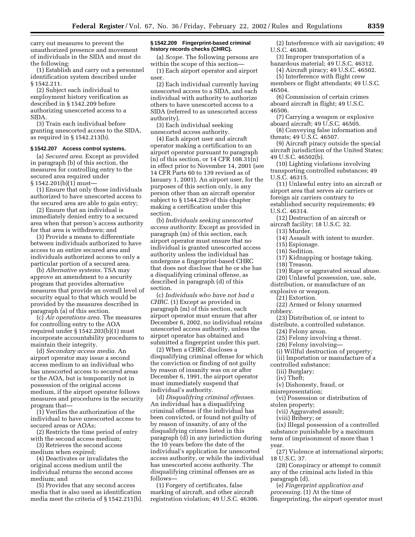carry out measures to prevent the unauthorized presence and movement of individuals in the SIDA and must do the following:

(1) Establish and carry out a personnel identification system described under § 1542.211.

(2) Subject each individual to employment history verification as described in § 1542.209 before authorizing unescorted access to a SIDA.

(3) Train each individual before granting unescorted access to the SIDA, as required in § 1542.213(b).

## **§ 1542.207 Access control systems.**

(a) *Secured area.* Except as provided in paragraph (b) of this section, the measures for controlling entry to the secured area required under § 1542.201(b)(1) must—

(1) Ensure that only those individuals authorized to have unescorted access to the secured area are able to gain entry;

(2) Ensure that an individual is immediately denied entry to a secured area when that person's access authority for that area is withdrawn; and

(3) Provide a means to differentiate between individuals authorized to have access to an entire secured area and individuals authorized access to only a particular portion of a secured area.

(b) *Alternative systems.* TSA may approve an amendment to a security program that provides alternative measures that provide an overall level of security equal to that which would be provided by the measures described in paragraph (a) of this section.

(c) *Air operations area.* The measures for controlling entry to the AOA required under § 1542.203(b)(1) must incorporate accountability procedures to maintain their integrity.

(d) *Secondary access media.* An airport operator may issue a second access medium to an individual who has unescorted access to secured areas or the AOA, but is temporarily not in possession of the original access medium, if the airport operator follows measures and procedures in the security program that—

(1) Verifies the authorization of the individual to have unescorted access to secured areas or AOAs;

(2) Restricts the time period of entry with the second access medium;

(3) Retrieves the second access medium when expired;

(4) Deactivates or invalidates the original access medium until the individual returns the second access medium; and

(5) Provides that any second access media that is also used as identification media meet the criteria of § 1542.211(b).

## **§ 1542.209 Fingerprint-based criminal history records checks (CHRC).**

(a) *Scope.* The following persons are within the scope of this section—

(1) Each airport operator and airport user.

(2) Each individual currently having unescorted access to a SIDA, and each individual with authority to authorize others to have unescorted access to a SIDA (referred to as unescorted access authority).

(3) Each individual seeking unescorted access authority.

(4) Each airport user and aircraft operator making a certification to an airport operator pursuant to paragraph (n) of this section, or 14 CFR 108.31(n) in effect prior to November 14, 2001 (see 14 CFR Parts 60 to 139 revised as of January 1, 2001). An airport user, for the purposes of this section only, is any person other than an aircraft operator subject to § 1544.229 of this chapter making a certification under this section.

(b) *Individuals seeking unescorted access authority.* Except as provided in paragraph (m) of this section, each airport operator must ensure that no individual is granted unescorted access authority unless the individual has undergone a fingerprint-based CHRC that does not disclose that he or she has a disqualifying criminal offense, as described in paragraph (d) of this section.

(c) *Individuals who have not had a CHRC.* (1) Except as provided in paragraph (m) of this section, each airport operator must ensure that after December 6, 2002, no individual retains unescorted access authority, unless the airport operator has obtained and submitted a fingerprint under this part.

(2) When a CHRC discloses a disqualifying criminal offense for which the conviction or finding of not guilty by reason of insanity was on or after December 6, 1991, the airport operator must immediately suspend that individual's authority.

(d) *Disqualifying criminal offenses.* An individual has a disqualifying criminal offense if the individual has been convicted, or found not guilty of by reason of insanity, of any of the disqualifying crimes listed in this paragraph (d) in any jurisdiction during the 10 years before the date of the individual's application for unescorted access authority, or while the individual has unescorted access authority. The disqualifying criminal offenses are as follows—

(1) Forgery of certificates, false marking of aircraft, and other aircraft registration violation; 49 U.S.C. 46306.

(2) Interference with air navigation; 49 U.S.C. 46308.

(3) Improper transportation of a hazardous material; 49 U.S.C. 46312.

(4) Aircraft piracy; 49 U.S.C. 46502. (5) Interference with flight crew

members or flight attendants; 49 U.S.C. 46504.

(6) Commission of certain crimes aboard aircraft in flight; 49 U.S.C. 46506.

(7) Carrying a weapon or explosive aboard aircraft; 49 U.S.C. 46505.

(8) Conveying false information and threats; 49 U.S.C. 46507.

(9) Aircraft piracy outside the special aircraft jurisdiction of the United States; 49 U.S.C. 46502(b).

(10) Lighting violations involving transporting controlled substances; 49 U.S.C. 46315.

(11) Unlawful entry into an aircraft or airport area that serves air carriers or foreign air carriers contrary to established security requirements; 49 U.S.C. 46314.

(12) Destruction of an aircraft or aircraft facility; 18 U.S.C. 32.

(13) Murder.

(14) Assault with intent to murder.

(15) Espionage.

(16) Sedition.

(17) Kidnapping or hostage taking.

(18) Treason.

(19) Rape or aggravated sexual abuse.

(20) Unlawful possession, use, sale, distribution, or manufacture of an

explosive or weapon.

(21) Extortion.

(22) Armed or felony unarmed robbery.

(23) Distribution of, or intent to distribute, a controlled substance. (24) Felony arson.

(25) Felony involving a threat.

(26) Felony involving—

(i) Willful destruction of property;

(ii) Importation or manufacture of a

controlled substance;

(iii) Burglary; (iv) Theft;

(v) Dishonesty, fraud, or

misrepresentation;

(vi) Possession or distribution of stolen property;

(vii) Aggravated assault;

(viii) Bribery; or (ix) Illegal possession of a controlled substance punishable by a maximum

term of imprisonment of more than 1 year.

(27) Violence at international airports; 18 U.S.C. 37.

(28) Conspiracy or attempt to commit any of the criminal acts listed in this paragraph (d).

(e) *Fingerprint application and processing.* (1) At the time of fingerprinting, the airport operator must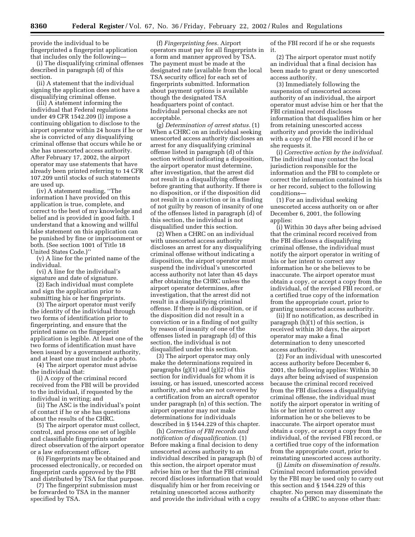provide the individual to be fingerprinted a fingerprint application that includes only the following—

(i) The disqualifying criminal offenses described in paragraph (d) of this section.

(ii) A statement that the individual signing the application does not have a disqualifying criminal offense.

(iii) A statement informing the individual that Federal regulations under 49 CFR 1542.209 (l) impose a continuing obligation to disclose to the airport operator within 24 hours if he or she is convicted of any disqualifying criminal offense that occurs while he or she has unescorted access authority. After February 17, 2002, the airport operator may use statements that have already been printed referring to 14 CFR 107.209 until stocks of such statements are used up.

(iv) A statement reading, ''The information I have provided on this application is true, complete, and correct to the best of my knowledge and belief and is provided in good faith. I understand that a knowing and willful false statement on this application can be punished by fine or imprisonment or both. (See section 1001 of Title 18 United States Code.)''

(v) A line for the printed name of the individual.

(vi) A line for the individual's signature and date of signature.

(2) Each individual must complete and sign the application prior to submitting his or her fingerprints.

(3) The airport operator must verify the identity of the individual through two forms of identification prior to fingerprinting, and ensure that the printed name on the fingerprint application is legible. At least one of the two forms of identification must have been issued by a government authority, and at least one must include a photo.

(4) The airport operator must advise the individual that:

(i) A copy of the criminal record received from the FBI will be provided to the individual, if requested by the individual in writing; and

(ii) The ASC is the individual's point of contact if he or she has questions about the results of the CHRC.

(5) The airport operator must collect, control, and process one set of legible and classifiable fingerprints under direct observation of the airport operator or a law enforcement officer.

(6) Fingerprints may be obtained and processed electronically, or recorded on fingerprint cards approved by the FBI and distributed by TSA for that purpose.

(7) The fingerprint submission must be forwarded to TSA in the manner specified by TSA.

(f) *Fingerprinting fees.* Airport operators must pay for all fingerprints in a form and manner approved by TSA. The payment must be made at the designated rate (available from the local TSA security office) for each set of fingerprints submitted. Information about payment options is available though the designated TSA headquarters point of contact. Individual personal checks are not acceptable.

(g) *Determination of arrest status.* (1) When a CHRC on an individual seeking unescorted access authority discloses an arrest for any disqualifying criminal offense listed in paragraph (d) of this section without indicating a disposition, the airport operator must determine, after investigation, that the arrest did not result in a disqualifying offense before granting that authority. If there is no disposition, or if the disposition did not result in a conviction or in a finding of not guilty by reason of insanity of one of the offenses listed in paragraph (d) of this section, the individual is not disqualified under this section.

(2) When a CHRC on an individual with unescorted access authority discloses an arrest for any disqualifying criminal offense without indicating a disposition, the airport operator must suspend the individual's unescorted access authority not later than 45 days after obtaining the CHRC unless the airport operator determines, after investigation, that the arrest did not result in a disqualifying criminal offense. If there is no disposition, or if the disposition did not result in a conviction or in a finding of not guilty by reason of insanity of one of the offenses listed in paragraph (d) of this section, the individual is not disqualified under this section.

(3) The airport operator may only make the determinations required in paragraphs  $(g)(1)$  and  $(g)(2)$  of this section for individuals for whom it is issuing, or has issued, unescorted access authority, and who are not covered by a certification from an aircraft operator under paragraph (n) of this section. The airport operator may not make determinations for individuals described in § 1544.229 of this chapter.

(h) *Correction of FBI records and notification of disqualification.* (1) Before making a final decision to deny unescorted access authority to an individual described in paragraph (b) of this section, the airport operator must advise him or her that the FBI criminal record discloses information that would disqualify him or her from receiving or retaining unescorted access authority and provide the individual with a copy

of the FBI record if he or she requests it.

(2) The airport operator must notify an individual that a final decision has been made to grant or deny unescorted access authority.

(3) Immediately following the suspension of unescorted access authority of an individual, the airport operator must advise him or her that the FBI criminal record discloses information that disqualifies him or her from retaining unescorted access authority and provide the individual with a copy of the FBI record if he or she requests it.

(i) *Corrective action by the individual.* The individual may contact the local jurisdiction responsible for the information and the FBI to complete or correct the information contained in his or her record, subject to the following conditions—

(1) For an individual seeking unescorted access authority on or after December 6, 2001, the following applies:

(i) Within 30 days after being advised that the criminal record received from the FBI discloses a disqualifying criminal offense, the individual must notify the airport operator in writing of his or her intent to correct any information he or she believes to be inaccurate. The airport operator must obtain a copy, or accept a copy from the individual, of the revised FBI record, or a certified true copy of the information from the appropriate court, prior to granting unescorted access authority.

(ii) If no notification, as described in paragraph (h)(1) of this section, is received within 30 days, the airport operator may make a final determination to deny unescorted access authority.

(2) For an individual with unescorted access authority before December 6, 2001, the following applies: Within 30 days after being advised of suspension because the criminal record received from the FBI discloses a disqualifying criminal offense, the individual must notify the airport operator in writing of his or her intent to correct any information he or she believes to be inaccurate. The airport operator must obtain a copy, or accept a copy from the individual, of the revised FBI record, or a certified true copy of the information from the appropriate court, prior to reinstating unescorted access authority.

(j) *Limits on dissemination of results.* Criminal record information provided by the FBI may be used only to carry out this section and § 1544.229 of this chapter. No person may disseminate the results of a CHRC to anyone other than: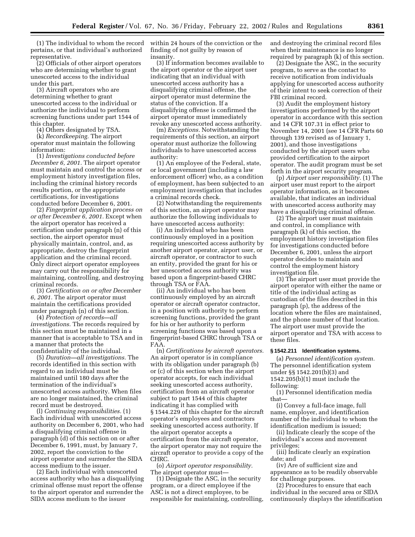(1) The individual to whom the record pertains, or that individual's authorized representative.

(2) Officials of other airport operators who are determining whether to grant unescorted access to the individual under this part.

(3) Aircraft operators who are determining whether to grant unescorted access to the individual or authorize the individual to perform screening functions under part 1544 of this chapter.

(4) Others designated by TSA.

(k) *Recordkeeping.* The airport operator must maintain the following information:

(1) *Investigations conducted before December 6, 2001.* The airport operator must maintain and control the access or employment history investigation files, including the criminal history records results portion, or the appropriate certifications, for investigations conducted before December 6, 2001.

(2) *Fingerprint application process on or after December 6, 2001.* Except when the airport operator has received a certification under paragraph (n) of this section, the airport operator must physically maintain, control, and, as appropriate, destroy the fingerprint application and the criminal record. Only direct airport operator employees may carry out the responsibility for maintaining, controlling, and destroying criminal records.

(3) *Certification on or after December 6, 2001.* The airport operator must maintain the certifications provided under paragraph (n) of this section.

(4) *Protection of records—all investigations.* The records required by this section must be maintained in a manner that is acceptable to TSA and in a manner that protects the confidentiality of the individual.

(5) *Duration—all investigations.* The records identified in this section with regard to an individual must be maintained until 180 days after the termination of the individual's unescorted access authority. When files are no longer maintained, the criminal record must be destroyed.

(l) *Continuing responsibilities.* (1) Each individual with unescorted access authority on December 6, 2001, who had a disqualifying criminal offense in paragraph (d) of this section on or after December 6, 1991, must, by January 7, 2002, report the conviction to the airport operator and surrender the SIDA access medium to the issuer.

(2) Each individual with unescorted access authority who has a disqualifying criminal offense must report the offense to the airport operator and surrender the SIDA access medium to the issuer

within 24 hours of the conviction or the finding of not guilty by reason of insanity.

(3) If information becomes available to the airport operator or the airport user indicating that an individual with unescorted access authority has a disqualifying criminal offense, the airport operator must determine the status of the conviction. If a disqualifying offense is confirmed the airport operator must immediately revoke any unescorted access authority.

(m) *Exceptions.* Notwithstanding the requirements of this section, an airport operator must authorize the following individuals to have unescorted access authority:

(1) An employee of the Federal, state, or local government (including a law enforcement officer) who, as a condition of employment, has been subjected to an employment investigation that includes a criminal records check.

(2) Notwithstanding the requirements of this section, an airport operator may authorize the following individuals to have unescorted access authority:

(i) An individual who has been continuously employed in a position requiring unescorted access authority by another airport operator, airport user, or aircraft operator, or contractor to such an entity, provided the grant for his or her unescorted access authority was based upon a fingerprint-based CHRC through TSA or FAA.

(ii) An individual who has been continuously employed by an aircraft operator or aircraft operator contractor, in a position with authority to perform screening functions, provided the grant for his or her authority to perform screening functions was based upon a fingerprint-based CHRC through TSA or FAA.

(n) *Certifications by aircraft operators.* An airport operator is in compliance with its obligation under paragraph (b) or (c) of this section when the airport operator accepts, for each individual seeking unescorted access authority, certification from an aircraft operator subject to part 1544 of this chapter indicating it has complied with § 1544.229 of this chapter for the aircraft operator's employees and contractors seeking unescorted access authority. If the airport operator accepts a certification from the aircraft operator, the airport operator may not require the aircraft operator to provide a copy of the CHRC.

(o) *Airport operator responsibility.* The airport operator must—

(1) Designate the ASC, in the security program, or a direct employee if the ASC is not a direct employee, to be responsible for maintaining, controlling, and destroying the criminal record files when their maintenance is no longer required by paragraph (k) of this section.

(2) Designate the ASC, in the security program, to serve as the contact to receive notification from individuals applying for unescorted access authority of their intent to seek correction of their FBI criminal record.

(3) Audit the employment history investigations performed by the airport operator in accordance with this section and 14 CFR 107.31 in effect prior to November 14, 2001 (see 14 CFR Parts 60 through 139 revised as of January 1, 2001), and those investigations conducted by the airport users who provided certification to the airport operator. The audit program must be set forth in the airport security program.

(p) *Airport user responsibility.* (1) The airport user must report to the airport operator information, as it becomes available, that indicates an individual with unescorted access authority may have a disqualifying criminal offense.

(2) The airport user must maintain and control, in compliance with paragraph (k) of this section, the employment history investigation files for investigations conducted before December 6, 2001, unless the airport operator decides to maintain and control the employment history investigation file.

(3) The airport user must provide the airport operator with either the name or title of the individual acting as custodian of the files described in this paragraph (p), the address of the location where the files are maintained, and the phone number of that location. The airport user must provide the airport operator and TSA with access to these files.

## **§ 1542.211 Identification systems.**

(a) *Personnel identification system.* The personnel identification system under §§ 1542.201(b)(3) and 1542.205(b)(1) must include the following:

(1) Personnel identification media that—

(i) Convey a full-face image, full name, employer, and identification number of the individual to whom the identification medium is issued;

(ii) Indicate clearly the scope of the individual's access and movement privileges;

(iii) Indicate clearly an expiration date; and

(iv) Are of sufficient size and appearance as to be readily observable for challenge purposes.

(2) Procedures to ensure that each individual in the secured area or SIDA continuously displays the identification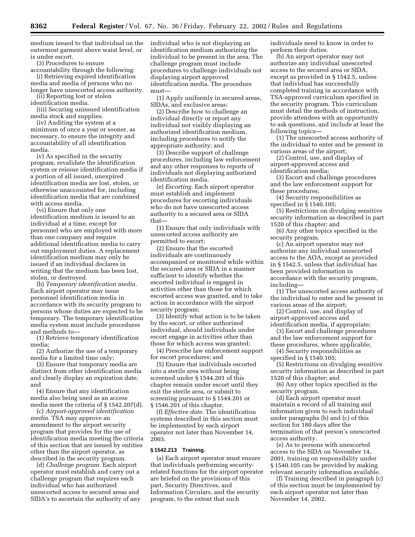medium issued to that individual on the outermost garment above waist level, or is under escort.

(3) Procedures to ensure

accountability through the following: (i) Retrieving expired identification

media and media of persons who no longer have unescorted access authority. (ii) Reporting lost or stolen

identification media.

(iii) Securing unissued identification media stock and supplies.

(iv) Auditing the system at a

minimum of once a year or sooner, as necessary, to ensure the integrity and accountability of all identification media.

(v) As specified in the security program, revalidate the identification system or reissue identification media if a portion of all issued, unexpired identification media are lost, stolen, or otherwise unaccounted for, including identification media that are combined with access media.

(vi) Ensure that only one identification medium is issued to an individual at a time, except for personnel who are employed with more than one company and require additional identification media to carry out employment duties. A replacement identification medium may only be issued if an individual declares in writing that the medium has been lost, stolen, or destroyed.

(b) *Temporary identification media.* Each airport operator may issue personnel identification media in accordance with its security program to persons whose duties are expected to be temporary. The temporary identification media system must include procedures and methods to—

(1) Retrieve temporary identification media;

(2) Authorize the use of a temporary media for a limited time only;

(3) Ensure that temporary media are distinct from other identification media and clearly display an expiration date; and

(4) Ensure that any identification media also being used as an access media meet the criteria of § 1542.207(d).

(c) *Airport-approved identification media.* TSA may approve an amendment to the airport security program that provides for the use of identification media meeting the criteria of this section that are issued by entities other than the airport operator, as described in the security program.

(d) *Challenge program.* Each airport operator must establish and carry out a challenge program that requires each individual who has authorized unescorted access to secured areas and SIDA's to ascertain the authority of any individual who is not displaying an identification medium authorizing the individual to be present in the area. The challenge program must include procedures to challenge individuals not displaying airport approved identification media. The procedure must—

(1) Apply uniformly in secured areas, SIDAs, and exclusive areas;

(2) Describe how to challenge an individual directly or report any individual not visibly displaying an authorized identification medium, including procedures to notify the appropriate authority; and

(3) Describe support of challenge procedures, including law enforcement and any other responses to reports of individuals not displaying authorized identification media.

(e) *Escorting.* Each airport operator must establish and implement procedures for escorting individuals who do not have unescorted access authority to a secured area or SIDA that—

(1) Ensure that only individuals with unescorted access authority are permitted to escort;

(2) Ensure that the escorted individuals are continuously accompanied or monitored while within the secured area or SIDA in a manner sufficient to identify whether the escorted individual is engaged in activities other than those for which escorted access was granted, and to take action in accordance with the airport security program;

(3) Identify what action is to be taken by the escort, or other authorized individual, should individuals under escort engage in activities other than those for which access was granted;

(4) Prescribe law enforcement support for escort procedures; and

(5) Ensure that individuals escorted into a sterile area without being screened under § 1544.201 of this chapter remain under escort until they exit the sterile area, or submit to screening pursuant to § 1544.201 or § 1546.201 of this chapter.

(f) *Effective date.* The identification systems described in this section must be implemented by each airport operator not later than November 14, 2003.

## **§ 1542.213 Training.**

(a) Each airport operator must ensure that individuals performing securityrelated functions for the airport operator are briefed on the provisions of this part, Security Directives, and Information Circulars, and the security program, to the extent that such

individuals need to know in order to perform their duties.

(b) An airport operator may not authorize any individual unescorted access to the secured area or SIDA, except as provided in § 1542.5, unless that individual has successfully completed training in accordance with TSA-approved curriculum specified in the security program. This curriculum must detail the methods of instruction, provide attendees with an opportunity to ask questions, and include at least the following topics—

(1) The unescorted access authority of the individual to enter and be present in various areas of the airport;

(2) Control, use, and display of airport-approved access and identification media;

(3) Escort and challenge procedures and the law enforcement support for these procedures;

(4) Security responsibilities as specified in § 1540.105;

(5) Restrictions on divulging sensitive security information as described in part 1520 of this chapter; and

(6) Any other topics specified in the security program.

(c) An airport operator may not authorize any individual unescorted access to the AOA, except as provided in § 1542.5, unless that individual has been provided information in accordance with the security program, including—

(1) The unescorted access authority of the individual to enter and be present in various areas of the airport;

(2) Control, use, and display of airport-approved access and

identification media, if appropriate; (3) Escort and challenge procedures and the law enforcement support for

these procedures, where applicable;

(4) Security responsibilities as specified in § 1540.105;

(5) Restrictions on divulging sensitive security information as described in part 1520 of this chapter; and

(6) Any other topics specified in the security program.

(d) Each airport operator must maintain a record of all training and information given to each individual under paragraphs (b) and (c) of this section for 180 days after the termination of that person's unescorted access authority.

(e) As to persons with unescorted access to the SIDA on November 14, 2001, training on responsibility under § 1540.105 can be provided by making relevant security information available.

(f) Training described in paragraph (c) of this section must be implemented by each airport operator not later than November 14, 2002.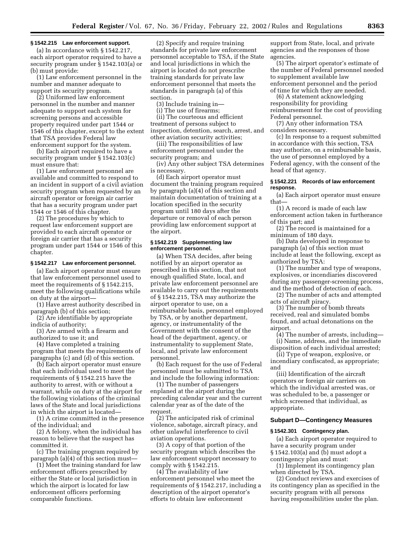## **§ 1542.215 Law enforcement support.**

(a) In accordance with § 1542.217, each airport operator required to have a security program under § 1542.103(a) or (b) must provide:

(1) Law enforcement personnel in the number and manner adequate to support its security program.

(2) Uniformed law enforcement personnel in the number and manner adequate to support each system for screening persons and accessible property required under part 1544 or 1546 of this chapter, except to the extent that TSA provides Federal law enforcement support for the system.

(b) Each airport required to have a security program under § 1542.103(c) must ensure that:

(1) Law enforcement personnel are available and committed to respond to an incident in support of a civil aviation security program when requested by an aircraft operator or foreign air carrier that has a security program under part 1544 or 1546 of this chapter.

(2) The procedures by which to request law enforcement support are provided to each aircraft operator or foreign air carrier that has a security program under part 1544 or 1546 of this chapter.

#### **§ 1542.217 Law enforcement personnel.**

(a) Each airport operator must ensure that law enforcement personnel used to meet the requirements of § 1542.215, meet the following qualifications while on duty at the airport—

(1) Have arrest authority described in paragraph (b) of this section;

(2) Are identifiable by appropriate indicia of authority;

(3) Are armed with a firearm and authorized to use it; and

(4) Have completed a training program that meets the requirements of paragraphs (c) and (d) of this section.

(b) Each airport operator must ensure that each individual used to meet the requirements of § 1542.215 have the authority to arrest, with or without a warrant, while on duty at the airport for the following violations of the criminal laws of the State and local jurisdictions in which the airport is located—

(1) A crime committed in the presence of the individual; and

(2) A felony, when the individual has reason to believe that the suspect has committed it.

(c) The training program required by paragraph (a)(4) of this section must—

(1) Meet the training standard for law enforcement officers prescribed by either the State or local jurisdiction in which the airport is located for law enforcement officers performing comparable functions.

(2) Specify and require training standards for private law enforcement personnel acceptable to TSA, if the State and local jurisdictions in which the airport is located do not prescribe training standards for private law enforcement personnel that meets the standards in paragraph (a) of this section.

(3) Include training in—

(i) The use of firearms;

(ii) The courteous and efficient treatment of persons subject to inspection, detention, search, arrest, and other aviation security activities;

(iii) The responsibilities of law enforcement personnel under the security program; and

(iv) Any other subject TSA determines is necessary.

(d) Each airport operator must document the training program required by paragraph (a)(4) of this section and maintain documentation of training at a location specified in the security program until 180 days after the departure or removal of each person providing law enforcement support at the airport.

## **§ 1542.219 Supplementing law enforcement personnel.**

(a) When TSA decides, after being notified by an airport operator as prescribed in this section, that not enough qualified State, local, and private law enforcement personnel are available to carry out the requirements of § 1542.215, TSA may authorize the airport operator to use, on a reimbursable basis, personnel employed by TSA, or by another department, agency, or instrumentality of the Government with the consent of the head of the department, agency, or instrumentality to supplement State, local, and private law enforcement personnel.

(b) Each request for the use of Federal personnel must be submitted to TSA and include the following information:

(1) The number of passengers enplaned at the airport during the preceding calendar year and the current calendar year as of the date of the request.

(2) The anticipated risk of criminal violence, sabotage, aircraft piracy, and other unlawful interference to civil aviation operations.

(3) A copy of that portion of the security program which describes the law enforcement support necessary to comply with § 1542.215.

(4) The availability of law enforcement personnel who meet the requirements of § 1542.217, including a description of the airport operator's efforts to obtain law enforcement

support from State, local, and private agencies and the responses of those agencies.

(5) The airport operator's estimate of the number of Federal personnel needed to supplement available law enforcement personnel and the period of time for which they are needed.

(6) A statement acknowledging responsibility for providing reimbursement for the cost of providing Federal personnel.

(7) Any other information TSA considers necessary.

(c) In response to a request submitted in accordance with this section, TSA may authorize, on a reimbursable basis, the use of personnel employed by a Federal agency, with the consent of the head of that agency.

## **§ 1542.221 Records of law enforcement response.**

(a) Each airport operator must ensure that—

(1) A record is made of each law enforcement action taken in furtherance of this part; and

(2) The record is maintained for a minimum of 180 days.

(b) Data developed in response to paragraph (a) of this section must include at least the following, except as authorized by TSA:

(1) The number and type of weapons, explosives, or incendiaries discovered during any passenger-screening process, and the method of detection of each.

(2) The number of acts and attempted acts of aircraft piracy.

(3) The number of bomb threats received, real and simulated bombs found, and actual detonations on the airport.

(4) The number of arrests, including— (i) Name, address, and the immediate disposition of each individual arrested;

(ii) Type of weapon, explosive, or incendiary confiscated, as appropriate; and

(iii) Identification of the aircraft operators or foreign air carriers on which the individual arrested was, or was scheduled to be, a passenger or which screened that individual, as appropriate.

## **Subpart D—Contingency Measures**

## **§ 1542.301 Contingency plan.**

(a) Each airport operator required to have a security program under § 1542.103(a) and (b) must adopt a contingency plan and must:

(1) Implement its contingency plan when directed by TSA.

(2) Conduct reviews and exercises of its contingency plan as specified in the security program with all persons having responsibilities under the plan.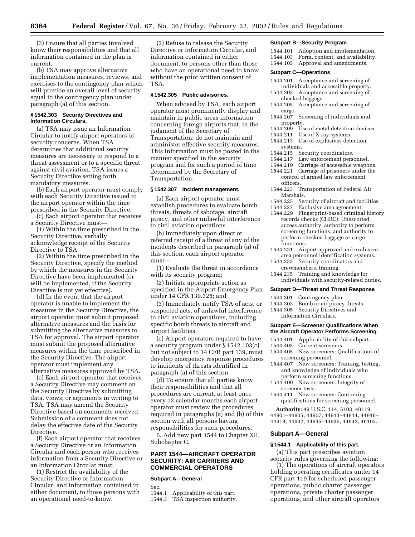(3) Ensure that all parties involved know their responsibilities and that all information contained in the plan is current.

(b) TSA may approve alternative implementation measures, reviews, and exercises to the contingency plan which will provide an overall level of security equal to the contingency plan under paragraph (a) of this section.

## **§ 1542.303 Security Directives and Information Circulars.**

(a) TSA may issue an Information Circular to notify airport operators of security concerns. When TSA determines that additional security measures are necessary to respond to a threat assessment or to a specific threat against civil aviation, TSA issues a Security Directive setting forth mandatory measures.

(b) Each airport operator must comply with each Security Directive issued to the airport operator within the time prescribed in the Security Directive.

(c) Each airport operator that receives a Security Directive must—

(1) Within the time prescribed in the Security Directive, verbally acknowledge receipt of the Security Directive to TSA.

(2) Within the time prescribed in the Security Directive, specify the method by which the measures in the Security Directive have been implemented (or will be implemented, if the Security Directive is not yet effective).

(d) In the event that the airport operator is unable to implement the measures in the Security Directive, the airport operator must submit proposed alternative measures and the basis for submitting the alternative measures to TSA for approval. The airport operator must submit the proposed alternative measures within the time prescribed in the Security Directive. The airport operator must implement any alternative measures approved by TSA.

(e) Each airport operator that receives a Security Directive may comment on the Security Directive by submitting data, views, or arguments in writing to TSA. TSA may amend the Security Directive based on comments received. Submission of a comment does not delay the effective date of the Security Directive.

(f) Each airport operator that receives a Security Directive or an Information Circular and each person who receives information from a Security Directive or an Information Circular must:

(1) Restrict the availability of the Security Directive or Information Circular, and information contained in either document, to those persons with an operational need-to-know.

(2) Refuse to release the Security Directive or Information Circular, and information contained in either document, to persons other than those who have an operational need to know without the prior written consent of TSA.

## **§ 1542.305 Public advisories.**

When advised by TSA, each airport operator must prominently display and maintain in public areas information concerning foreign airports that, in the judgment of the Secretary of Transportation, do not maintain and administer effective security measures. This information must be posted in the manner specified in the security program and for such a period of time determined by the Secretary of Transportation.

## **§ 1542.307 Incident management.**

(a) Each airport operator must establish procedures to evaluate bomb threats, threats of sabotage, aircraft piracy, and other unlawful interference to civil aviation operations.

(b) Immediately upon direct or referred receipt of a threat of any of the incidents described in paragraph (a) of this section, each airport operator must—

(1) Evaluate the threat in accordance with its security program;

(2) Initiate appropriate action as specified in the Airport Emergency Plan under 14 CFR 139.325; and

(3) Immediately notify TSA of acts, or suspected acts, of unlawful interference to civil aviation operations, including specific bomb threats to aircraft and airport facilities.

(c) Airport operators required to have a security program under § 1542.103(c) but not subject to 14 CFR part 139, must develop emergency response procedures to incidents of threats identified in paragraph (a) of this section.

(d) To ensure that all parties know their responsibilities and that all procedures are current, at least once every 12 calendar months each airport operator must review the procedures required in paragraphs (a) and (b) of this section with all persons having responsibilities for such procedures.

6. Add new part 1544 to Chapter XII, Subchapter C.

## **PART 1544—AIRCRAFT OPERATOR SECURITY: AIR CARRIERS AND COMMERCIAL OPERATORS**

#### **Subpart A—General**

Sec.

1544.1 Applicability of this part. 1544.3 TSA inspection authority.

#### **Subpart B—Security Program**

- 1544.101 Adoption and implementation.
- 1544.103 Form, content, and availability.
- 1544.105 Approval and amendments.

## **Subpart C—Operations**

- 1544.201 Acceptance and screening of individuals and accessible property.
- 1544.203 Acceptance and screening of checked baggage.
- 1544.205 Acceptance and screening of cargo.
- 1544.207 Screening of individuals and property.
- 1544.209 Use of metal detection devices.
- 1544.211 Use of X-ray systems.
- 1544.213 Use of explosives detection systems.<br>1544.215 S
- 1544.215 Security coordinators.<br>1544.217 Law enforcement pers
- Law enforcement personnel.
- 1544.219 Carriage of accessible weapons.
- 1544.221 Carriage of prisoners under the control of armed law enforcement officers.
- 1544.223 Transportation of Federal Air Marshals.<br>1544–225 Sec
- 1544.225 Security of aircraft and facilities.
- Exclusive area agreement.
- 1544.229 Fingerprint-based criminal history records checks (CHRC): Unescorted access authority, authority to perform screening functions, and authority to perform checked baggage or cargo functions.
- 1544.231 Airport-approved and exclusive area personnel identification systems.
- 1544.233 Security coordinators and crewmembers, training.
- 1544.235 Training and knowledge for individuals with security-related duties.

## **Subpart D—Threat and Threat Response**

- 1544.301 Contingency plan.
- 1544.303 Bomb or air piracy threats.
- 1544.305 Security Directives and
- Information Circulars.

## **Subpart E—Screener Qualifications When the Aircraft Operator Performs Screening**

- 
- 1544.401 Applicability of this subpart.<br>1544.403 Current screeners Current screeners.
- 1544.405 New screeners: Qualifications of screening personnel.
- 1544.407 New screeners: Training, testing, and knowledge of individuals who perform screening functions.
- 1544.409 New screeners: Integrity of screener tests.
- 1544.411 New screeners: Continuing qualifications for screening personnel.

**Authority:** 49 U.S.C. 114, 5103, 40119, 44901–44905, 44907, 44913–44914, 44916– 44918, 44932, 44935–44936, 44942, 46105.

## **Subpart A—General**

#### **§ 1544.1 Applicability of this part.**

(a) This part prescribes aviation security rules governing the following:

(1) The operations of aircraft operators holding operating certificates under 14 CFR part 119 for scheduled passenger operations, public charter passenger operations, private charter passenger operations, and other aircraft operators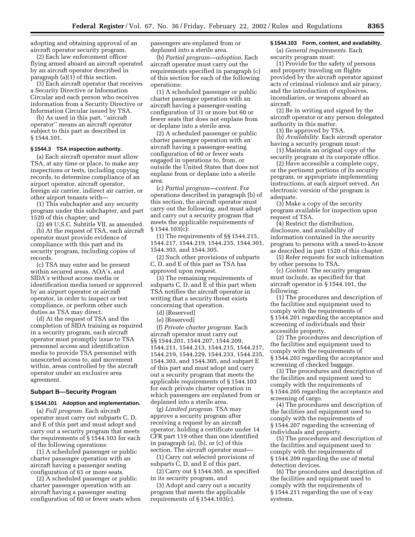adopting and obtaining approval of an aircraft operator security program.

(2) Each law enforcement officer flying armed aboard an aircraft operated by an aircraft operator described in paragraph (a)(1) of this section.

(3) Each aircraft operator that receives a Security Directive or Information Circular and each person who receives information from a Security Directive or Information Circular issued by TSA.

(b) As used in this part, ''aircraft operator'' means an aircraft operator subject to this part as described in § 1544.101.

## **§ 1544.3 TSA inspection authority.**

(a) Each aircraft operator must allow TSA, at any time or place, to make any inspections or tests, including copying records, to determine compliance of an airport operator, aircraft operator, foreign air carrier, indirect air carrier, or other airport tenants with—

(1) This subchapter and any security program under this subchapter, and part 1520 of this chapter; and

(2) 49 U.S.C. Subtitle VII, as amended. (b) At the request of TSA, each aircraft operator must provide evidence of compliance with this part and its security program, including copies of records.

(c) TSA may enter and be present within secured areas, AOA's, and SIDA's without access media or identification media issued or approved by an airport operator or aircraft operator, in order to inspect or test compliance, or perform other such duties as TSA may direct.

(d) At the request of TSA and the completion of SIDA training as required in a security program, each aircraft operator must promptly issue to TSA personnel access and identification media to provide TSA personnel with unescorted access to, and movement within, areas controlled by the aircraft operator under an exclusive area agreement.

## **Subpart B—Security Program**

## **§ 1544.101 Adoption and implementation.**

(a) *Full program.* Each aircraft operator must carry out subparts C, D, and E of this part and must adopt and carry out a security program that meets the requirements of § 1544.103 for each of the following operations:

(1) A scheduled passenger or public charter passenger operation with an aircraft having a passenger seating configuration of 61 or more seats.

(2) A scheduled passenger or public charter passenger operation with an aircraft having a passenger seating configuration of 60 or fewer seats when passengers are enplaned from or deplaned into a sterile area.

(b) *Partial program—adoption.* Each aircraft operator must carry out the requirements specified in paragraph (c) of this section for each of the following operations:

(1) A scheduled passenger or public charter passenger operation with an aircraft having a passenger-seating configuration of 31 or more but 60 or fewer seats that does not enplane from or deplane into a sterile area.

(2) A scheduled passenger or public charter passenger operation with an aircraft having a passenger-seating configuration of 60 or fewer seats engaged in operations to, from, or outside the United States that does not enplane from or deplane into a sterile area.

(c) *Partial program—content.* For operations described in paragraph (b) of this section, the aircraft operator must carry out the following, and must adopt and carry out a security program that meets the applicable requirements of § 1544.103(c):

(1) The requirements of §§ 1544.215, 1544.217, 1544.219, 1544.235, 1544.301, 1544.303, and 1544.305.

(2) Such other provisions of subparts C, D, and E of this part as TSA has approved upon request.

(3) The remaining requirements of subparts C, D, and  $\bar{E}$  of this part when TSA notifies the aircraft operator in writing that a security threat exists concerning that operation.

(d) [Reserved]

(e) [Reserved]

(f) *Private charter program.* Each aircraft operator must carry out §§ 1544.201, 1544.207, 1544.209, 1544.211, 1544.213, 1544.215, 1544.217, 1544.219, 1544.229, 1544.233, 1544.235, 1544.303, and 1544.305, and subpart E of this part and must adopt and carry out a security program that meets the applicable requirements of § 1544.103 for each private charter operation in which passengers are enplaned from or deplaned into a sterile area.

(g) *Limited program.* TSA may approve a security program after receiving a request by an aircraft operator, holding a certificate under 14 CFR part 119 other than one identified in paragraph (a), (b), or (c) of this section. The aircraft operator must—

(1) Carry out selected provisions of subparts C, D, and E of this part,

(2) Carry out § 1544.305, as specified in its security program, and

(3) Adopt and carry out a security program that meets the applicable requirements of § 1544.103(c).

## **§ 1544.103 Form, content, and availability.**

(a) *General requirements.* Each security program must:

(1) Provide for the safety of persons and property traveling on flights provided by the aircraft operator against acts of criminal violence and air piracy, and the introduction of explosives, incendiaries, or weapons aboard an aircraft.

(2) Be in writing and signed by the aircraft operator or any person delegated authority in this matter.

(3) Be approved by TSA.

(b) *Availability.* Each aircraft operator having a security program must:

(1) Maintain an original copy of the security program at its corporate office.

(2) Have accessible a complete copy, or the pertinent portions of its security program, or appropriate implementing instructions, at each airport served. An electronic version of the program is adequate.

(3) Make a copy of the security program available for inspection upon request of TSA.

(4) Restrict the distribution, disclosure, and availability of information contained in the security program to persons with a need-to-know as described in part 1520 of this chapter.

(5) Refer requests for such information by other persons to TSA.

(c) *Content.* The security program must include, as specified for that aircraft operator in § 1544.101, the following:

(1) The procedures and description of the facilities and equipment used to comply with the requirements of § 1544.201 regarding the acceptance and screening of individuals and their accessible property.

(2) The procedures and description of the facilities and equipment used to comply with the requirements of § 1544.203 regarding the acceptance and screening of checked baggage.

(3) The procedures and description of the facilities and equipment used to comply with the requirements of § 1544.205 regarding the acceptance and screening of cargo.

(4) The procedures and description of the facilities and equipment used to comply with the requirements of § 1544.207 regarding the screening of individuals and property.

(5) The procedures and description of the facilities and equipment used to comply with the requirements of § 1544.209 regarding the use of metal detection devices.

(6) The procedures and description of the facilities and equipment used to comply with the requirements of § 1544.211 regarding the use of x-ray systems.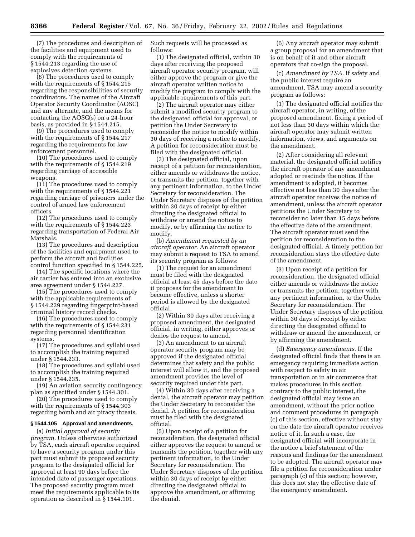(7) The procedures and description of the facilities and equipment used to comply with the requirements of § 1544.213 regarding the use of explosives detection systems.

(8) The procedures used to comply with the requirements of § 1544.215 regarding the responsibilities of security coordinators. The names of the Aircraft Operator Security Coordinator (AOSC) and any alternate, and the means for contacting the AOSC(s) on a 24-hour basis, as provided in § 1544.215.

(9) The procedures used to comply with the requirements of § 1544.217 regarding the requirements for law enforcement personnel.

(10) The procedures used to comply with the requirements of § 1544.219 regarding carriage of accessible weapons.

(11) The procedures used to comply with the requirements of § 1544.221 regarding carriage of prisoners under the control of armed law enforcement officers.

(12) The procedures used to comply with the requirements of § 1544.223 regarding transportation of Federal Air Marshals.

(13) The procedures and description of the facilities and equipment used to perform the aircraft and facilities control function specified in § 1544.225.

(14) The specific locations where the air carrier has entered into an exclusive area agreement under § 1544.227.

(15) The procedures used to comply with the applicable requirements of § 1544.229 regarding fingerprint-based criminal history record checks.

(16) The procedures used to comply with the requirements of § 1544.231 regarding personnel identification systems.

(17) The procedures and syllabi used to accomplish the training required under § 1544.233.

(18) The procedures and syllabi used to accomplish the training required under § 1544.235.

(19) An aviation security contingency plan as specified under § 1544.301.

(20) The procedures used to comply with the requirements of § 1544.303 regarding bomb and air piracy threats.

## **§ 1544.105 Approval and amendments.**

(a) *Initial approval of security program.* Unless otherwise authorized by TSA, each aircraft operator required to have a security program under this part must submit its proposed security program to the designated official for approval at least 90 days before the intended date of passenger operations. The proposed security program must meet the requirements applicable to its operation as described in § 1544.101.

Such requests will be processed as follows:

(1) The designated official, within 30 days after receiving the proposed aircraft operator security program, will either approve the program or give the aircraft operator written notice to modify the program to comply with the applicable requirements of this part.

(2) The aircraft operator may either submit a modified security program to the designated official for approval, or petition the Under Secretary to reconsider the notice to modify within 30 days of receiving a notice to modify. A petition for reconsideration must be filed with the designated official.

(3) The designated official, upon receipt of a petition for reconsideration, either amends or withdraws the notice, or transmits the petition, together with any pertinent information, to the Under Secretary for reconsideration. The Under Secretary disposes of the petition within 30 days of receipt by either directing the designated official to withdraw or amend the notice to modify, or by affirming the notice to modify.

(b) *Amendment requested by an aircraft operator.* An aircraft operator may submit a request to TSA to amend its security program as follows:

(1) The request for an amendment must be filed with the designated official at least 45 days before the date it proposes for the amendment to become effective, unless a shorter period is allowed by the designated official.

(2) Within 30 days after receiving a proposed amendment, the designated official, in writing, either approves or denies the request to amend.

(3) An amendment to an aircraft operator security program may be approved if the designated official determines that safety and the public interest will allow it, and the proposed amendment provides the level of security required under this part.

(4) Within 30 days after receiving a denial, the aircraft operator may petition the Under Secretary to reconsider the denial. A petition for reconsideration must be filed with the designated official.

(5) Upon receipt of a petition for reconsideration, the designated official either approves the request to amend or transmits the petition, together with any pertinent information, to the Under Secretary for reconsideration. The Under Secretary disposes of the petition within 30 days of receipt by either directing the designated official to approve the amendment, or affirming the denial.

(6) Any aircraft operator may submit a group proposal for an amendment that is on behalf of it and other aircraft operators that co-sign the proposal.

(c) *Amendment by TSA.* If safety and the public interest require an amendment, TSA may amend a security program as follows:

(1) The designated official notifies the aircraft operator, in writing, of the proposed amendment, fixing a period of not less than 30 days within which the aircraft operator may submit written information, views, and arguments on the amendment.

(2) After considering all relevant material, the designated official notifies the aircraft operator of any amendment adopted or rescinds the notice. If the amendment is adopted, it becomes effective not less than 30 days after the aircraft operator receives the notice of amendment, unless the aircraft operator petitions the Under Secretary to reconsider no later than 15 days before the effective date of the amendment. The aircraft operator must send the petition for reconsideration to the designated official. A timely petition for reconsideration stays the effective date of the amendment.

(3) Upon receipt of a petition for reconsideration, the designated official either amends or withdraws the notice or transmits the petition, together with any pertinent information, to the Under Secretary for reconsideration. The Under Secretary disposes of the petition within 30 days of receipt by either directing the designated official to withdraw or amend the amendment, or by affirming the amendment.

(d) *Emergency amendments.* If the designated official finds that there is an emergency requiring immediate action with respect to safety in air transportation or in air commerce that makes procedures in this section contrary to the public interest, the designated official may issue an amendment, without the prior notice and comment procedures in paragraph (c) of this section, effective without stay on the date the aircraft operator receives notice of it. In such a case, the designated official will incorporate in the notice a brief statement of the reasons and findings for the amendment to be adopted. The aircraft operator may file a petition for reconsideration under paragraph (c) of this section; however, this does not stay the effective date of the emergency amendment.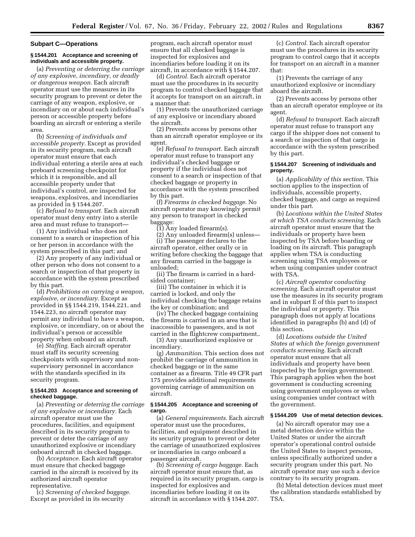## **Subpart C—Operations**

## **§ 1544.201 Acceptance and screening of individuals and accessible property.**

(a) *Preventing or deterring the carriage of any explosive, incendiary, or deadly or dangerous weapon.* Each aircraft operator must use the measures in its security program to prevent or deter the carriage of any weapon, explosive, or incendiary on or about each individual's person or accessible property before boarding an aircraft or entering a sterile area.

(b) *Screening of individuals and accessible property.* Except as provided in its security program, each aircraft operator must ensure that each individual entering a sterile area at each preboard screening checkpoint for which it is responsible, and all accessible property under that individual's control, are inspected for weapons, explosives, and incendiaries as provided in § 1544.207.

(c) *Refusal to transport.* Each aircraft operator must deny entry into a sterile area and must refuse to transport—

(1) Any individual who does not consent to a search or inspection of his or her person in accordance with the system prescribed in this part; and

(2) Any property of any individual or other person who does not consent to a search or inspection of that property in accordance with the system prescribed by this part.

(d) *Prohibitions on carrying a weapon, explosive, or incendiary.* Except as provided in §§ 1544.219, 1544.221, and 1544.223, no aircraft operator may permit any individual to have a weapon, explosive, or incendiary, on or about the individual's person or accessible property when onboard an aircraft.

(e) *Staffing.* Each aircraft operator must staff its security screening checkpoints with supervisory and nonsupervisory personnel in accordance with the standards specified in its security program.

## **§ 1544.203 Acceptance and screening of checked baggage.**

(a) *Preventing or deterring the carriage of any explosive or incendiary.* Each aircraft operator must use the procedures, facilities, and equipment described in its security program to prevent or deter the carriage of any unauthorized explosive or incendiary onboard aircraft in checked baggage.

(b) *Acceptance.* Each aircraft operator must ensure that checked baggage carried in the aircraft is received by its authorized aircraft operator representative.

(c) *Screening of checked baggage.* Except as provided in its security

program, each aircraft operator must ensure that all checked baggage is inspected for explosives and incendiaries before loading it on its aircraft, in accordance with § 1544.207.

(d) *Control.* Each aircraft operator must use the procedures in its security program to control checked baggage that it accepts for transport on an aircraft, in a manner that:

(1) Prevents the unauthorized carriage of any explosive or incendiary aboard the aircraft.

(2) Prevents access by persons other than an aircraft operator employee or its agent.

(e) *Refusal to transport.* Each aircraft operator must refuse to transport any individual's checked baggage or property if the individual does not consent to a search or inspection of that checked baggage or property in accordance with the system prescribed by this part.

(f) *Firearms in checked baggage.* No aircraft operator may knowingly permit any person to transport in checked baggage:

(1) Any loaded firearm(s).

(2) Any unloaded firearm(s) unless— (i) The passenger declares to the aircraft operator, either orally or in writing before checking the baggage that any firearm carried in the baggage is unloaded;

(ii) The firearm is carried in a hardsided container;

(iii) The container in which it is carried is locked, and only the individual checking the baggage retains the key or combination; and

(iv) The checked baggage containing the firearm is carried in an area that is inaccessible to passengers, and is not carried in the flightcrew compartment,.

(3) Any unauthorized explosive or incendiary.

(g) *Ammunition.* This section does not prohibit the carriage of ammunition in checked baggage or in the same container as a firearm. Title 49 CFR part 175 provides additional requirements governing carriage of ammunition on aircraft.

#### **§ 1544.205 Acceptance and screening of cargo.**

(a) *General requirements.* Each aircraft operator must use the procedures, facilities, and equipment described in its security program to prevent or deter the carriage of unauthorized explosives or incendiaries in cargo onboard a passenger aircraft.

(b) *Screening of cargo baggage.* Each aircraft operator must ensure that, as required in its security program, cargo is inspected for explosives and incendiaries before loading it on its aircraft in accordance with § 1544.207.

(c) *Control.* Each aircraft operator must use the procedures in its security program to control cargo that it accepts for transport on an aircraft in a manner that:

(1) Prevents the carriage of any unauthorized explosive or incendiary aboard the aircraft.

(2) Prevents access by persons other than an aircraft operator employee or its agent.

(d) *Refusal to transport.* Each aircraft operator must refuse to transport any cargo if the shipper does not consent to a search or inspection of that cargo in accordance with the system prescribed by this part.

## **§ 1544.207 Screening of individuals and property.**

(a) *Applicability of this section.* This section applies to the inspection of individuals, accessible property, checked baggage, and cargo as required under this part.

(b) *Locations within the United States at which TSA conducts screening.* Each aircraft operator must ensure that the individuals or property have been inspected by TSA before boarding or loading on its aircraft. This paragraph applies when TSA is conducting screening using TSA employees or when using companies under contract with TSA.

(c) *Aircraft operator conducting screening.* Each aircraft operator must use the measures in its security program and in subpart E of this part to inspect the individual or property. This paragraph does not apply at locations identified in paragraphs (b) and (d) of this section.

(d) *Locations outside the United States at which the foreign government conducts screening.* Each aircraft operator must ensure that all individuals and property have been inspected by the foreign government. This paragraph applies when the host government is conducting screening using government employees or when using companies under contract with the government.

## **§ 1544.209 Use of metal detection devices.**

(a) No aircraft operator may use a metal detection device within the United States or under the aircraft operator's operational control outside the United States to inspect persons, unless specifically authorized under a security program under this part. No aircraft operator may use such a device contrary to its security program.

(b) Metal detection devices must meet the calibration standards established by TSA.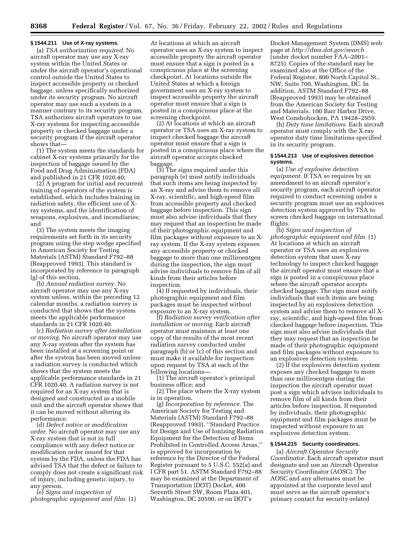#### **§ 1544.211 Use of X-ray systems.**

(a) *TSA authorization required.* No aircraft operator may use any X-ray system within the United States or under the aircraft operator's operational control outside the United States to inspect accessible property or checked baggage, unless specifically authorized under its security program. No aircraft operator may use such a system in a manner contrary to its security program. TSA authorizes aircraft operators to use X-ray systems for inspecting accessible property or checked baggage under a security program if the aircraft operator shows that—

(1) The system meets the standards for cabinet X-ray systems primarily for the inspection of baggage issued by the Food and Drug Administration (FDA) and published in 21 CFR 1020.40;

(2) A program for initial and recurrent training of operators of the system is established, which includes training in radiation safety, the efficient use of Xray systems, and the identification of weapons, explosives, and incendiaries; and

(3) The system meets the imaging requirements set forth in its security program using the step wedge specified in American Society for Testing Materials (ASTM) Standard F792–88 (Reapproved 1993). This standard is incorporated by reference in paragraph (g) of this section.

(b) *Annual radiation survey.* No aircraft operator may use any X-ray system unless, within the preceding 12 calendar months, a radiation survey is conducted that shows that the system meets the applicable performance standards in 21 CFR 1020.40.

(c) *Radiation survey after installation or moving.* No aircraft operator may use any X-ray system after the system has been installed at a screening point or after the system has been moved unless a radiation survey is conducted which shows that the system meets the applicable performance standards in 21 CFR 1020.40. A radiation survey is not required for an X-ray system that is designed and constructed as a mobile unit and the aircraft operator shows that it can be moved without altering its performance.

(d) *Defect notice or modification order.* No aircraft operator may use any X-ray system that is not in full compliance with any defect notice or modification order issued for that system by the FDA, unless the FDA has advised TSA that the defect or failure to comply does not create a significant risk of injury, including genetic injury, to any person.

(e) *Signs and inspection of photographic equipment and film.* (1)

At locations at which an aircraft operator uses an X-ray system to inspect accessible property the aircraft operator must ensure that a sign is posted in a conspicuous place at the screening checkpoint. At locations outside the United States at which a foreign government uses an X-ray system to inspect accessible property the aircraft operator must ensure that a sign is posted in a conspicuous place at the screening checkpoint.

(2) At locations at which an aircraft operator or TSA uses an X-ray system to inspect checked baggage the aircraft operator must ensure that a sign is posted in a conspicuous place where the aircraft operator accepts checked baggage.

(3) The signs required under this paragraph (e) must notify individuals that such items are being inspected by an X-ray and advise them to remove all X-ray, scientific, and high-speed film from accessible property and checked baggage before inspection. This sign must also advise individuals that they may request that an inspection be made of their photographic equipment and film packages without exposure to an Xray system. If the X-ray system exposes any accessible property or checked baggage to more than one milliroentgen during the inspection, the sign must advise individuals to remove film of all kinds from their articles before inspection.

(4) If requested by individuals, their photographic equipment and film packages must be inspected without exposure to an X-ray system.

(f) *Radiation survey verification after installation or moving.* Each aircraft operator must maintain at least one copy of the results of the most recent radiation survey conducted under paragraph (b) or (c) of this section and must make it available for inspection upon request by TSA at each of the following locations—

(1) The aircraft operator's principal business office; and

(2) The place where the X-ray system is in operation.

(g) *Incorporation by reference.* The American Society for Testing and Materials (ASTM) Standard F792–88 (Reapproved 1993), ''Standard Practice for Design and Use of Ionizing Radiation Equipment for the Detection of Items Prohibited in Controlled Access Areas,'' is approved for incorporation by reference by the Director of the Federal Register pursuant to 5 U.S.C. 552(a) and l CFR part 51. ASTM Standard F792–88 may be examined at the Department of Transportation (DOT) Docket, 400 Seventh Street SW, Room Plaza 401, Washington, DC 20590, or on DOT's

Docket Management System (DMS) web page at *http://dms.dot.gov/search* (under docket number FAA–2001– 8725). Copies of the standard may be examined also at the Office of the Federal Register, 800 North Capitol St., NW, Suite 700, Washington, DC. In addition, ASTM Standard F792–88 (Reapproved 1993) may be obtained from the American Society for Testing and Materials, 100 Barr Harbor Drive, West Conshohocken, PA 19428–2959.

(h) *Duty time limitations.* Each aircraft operator must comply with the X-ray operator duty time limitations specified in its security program.

#### **§ 1544.213 Use of explosives detection systems.**

(a) *Use of explosive detection equipment.* If TSA so requires by an amendment to an aircraft operator's security program, each aircraft operator required to conduct screening under a security program must use an explosives detection system approved by TSA to screen checked baggage on international flights.

(b) *Signs and inspection of photographic equipment and film.* (1) At locations at which an aircraft operator or TSA uses an explosives detection system that uses X-ray technology to inspect checked baggage the aircraft operator must ensure that a sign is posted in a conspicuous place where the aircraft operator accepts checked baggage. The sign must notify individuals that such items are being inspected by an explosives detection system and advise them to remove all Xray, scientific, and high-speed film from checked baggage before inspection. This sign must also advise individuals that they may request that an inspection be made of their photographic equipment and film packages without exposure to an explosives detection system.

(2) If the explosives detection system exposes any checked baggage to more than one milliroentgen during the inspection the aircraft operator must post a sign which advises individuals to remove film of all kinds from their articles before inspection. If requested by individuals, their photographic equipment and film packages must be inspected without exposure to an explosives detection system.

## **§ 1544.215 Security coordinators.**

(a) *Aircraft Operator Security Coordinator.* Each aircraft operator must designate and use an Aircraft Operator Security Coordinator (AOSC). The AOSC and any alternates must be appointed at the corporate level and must serve as the aircraft operator's primary contact for security-related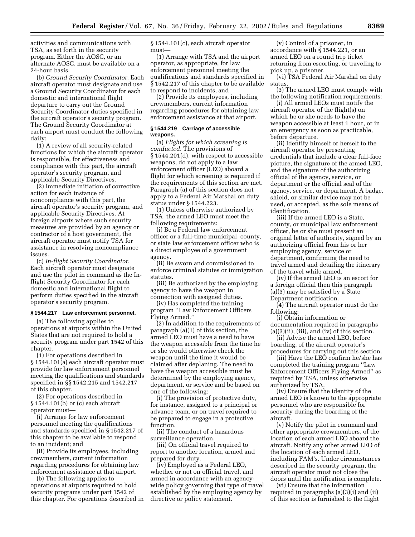activities and communications with TSA, as set forth in the security program. Either the AOSC, or an alternate AOSC, must be available on a 24-hour basis.

(b) *Ground Security Coordinator.* Each aircraft operator must designate and use a Ground Security Coordinator for each domestic and international flight departure to carry out the Ground Security Coordinator duties specified in the aircraft operator's security program. The Ground Security Coordinator at each airport must conduct the following daily:

(1) A review of all security-related functions for which the aircraft operator is responsible, for effectiveness and compliance with this part, the aircraft operator's security program, and applicable Security Directives.

(2) Immediate initiation of corrective action for each instance of noncompliance with this part, the aircraft operator's security program, and applicable Security Directives. At foreign airports where such security measures are provided by an agency or contractor of a host government, the aircraft operator must notify TSA for assistance in resolving noncompliance issues.

(c) *In-flight Security Coordinator.* Each aircraft operator must designate and use the pilot in command as the Inflight Security Coordinator for each domestic and international flight to perform duties specified in the aircraft operator's security program.

## **§ 1544.217 Law enforcement personnel.**

(a) The following applies to operations at airports within the United States that are not required to hold a security program under part 1542 of this chapter.

(1) For operations described in § 1544.101(a) each aircraft operator must provide for law enforcement personnel meeting the qualifications and standards specified in §§ 1542.215 and 1542.217 of this chapter.

(2) For operations described in § 1544.101(b) or (c) each aircraft operator must—

(i) Arrange for law enforcement personnel meeting the qualifications and standards specified in § 1542.217 of this chapter to be available to respond to an incident; and

(ii) Provide its employees, including crewmembers, current information regarding procedures for obtaining law enforcement assistance at that airport.

(b) The following applies to operations at airports required to hold security programs under part 1542 of this chapter. For operations described in

§ 1544.101(c), each aircraft operator must—

(1) Arrange with TSA and the airport operator, as appropriate, for law enforcement personnel meeting the qualifications and standards specified in § 1542.217 of this chapter to be available to respond to incidents, and

(2) Provide its employees, including crewmembers, current information regarding procedures for obtaining law enforcement assistance at that airport.

## **§ 1544.219 Carriage of accessible weapons.**

(a) *Flights for which screening is conducted.* The provisions of § 1544.201(d), with respect to accessible weapons, do not apply to a law enforcement officer (LEO) aboard a flight for which screening is required if the requirements of this section are met. Paragraph (a) of this section does not apply to a Federal Air Marshal on duty status under § 1544.223.

(1) Unless otherwise authorized by TSA, the armed LEO must meet the following requirements:

(i) Be a Federal law enforcement officer or a full-time municipal, county, or state law enforcement officer who is a direct employee of a government agency.

(ii) Be sworn and commissioned to enforce criminal statutes or immigration statutes.

(iii) Be authorized by the employing agency to have the weapon in connection with assigned duties.

(iv) Has completed the training program ''Law Enforcement Officers Flying Armed.''

(2) In addition to the requirements of paragraph (a)(1) of this section, the armed LEO must have a need to have the weapon accessible from the time he or she would otherwise check the weapon until the time it would be claimed after deplaning. The need to have the weapon accessible must be determined by the employing agency, department, or service and be based on one of the following:

(i) The provision of protective duty, for instance, assigned to a principal or advance team, or on travel required to be prepared to engage in a protective function.

(ii) The conduct of a hazardous surveillance operation.

(iii) On official travel required to report to another location, armed and prepared for duty.

(iv) Employed as a Federal LEO, whether or not on official travel, and armed in accordance with an agencywide policy governing that type of travel established by the employing agency by directive or policy statement.

(v) Control of a prisoner, in accordance with § 1544.221, or an armed LEO on a round trip ticket returning from escorting, or traveling to pick up, a prisoner.

(vi) TSA Federal Air Marshal on duty status.

(3) The armed LEO must comply with the following notification requirements:

(i) All armed LEOs must notify the aircraft operator of the flight(s) on which he or she needs to have the weapon accessible at least 1 hour, or in an emergency as soon as practicable, before departure.

(ii) Identify himself or herself to the aircraft operator by presenting credentials that include a clear full-face picture, the signature of the armed LEO, and the signature of the authorizing official of the agency, service, or department or the official seal of the agency, service, or department. A badge, shield, or similar device may not be used, or accepted, as the sole means of identification.

(iii) If the armed LEO is a State, county, or municipal law enforcement officer, he or she must present an original letter of authority, signed by an authorizing official from his or her employing agency, service or department, confirming the need to travel armed and detailing the itinerary of the travel while armed.

(iv) If the armed LEO is an escort for a foreign official then this paragraph (a)(3) may be satisfied by a State Department notification.

(4) The aircraft operator must do the following:

(i) Obtain information or documentation required in paragraphs  $(a)(3)(ii)$ ,  $(iii)$ , and  $(iv)$  of this section.

(ii) Advise the armed LEO, before boarding, of the aircraft operator's procedures for carrying out this section.

(iii) Have the LEO confirm he/she has completed the training program ''Law Enforcement Officers Flying Armed'' as required by TSA, unless otherwise authorized by TSA.

(iv) Ensure that the identity of the armed LEO is known to the appropriate personnel who are responsible for security during the boarding of the aircraft.

(v) Notify the pilot in command and other appropriate crewmembers, of the location of each armed LEO aboard the aircraft. Notify any other armed LEO of the location of each armed LEO, including FAM's. Under circumstances described in the security program, the aircraft operator must not close the doors until the notification is complete.

(vi) Ensure that the information required in paragraphs (a)(3)(i) and (ii) of this section is furnished to the flight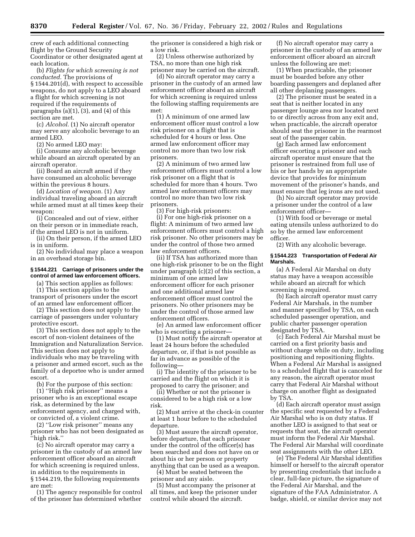crew of each additional connecting flight by the Ground Security Coordinator or other designated agent at each location.

(b) *Flights for which screening is not conducted.* The provisions of § 1544.201(d), with respect to accessible weapons, do not apply to a LEO aboard a flight for which screening is not required if the requirements of paragraphs  $(a)(1)$ ,  $(3)$ , and  $(4)$  of this section are met.

(c) *Alcohol.* (1) No aircraft operator may serve any alcoholic beverage to an armed LEO.

(2) No armed LEO may:

(i) Consume any alcoholic beverage while aboard an aircraft operated by an aircraft operator.

(ii) Board an aircraft armed if they have consumed an alcoholic beverage within the previous 8 hours.

(d) *Location of weapon.* (1) Any individual traveling aboard an aircraft while armed must at all times keep their weapon:

(i) Concealed and out of view, either on their person or in immediate reach, if the armed LEO is not in uniform.

(ii) On their person, if the armed LEO is in uniform.

(2) No individual may place a weapon in an overhead storage bin.

## **§ 1544.221 Carriage of prisoners under the control of armed law enforcement officers.**

(a) This section applies as follows:

(1) This section applies to the transport of prisoners under the escort of an armed law enforcement officer.

(2) This section does not apply to the carriage of passengers under voluntary protective escort.

(3) This section does not apply to the escort of non-violent detainees of the Immigration and Naturalization Service. This section does not apply to individuals who may be traveling with a prisoner and armed escort, such as the family of a deportee who is under armed escort.

(b) For the purpose of this section:

(1) ''High risk prisoner'' means a prisoner who is an exceptional escape risk, as determined by the law enforcement agency, and charged with, or convicted of, a violent crime.

(2) ''Low risk prisoner'' means any prisoner who has not been designated as ''high risk.''

(c) No aircraft operator may carry a prisoner in the custody of an armed law enforcement officer aboard an aircraft for which screening is required unless, in addition to the requirements in § 1544.219, the following requirements are met:

(1) The agency responsible for control of the prisoner has determined whether

the prisoner is considered a high risk or a low risk.

(2) Unless otherwise authorized by TSA, no more than one high risk prisoner may be carried on the aircraft.

(d) No aircraft operator may carry a prisoner in the custody of an armed law enforcement officer aboard an aircraft for which screening is required unless the following staffing requirements are met:

(1) A minimum of one armed law enforcement officer must control a low risk prisoner on a flight that is scheduled for 4 hours or less. One armed law enforcement officer may control no more than two low risk prisoners.

(2) A minimum of two armed law enforcement officers must control a low risk prisoner on a flight that is scheduled for more than 4 hours. Two armed law enforcement officers may control no more than two low risk prisoners.

(3) For high-risk prisoners:

(i) For one high-risk prisoner on a flight: A minimum of two armed law enforcement officers must control a high risk prisoner. No other prisoners may be under the control of those two armed law enforcement officers.

(ii) If TSA has authorized more than one high-risk prisoner to be on the flight under paragraph (c)(2) of this section, a minimum of one armed law enforcement officer for each prisoner and one additional armed law enforcement officer must control the prisoners. No other prisoners may be under the control of those armed law enforcement officers.

(e) An armed law enforcement officer who is escorting a prisoner—

(1) Must notify the aircraft operator at least 24 hours before the scheduled departure, or, if that is not possible as far in advance as possible of the following—

(i) The identity of the prisoner to be carried and the flight on which it is proposed to carry the prisoner; and

(ii) Whether or not the prisoner is considered to be a high risk or a low risk.

(2) Must arrive at the check-in counter at least 1 hour before to the scheduled departure.

(3) Must assure the aircraft operator, before departure, that each prisoner under the control of the officer(s) has been searched and does not have on or about his or her person or property anything that can be used as a weapon.

(4) Must be seated between the prisoner and any aisle.

(5) Must accompany the prisoner at all times, and keep the prisoner under control while aboard the aircraft.

(f) No aircraft operator may carry a prisoner in the custody of an armed law enforcement officer aboard an aircraft unless the following are met:

(1) When practicable, the prisoner must be boarded before any other boarding passengers and deplaned after all other deplaning passengers.

(2) The prisoner must be seated in a seat that is neither located in any passenger lounge area nor located next to or directly across from any exit and, when practicable, the aircraft operator should seat the prisoner in the rearmost seat of the passenger cabin.

(g) Each armed law enforcement officer escorting a prisoner and each aircraft operator must ensure that the prisoner is restrained from full use of his or her hands by an appropriate device that provides for minimum movement of the prisoner's hands, and must ensure that leg irons are not used.

(h) No aircraft operator may provide a prisoner under the control of a law enforcement officer—

(1) With food or beverage or metal eating utensils unless authorized to do so by the armed law enforcement officer.

(2) With any alcoholic beverage.

## **§ 1544.223 Transportation of Federal Air Marshals.**

(a) A Federal Air Marshal on duty status may have a weapon accessible while aboard an aircraft for which screening is required.

(b) Each aircraft operator must carry Federal Air Marshals, in the number and manner specified by TSA, on each scheduled passenger operation, and public charter passenger operation designated by TSA.

(c) Each Federal Air Marshal must be carried on a first priority basis and without charge while on duty, including positioning and repositioning flights. When a Federal Air Marshal is assigned to a scheduled flight that is canceled for any reason, the aircraft operator must carry that Federal Air Marshal without charge on another flight as designated by TSA.

(d) Each aircraft operator must assign the specific seat requested by a Federal Air Marshal who is on duty status. If another LEO is assigned to that seat or requests that seat, the aircraft operator must inform the Federal Air Marshal. The Federal Air Marshal will coordinate seat assignments with the other LEO.

(e) The Federal Air Marshal identifies himself or herself to the aircraft operator by presenting credentials that include a clear, full-face picture, the signature of the Federal Air Marshal, and the signature of the FAA Administrator. A badge, shield, or similar device may not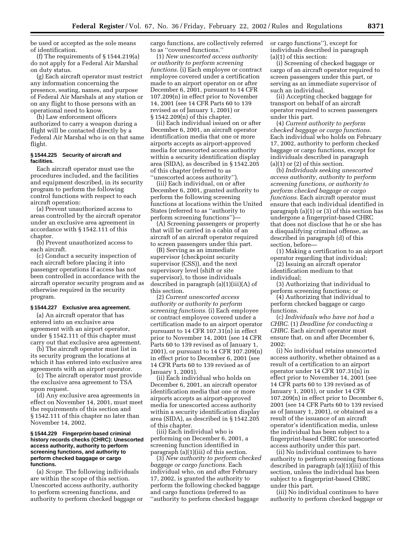be used or accepted as the sole means of identification.

(f) The requirements of § 1544.219(a) do not apply for a Federal Air Marshal on duty status.

(g) Each aircraft operator must restrict any information concerning the presence, seating, names, and purpose of Federal Air Marshals at any station or on any flight to those persons with an operational need to know.

(h) Law enforcement officers authorized to carry a weapon during a flight will be contacted directly by a Federal Air Marshal who is on that same flight.

## **§ 1544.225 Security of aircraft and facilities.**

Each aircraft operator must use the procedures included, and the facilities and equipment described, in its security program to perform the following control functions with respect to each aircraft operation:

(a) Prevent unauthorized access to areas controlled by the aircraft operator under an exclusive area agreement in accordance with § 1542.111 of this chapter.

(b) Prevent unauthorized access to each aircraft.

(c) Conduct a security inspection of each aircraft before placing it into passenger operations if access has not been controlled in accordance with the aircraft operator security program and as otherwise required in the security program.

#### **§ 1544.227 Exclusive area agreement.**

(a) An aircraft operator that has entered into an exclusive area agreement with an airport operator, under § 1542.111 of this chapter must carry out that exclusive area agreement.

(b) The aircraft operator must list in its security program the locations at which it has entered into exclusive area agreements with an airport operator.

(c) The aircraft operator must provide the exclusive area agreement to TSA upon request.

(d) Any exclusive area agreements in effect on November 14, 2001, must meet the requirements of this section and § 1542.111 of this chapter no later than November 14, 2002.

#### **§ 1544.229 Fingerprint-based criminal history records checks (CHRC): Unescorted access authority, authority to perform screening functions, and authority to perform checked baggage or cargo functions.**

(a) *Scope.* The following individuals are within the scope of this section. Unescorted access authority, authority to perform screening functions, and authority to perform checked baggage or cargo functions, are collectively referred to as ''covered functions.''

(1) *New unescorted access authority or authority to perform screening functions.* (i) Each employee or contract employee covered under a certification made to an airport operator on or after December 6, 2001, pursuant to 14 CFR 107.209(n) in effect prior to November 14, 2001 (see 14 CFR Parts 60 to 139 revised as of January 1, 2001) or § 1542.209(n) of this chapter.

(ii) Each individual issued on or after December 6, 2001, an aircraft operator identification media that one or more airports accepts as airport-approved media for unescorted access authority within a security identification display area (SIDA), as described in § 1542.205 of this chapter (referred to as ''unescorted access authority'').

(iii) Each individual, on or after December 6, 2001, granted authority to perform the following screening functions at locations within the United States (referred to as ''authority to perform screening functions'')—

(A) Screening passengers or property that will be carried in a cabin of an aircraft of an aircraft operator required to screen passengers under this part.

(B) Serving as an immediate supervisor (checkpoint security supervisor (CSS)), and the next supervisory level (shift or site supervisor), to those individuals described in paragraph (a)(1)(iii)(A) of this section.

(2) *Current unescorted access authority or authority to perform screening functions.* (i) Each employee or contract employee covered under a certification made to an airport operator pursuant to 14 CFR 107.31(n) in effect prior to November 14, 2001 (see 14 CFR Parts 60 to 139 revised as of January 1, 2001), or pursuant to 14 CFR 107.209(n) in effect prior to December 6, 2001 (see 14 CFR Parts 60 to 139 revised as of January 1, 2001).

(ii) Each individual who holds on December 6, 2001, an aircraft operator identification media that one or more airports accepts as airport-approved media for unescorted access authority within a security identification display area (SIDA), as described in § 1542.205 of this chapter.

(iii) Each individual who is performing on December 6, 2001, a screening function identified in paragraph (a)(1)(iii) of this section.

(3) *New authority to perform checked baggage or cargo functions.* Each individual who, on and after February 17, 2002, is granted the authority to perform the following checked baggage and cargo functions (referred to as ''authority to perform checked baggage

or cargo functions''), except for individuals described in paragraph (a)(1) of this section:

(i) Screening of checked baggage or cargo of an aircraft operator required to screen passengers under this part, or serving as an immediate supervisor of such an individual.

(ii) Accepting checked baggage for transport on behalf of an aircraft operator required to screen passengers under this part.

(4) *Current authority to perform checked baggage or cargo functions.* Each individual who holds on February 17, 2002, authority to perform checked baggage or cargo functions, except for individuals described in paragraph  $(a)(1)$  or  $(2)$  of this section.

(b) *Individuals seeking unescorted access authority, authority to perform screening functions, or authority to perform checked baggage or cargo functions.* Each aircraft operator must ensure that each individual identified in paragraph (a)(1) or (3) of this section has undergone a fingerprint-based CHRC that does not disclose that he or she has a disqualifying criminal offense, as described in paragraph (d) of this section, before—

(1) Making a certification to an airport operator regarding that individual;

(2) Issuing an aircraft operator identification medium to that individual;

(3) Authorizing that individual to perform screening functions; or

(4) Authorizing that individual to perform checked baggage or cargo functions.

(c) *Individuals who have not had a CHRC.* (1) *Deadline for conducting a CHRC.* Each aircraft operator must ensure that, on and after December 6, 2002:

(i) No individual retains unescorted access authority, whether obtained as a result of a certification to an airport operator under 14 CFR 107.31(n) in effect prior to November 14, 2001 (see 14 CFR parts 60 to 139 revised as of January 1, 2001), or under 14 CFR 107.209(n) in effect prior to December 6, 2001 (see 14 CFR Parts 60 to 139 revised as of January 1, 2001), or obtained as a result of the issuance of an aircraft operator's identification media, unless the individual has been subject to a fingerprint-based CHRC for unescorted access authority under this part.

(ii) No individual continues to have authority to perform screening functions described in paragraph (a)(1)(iii) of this section, unless the individual has been subject to a fingerprint-based CHRC under this part.

(iii) No individual continues to have authority to perform checked baggage or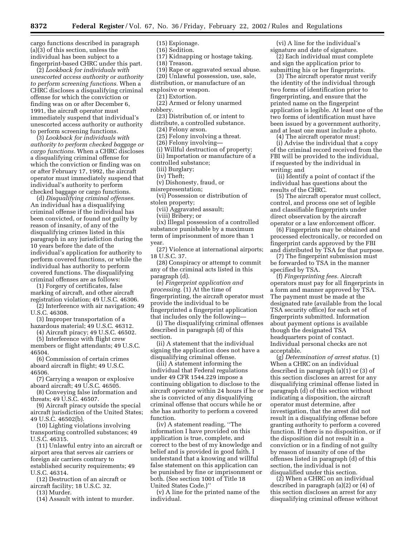cargo functions described in paragraph (a)(3) of this section, unless the individual has been subject to a fingerprint-based CHRC under this part.

(2) *Lookback for individuals with unescorted access authority or authority to perform screening functions.* When a CHRC discloses a disqualifying criminal offense for which the conviction or finding was on or after December 6, 1991, the aircraft operator must immediately suspend that individual's unescorted access authority or authority to perform screening functions.

(3) *Lookback for individuals with authority to perform checked baggage or cargo functions.* When a CHRC discloses a disqualifying criminal offense for which the conviction or finding was on or after February 17, 1992, the aircraft operator must immediately suspend that individual's authority to perform checked baggage or cargo functions.

(d) *Disqualifying criminal offenses.* An individual has a disqualifying criminal offense if the individual has been convicted, or found not guilty by reason of insanity, of any of the disqualifying crimes listed in this paragraph in any jurisdiction during the 10 years before the date of the individual's application for authority to perform covered functions, or while the individual has authority to perform covered functions. The disqualifying criminal offenses are as follows:

(1) Forgery of certificates, false marking of aircraft, and other aircraft registration violation; 49 U.S.C. 46306.

(2) Interference with air navigation; 49 U.S.C. 46308.

(3) Improper transportation of a hazardous material; 49 U.S.C. 46312.

(4) Aircraft piracy; 49 U.S.C. 46502.

(5) Interference with flight crew members or flight attendants; 49 U.S.C. 46504.

(6) Commission of certain crimes aboard aircraft in flight; 49 U.S.C. 46506.

(7) Carrying a weapon or explosive aboard aircraft; 49 U.S.C. 46505.

(8) Conveying false information and threats; 49 U.S.C. 46507.

(9) Aircraft piracy outside the special aircraft jurisdiction of the United States; 49 U.S.C. 46502(b).

(10) Lighting violations involving transporting controlled substances; 49 U.S.C. 46315.

(11) Unlawful entry into an aircraft or airport area that serves air carriers or foreign air carriers contrary to established security requirements; 49 U.S.C. 46314.

(12) Destruction of an aircraft or aircraft facility; 18 U.S.C. 32.

(13) Murder.

(14) Assault with intent to murder.

- (15) Espionage.
- (16) Sedition.
- (17) Kidnapping or hostage taking. (18) Treason.

(19) Rape or aggravated sexual abuse.

(20) Unlawful possession, use, sale, distribution, or manufacture of an

- explosive or weapon.
- 
- (21) Extortion.
- (22) Armed or felony unarmed robbery.
- (23) Distribution of, or intent to distribute, a controlled substance.

(24) Felony arson.

(25) Felony involving a threat.

(26) Felony involving—

(i) Willful destruction of property;

(ii) Importation or manufacture of a

controlled substance;

(iii) Burglary;

(iv) Theft;

- (v) Dishonesty, fraud, or
- misrepresentation;
- (vi) Possession or distribution of stolen property;

(vii) Aggravated assault;

(viii) Bribery; or

(ix) Illegal possession of a controlled substance punishable by a maximum term of imprisonment of more than 1 year.

(27) Violence at international airports; 18 U.S.C. 37.

(28) Conspiracy or attempt to commit any of the criminal acts listed in this paragraph (d).

(e) *Fingerprint application and processing.* (1) At the time of fingerprinting, the aircraft operator must provide the individual to be fingerprinted a fingerprint application that includes only the following—

(i) The disqualifying criminal offenses described in paragraph (d) of this section.

(ii) A statement that the individual signing the application does not have a disqualifying criminal offense.

(iii) A statement informing the individual that Federal regulations under 49 CFR 1544.229 impose a continuing obligation to disclose to the aircraft operator within 24 hours if he or she is convicted of any disqualifying criminal offense that occurs while he or she has authority to perform a covered function.

(iv) A statement reading, ''The information I have provided on this application is true, complete, and correct to the best of my knowledge and belief and is provided in good faith. I understand that a knowing and willful false statement on this application can be punished by fine or imprisonment or both. (See section 1001 of Title 18 United States Code.)''

(v) A line for the printed name of the individual.

(vi) A line for the individual's signature and date of signature.

(2) Each individual must complete and sign the application prior to submitting his or her fingerprints.

(3) The aircraft operator must verify the identity of the individual through two forms of identification prior to fingerprinting, and ensure that the printed name on the fingerprint application is legible. At least one of the two forms of identification must have been issued by a government authority, and at least one must include a photo.

(4) The aircraft operator must:

(i) Advise the individual that a copy of the criminal record received from the FBI will be provided to the individual, if requested by the individual in writing; and

(ii) Identify a point of contact if the individual has questions about the results of the CHRC.

(5) The aircraft operator must collect, control, and process one set of legible and classifiable fingerprints under direct observation by the aircraft operator or a law enforcement officer.

(6) Fingerprints may be obtained and processed electronically, or recorded on fingerprint cards approved by the FBI and distributed by TSA for that purpose.

(7) The fingerprint submission must be forwarded to TSA in the manner specified by TSA.

(f) *Fingerprinting fees.* Aircraft operators must pay for all fingerprints in a form and manner approved by TSA. The payment must be made at the designated rate (available from the local TSA security office) for each set of fingerprints submitted. Information about payment options is available though the designated TSA headquarters point of contact. Individual personal checks are not acceptable.

(g) *Determination of arrest status.* (1) When a CHRC on an individual described in paragraph (a)(1) or (3) of this section discloses an arrest for any disqualifying criminal offense listed in paragraph (d) of this section without indicating a disposition, the aircraft operator must determine, after investigation, that the arrest did not result in a disqualifying offense before granting authority to perform a covered function. If there is no disposition, or if the disposition did not result in a conviction or in a finding of not guilty by reason of insanity of one of the offenses listed in paragraph (d) of this section, the individual is not disqualified under this section.

(2) When a CHRC on an individual described in paragraph (a)(2) or (4) of this section discloses an arrest for any disqualifying criminal offense without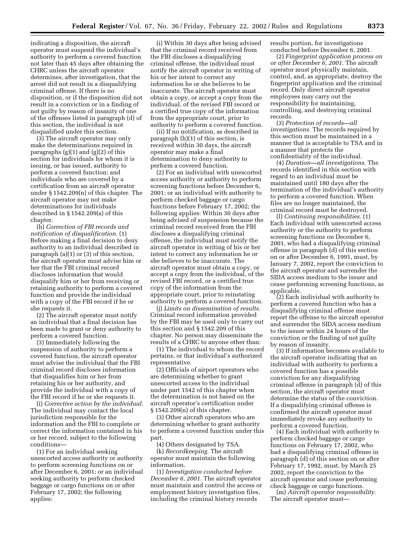indicating a disposition, the aircraft operator must suspend the individual's authority to perform a covered function not later than 45 days after obtaining the CHRC unless the aircraft operator determines, after investigation, that the arrest did not result in a disqualifying criminal offense. If there is no disposition, or if the disposition did not result in a conviction or in a finding of not guilty by reason of insanity of one of the offenses listed in paragraph (d) of this section, the individual is not disqualified under this section.

(3) The aircraft operator may only make the determinations required in paragraphs  $(g)(1)$  and  $(g)(2)$  of this section for individuals for whom it is issuing, or has issued, authority to perform a covered function; and individuals who are covered by a certification from an aircraft operator under § 1542.209(n) of this chapter. The aircraft operator may not make determinations for individuals described in § 1542.209(a) of this chapter.

(h) *Correction of FBI records and notification of disqualification.* (1) Before making a final decision to deny authority to an individual described in paragraph (a)(1) or (3) of this section, the aircraft operator must advise him or her that the FBI criminal record discloses information that would disqualify him or her from receiving or retaining authority to perform a covered function and provide the individual with a copy of the FBI record if he or she requests it.

(2) The aircraft operator must notify an individual that a final decision has been made to grant or deny authority to perform a covered function.

(3) Immediately following the suspension of authority to perform a covered function, the aircraft operator must advise the individual that the FBI criminal record discloses information that disqualifies him or her from retaining his or her authority, and provide the individual with a copy of the FBI record if he or she requests it.

(i) *Corrective action by the individual.* The individual may contact the local jurisdiction responsible for the information and the FBI to complete or correct the information contained in his or her record, subject to the following conditions—

(1) For an individual seeking unescorted access authority or authority to perform screening functions on or after December 6, 2001; or an individual seeking authority to perform checked baggage or cargo functions on or after February 17, 2002; the following applies:

(i) Within 30 days after being advised that the criminal record received from the FBI discloses a disqualifying criminal offense, the individual must notify the aircraft operator in writing of his or her intent to correct any information he or she believes to be inaccurate. The aircraft operator must obtain a copy, or accept a copy from the individual, of the revised FBI record or a certified true copy of the information from the appropriate court, prior to authority to perform a covered function.

(ii) If no notification, as described in paragraph (h)(1) of this section, is received within 30 days, the aircraft operator may make a final determination to deny authority to perform a covered function.

(2) For an individual with unescorted access authority or authority to perform screening functions before December 6, 2001; or an individual with authority to perform checked baggage or cargo functions before February 17, 2002; the following applies: Within 30 days after being advised of suspension because the criminal record received from the FBI discloses a disqualifying criminal offense, the individual must notify the aircraft operator in writing of his or her intent to correct any information he or she believes to be inaccurate. The aircraft operator must obtain a copy, or accept a copy from the individual, of the revised FBI record, or a certified true copy of the information from the appropriate court, prior to reinstating authority to perform a covered function.

(j) *Limits on dissemination of results.* Criminal record information provided by the FBI may be used only to carry out this section and § 1542.209 of this chapter. No person may disseminate the results of a CHRC to anyone other than:

(1) The individual to whom the record pertains, or that individual's authorized representative.

(2) Officials of airport operators who are determining whether to grant unescorted access to the individual under part 1542 of this chapter when the determination is not based on the aircraft operator's certification under § 1542.209(n) of this chapter.

(3) Other aircraft operators who are determining whether to grant authority to perform a covered function under this part.

(4) Others designated by TSA.

(k) *Recordkeeping.* The aircraft operator must maintain the following information.

(1) *Investigation conducted before December 6, 2001.* The aircraft operator must maintain and control the access or employment history investigation files, including the criminal history records

results portion, for investigations conducted before December 6, 2001.

(2) *Fingerprint application process on or after December 6, 2001.* The aircraft operator must physically maintain, control, and, as appropriate, destroy the fingerprint application and the criminal record. Only direct aircraft operator employees may carry out the responsibility for maintaining, controlling, and destroying criminal records.

(3) *Protection of records—all investigations.* The records required by this section must be maintained in a manner that is acceptable to TSA and in a manner that protects the confidentiality of the individual.

(4) *Duration—all investigations.* The records identified in this section with regard to an individual must be maintained until 180 days after the termination of the individual's authority to perform a covered function. When files are no longer maintained, the criminal record must be destroyed.

(l) *Continuing responsibilities.* (1) Each individual with unescorted access authority or the authority to perform screening functions on December 6, 2001, who had a disqualifying criminal offense in paragraph (d) of this section on or after December 6, 1991, must, by January 7, 2002, report the conviction to the aircraft operator and surrender the SIDA access medium to the issuer and cease performing screening functions, as applicable.

(2) Each individual with authority to perform a covered function who has a disqualifying criminal offense must report the offense to the aircraft operator and surrender the SIDA access medium to the issuer within 24 hours of the conviction or the finding of not guilty by reason of insanity.

(3) If information becomes available to the aircraft operator indicating that an individual with authority to perform a covered function has a possible conviction for any disqualifying criminal offense in paragraph (d) of this section, the aircraft operator must determine the status of the conviction. If a disqualifying criminal offense is confirmed the aircraft operator must immediately revoke any authority to perform a covered function.

(4) Each individual with authority to perform checked baggage or cargo functions on February 17, 2002, who had a disqualifying criminal offense in paragraph (d) of this section on or after February 17, 1992, must, by March 25 2002, report the conviction to the aircraft operator and cease performing check baggage or cargo functions.

(m) *Aircraft operator responsibility.* The aircraft operator must—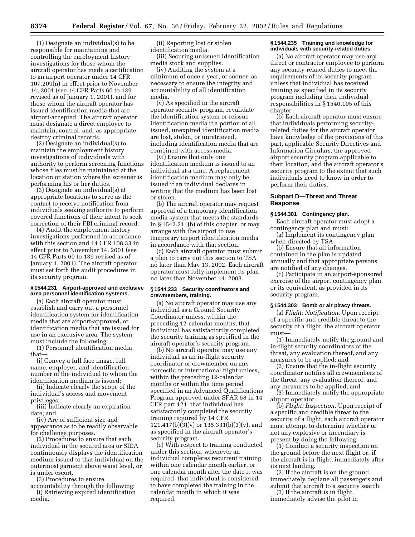(1) Designate an individual(s) to be responsible for maintaining and controlling the employment history investigations for those whom the aircraft operator has made a certification to an airport operator under 14 CFR 107.209(n) in effect prior to November 14, 2001 (see 14 CFR Parts 60 to 139 revised as of January 1, 2001), and for those whom the aircraft operator has issued identification media that are airport-accepted. The aircraft operator must designate a direct employee to maintain, control, and, as appropriate, destroy criminal records.

(2) Designate an individual(s) to maintain the employment history investigations of individuals with authority to perform screening functions whose files must be maintained at the location or station where the screener is performing his or her duties.

(3) Designate an individual(s) at appropriate locations to serve as the contact to receive notification from individuals seeking authority to perform covered functions of their intent to seek correction of their FBI criminal record.

(4) Audit the employment history investigations performed in accordance with this section and 14 CFR 108.33 in effect prior to November 14, 2001 (see 14 CFR Parts 60 to 139 revised as of January 1, 2001). The aircraft operator must set forth the audit procedures in its security program.

## **§ 1544.231 Airport-approved and exclusive area personnel identification systems.**

(a) Each aircraft operator must establish and carry out a personnel identification system for identification media that are airport-approved, or identification media that are issued for use in an exclusive area. The system must include the following:

(1) Personnel identification media that—

(i) Convey a full face image, full name, employer, and identification number of the individual to whom the identification medium is issued;

(ii) Indicate clearly the scope of the individual's access and movement privileges;

(iii) Indicate clearly an expiration date; and

(iv) Are of sufficient size and appearance as to be readily observable for challenge purposes.

(2) Procedures to ensure that each individual in the secured area or SIDA continuously displays the identification medium issued to that individual on the outermost garment above waist level, or is under escort.

(3) Procedures to ensure

accountability through the following: (i) Retrieving expired identification media.

(ii) Reporting lost or stolen identification media.

(iii) Securing unissued identification media stock and supplies.

(iv) Auditing the system at a minimum of once a year, or sooner, as necessary to ensure the integrity and accountability of all identification media.

(v) As specified in the aircraft operator security program, revalidate the identification system or reissue identification media if a portion of all issued, unexpired identification media are lost, stolen, or unretrieved, including identification media that are combined with access media.

(vi) Ensure that only one identification medium is issued to an individual at a time. A replacement identification medium may only be issued if an individual declares in writing that the medium has been lost or stolen.

(b) The aircraft operator may request approval of a temporary identification media system that meets the standards in § 1542.211(b) of this chapter, or may arrange with the airport to use temporary airport identification media in accordance with that section.

(c) Each aircraft operator must submit a plan to carry out this section to TSA no later than May 13, 2002. Each aircraft operator must fully implement its plan no later than November 14, 2003.

## **§ 1544.233 Security coordinators and crewmembers, training.**

(a) No aircraft operator may use any individual as a Ground Security Coordinator unless, within the preceding 12-calendar months, that individual has satisfactorily completed the security training as specified in the aircraft operator's security program.

(b) No aircraft operator may use any individual as an in-flight security coordinator or crewmember on any domestic or international flight unless, within the preceding 12-calendar months or within the time period specified in an Advanced Qualifications Program approved under SFAR 58 in 14 CFR part 121, that individual has satisfactorily completed the security training required by 14 CFR 121.417(b)(3)(v) or 135.331(b)(3)(v), and as specified in the aircraft operator's security program.

(c) With respect to training conducted under this section, whenever an individual completes recurrent training within one calendar month earlier, or one calendar month after the date it was required, that individual is considered to have completed the training in the calendar month in which it was required.

## **§ 1544.235 Training and knowledge for individuals with security-related duties.**

(a) No aircraft operator may use any direct or contractor employee to perform any security-related duties to meet the requirements of its security program unless that individual has received training as specified in its security program including their individual responsibilities in § 1540.105 of this chapter.

(b) Each aircraft operator must ensure that individuals performing securityrelated duties for the aircraft operator have knowledge of the provisions of this part, applicable Security Directives and Information Circulars, the approved airport security program applicable to their location, and the aircraft operator's security program to the extent that such individuals need to know in order to perform their duties.

## **Subpart D—Threat and Threat Response**

## **§ 1544.301 Contingency plan.**

Each aircraft operator must adopt a contingency plan and must:

(a) Implement its contingency plan when directed by TSA.

(b) Ensure that all information contained in the plan is updated annually and that appropriate persons are notified of any changes.

(c) Participate in an airport-sponsored exercise of the airport contingency plan or its equivalent, as provided in its security program.

## **§ 1544.303 Bomb or air piracy threats.**

(a) *Flight: Notification.* Upon receipt of a specific and credible threat to the security of a flight, the aircraft operator must—

(1) Immediately notify the ground and in-flight security coordinators of the threat, any evaluation thereof, and any measures to be applied; and

(2) Ensure that the in-flight security coordinator notifies all crewmembers of the threat, any evaluation thereof, and any measures to be applied; and

(3) Immediately notify the appropriate airport operator.

(b) *Flight: Inspection.* Upon receipt of a specific and credible threat to the security of a flight, each aircraft operator must attempt to determine whether or not any explosive or incendiary is present by doing the following:

(1) Conduct a security inspection on the ground before the next flight or, if the aircraft is in flight, immediately after its next landing.

(2) If the aircraft is on the ground, immediately deplane all passengers and submit that aircraft to a security search.

(3) If the aircraft is in flight, immediately advise the pilot in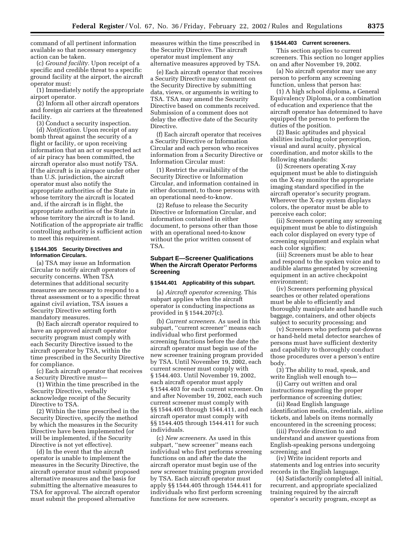command of all pertinent information available so that necessary emergency action can be taken.

(c) *Ground facility.* Upon receipt of a specific and credible threat to a specific ground facility at the airport, the aircraft operator must:

(1) Immediately notify the appropriate airport operator.

(2) Inform all other aircraft operators and foreign air carriers at the threatened facility.

(3) Conduct a security inspection.

(d) *Notification.* Upon receipt of any bomb threat against the security of a flight or facility, or upon receiving information that an act or suspected act of air piracy has been committed, the aircraft operator also must notify TSA. If the aircraft is in airspace under other than U.S. jurisdiction, the aircraft operator must also notify the appropriate authorities of the State in whose territory the aircraft is located and, if the aircraft is in flight, the appropriate authorities of the State in whose territory the aircraft is to land. Notification of the appropriate air traffic controlling authority is sufficient action to meet this requirement.

## **§ 1544.305 Security Directives and Information Circulars.**

(a) TSA may issue an Information Circular to notify aircraft operators of security concerns. When TSA determines that additional security measures are necessary to respond to a threat assessment or to a specific threat against civil aviation, TSA issues a Security Directive setting forth mandatory measures.

(b) Each aircraft operator required to have an approved aircraft operator security program must comply with each Security Directive issued to the aircraft operator by TSA, within the time prescribed in the Security Directive for compliance.

(c) Each aircraft operator that receives a Security Directive must—

(1) Within the time prescribed in the Security Directive, verbally acknowledge receipt of the Security Directive to TSA.

(2) Within the time prescribed in the Security Directive, specify the method by which the measures in the Security Directive have been implemented (or will be implemented, if the Security Directive is not yet effective).

(d) In the event that the aircraft operator is unable to implement the measures in the Security Directive, the aircraft operator must submit proposed alternative measures and the basis for submitting the alternative measures to TSA for approval. The aircraft operator must submit the proposed alternative

measures within the time prescribed in the Security Directive. The aircraft operator must implement any alternative measures approved by TSA.

(e) Each aircraft operator that receives a Security Directive may comment on the Security Directive by submitting data, views, or arguments in writing to TSA. TSA may amend the Security Directive based on comments received. Submission of a comment does not delay the effective date of the Security Directive.

(f) Each aircraft operator that receives a Security Directive or Information Circular and each person who receives information from a Security Directive or Information Circular must:

(1) Restrict the availability of the Security Directive or Information Circular, and information contained in either document, to those persons with an operational need-to-know.

(2) Refuse to release the Security Directive or Information Circular, and information contained in either document, to persons other than those with an operational need-to-know without the prior written consent of TSA.

## **Subpart E—Screener Qualifications When the Aircraft Operator Performs Screening**

## **§ 1544.401 Applicability of this subpart.**

(a) *Aircraft operator screening.* This subpart applies when the aircraft operator is conducting inspections as provided in § 1544.207(c).

(b) *Current screeners.* As used in this subpart, ''current screener'' means each individual who first performed screening functions before the date the aircraft operator must begin use of the new screener training program provided by TSA. Until November 19, 2002, each current screener must comply with § 1544.403. Until November 19, 2002, each aircraft operator must apply § 1544.403 for each current screener. On and after November 19, 2002, each such current screener must comply with §§ 1544.405 through 1544.411, and each aircraft operator must comply with §§ 1544.405 through 1544.411 for such individuals.

(c) *New screeners.* As used in this subpart, ''new screener'' means each individual who first performs screening functions on and after the date the aircraft operator must begin use of the new screener training program provided by TSA. Each aircraft operator must apply §§ 1544.405 through 1544.411 for individuals who first perform screening functions for new screeners.

## **§ 1544.403 Current screeners.**

This section applies to current screeners. This section no longer applies on and after November 19, 2002.

(a) No aircraft operator may use any person to perform any screening function, unless that person has:

(1) A high school diploma, a General Equivalency Diploma, or a combination of education and experience that the aircraft operator has determined to have equipped the person to perform the duties of the position.

(2) Basic aptitudes and physical abilities including color perception, visual and aural acuity, physical coordination, and motor skills to the following standards:

(i) Screeners operating X-ray equipment must be able to distinguish on the X-ray monitor the appropriate imaging standard specified in the aircraft operator's security program. Wherever the X-ray system displays colors, the operator must be able to perceive each color;

(ii) Screeners operating any screening equipment must be able to distinguish each color displayed on every type of screening equipment and explain what each color signifies;

(iii) Screeners must be able to hear and respond to the spoken voice and to audible alarms generated by screening equipment in an active checkpoint environment;

(iv) Screeners performing physical searches or other related operations must be able to efficiently and thoroughly manipulate and handle such baggage, containers, and other objects subject to security processing; and

(v) Screeners who perform pat-downs or hand-held metal detector searches of persons must have sufficient dexterity and capability to thoroughly conduct those procedures over a person's entire body.

(3) The ability to read, speak, and write English well enough to—

(i) Carry out written and oral instructions regarding the proper performance of screening duties;

(ii) Read English language identification media, credentials, airline tickets, and labels on items normally encountered in the screening process;

(iii) Provide direction to and understand and answer questions from English-speaking persons undergoing screening; and

(iv) Write incident reports and statements and log entries into security records in the English language.

(4) Satisfactorily completed all initial, recurrent, and appropriate specialized training required by the aircraft operator's security program, except as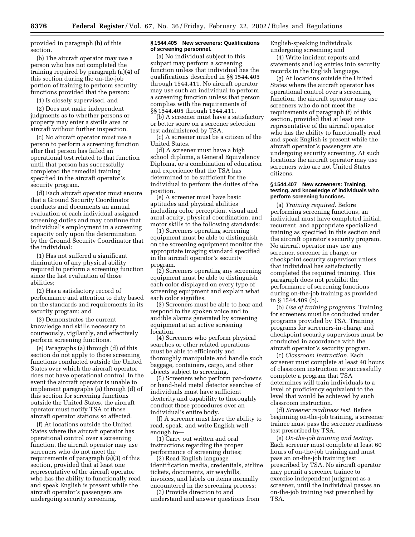provided in paragraph (b) of this section.

(b) The aircraft operator may use a person who has not completed the training required by paragraph (a)(4) of this section during the on-the-job portion of training to perform security functions provided that the person:

(1) Is closely supervised, and

(2) Does not make independent judgments as to whether persons or property may enter a sterile area or aircraft without further inspection.

(c) No aircraft operator must use a person to perform a screening function after that person has failed an operational test related to that function until that person has successfully completed the remedial training specified in the aircraft operator's security program.

(d) Each aircraft operator must ensure that a Ground Security Coordinator conducts and documents an annual evaluation of each individual assigned screening duties and may continue that individual's employment in a screening capacity only upon the determination by the Ground Security Coordinator that the individual:

(1) Has not suffered a significant diminution of any physical ability required to perform a screening function since the last evaluation of those abilities;

(2) Has a satisfactory record of performance and attention to duty based on the standards and requirements in its security program; and

(3) Demonstrates the current knowledge and skills necessary to courteously, vigilantly, and effectively perform screening functions.

(e) Paragraphs (a) through (d) of this section do not apply to those screening functions conducted outside the United States over which the aircraft operator does not have operational control. In the event the aircraft operator is unable to implement paragraphs (a) through (d) of this section for screening functions outside the United States, the aircraft operator must notify TSA of those aircraft operator stations so affected.

(f) At locations outside the United States where the aircraft operator has operational control over a screening function, the aircraft operator may use screeners who do not meet the requirements of paragraph (a)(3) of this section, provided that at least one representative of the aircraft operator who has the ability to functionally read and speak English is present while the aircraft operator's passengers are undergoing security screening.

## **§ 1544.405 New screeners: Qualifications of screening personnel.**

(a) No individual subject to this subpart may perform a screening function unless that individual has the qualifications described in §§ 1544.405 through 1544.411. No aircraft operator may use such an individual to perform a screening function unless that person complies with the requirements of §§ 1544.405 through 1544.411.

(b) A screener must have a satisfactory or better score on a screener selection test administered by TSA.

(c) A screener must be a citizen of the United States.

(d) A screener must have a high school diploma, a General Equivalency Diploma, or a combination of education and experience that the TSA has determined to be sufficient for the individual to perform the duties of the position.

(e) A screener must have basic aptitudes and physical abilities including color perception, visual and aural acuity, physical coordination, and motor skills to the following standards:

(1) Screeners operating screening equipment must be able to distinguish on the screening equipment monitor the appropriate imaging standard specified in the aircraft operator's security program.

(2) Screeners operating any screening equipment must be able to distinguish each color displayed on every type of screening equipment and explain what each color signifies.

(3) Screeners must be able to hear and respond to the spoken voice and to audible alarms generated by screening equipment at an active screening location.

(4) Screeners who perform physical searches or other related operations must be able to efficiently and thoroughly manipulate and handle such baggage, containers, cargo, and other objects subject to screening.

(5) Screeners who perform pat-downs or hand-held metal detector searches of individuals must have sufficient dexterity and capability to thoroughly conduct those procedures over an individual's entire body.

(f) A screener must have the ability to read, speak, and write English well enough to—

(1) Carry out written and oral instructions regarding the proper performance of screening duties;

(2) Read English language identification media, credentials, airline tickets, documents, air waybills, invoices, and labels on items normally encountered in the screening process;

(3) Provide direction to and understand and answer questions from English-speaking individuals undergoing screening; and

(4) Write incident reports and statements and log entries into security records in the English language.

(g) At locations outside the United States where the aircraft operator has operational control over a screening function, the aircraft operator may use screeners who do not meet the requirements of paragraph (f) of this section, provided that at least one representative of the aircraft operator who has the ability to functionally read and speak English is present while the aircraft operator's passengers are undergoing security screening. At such locations the aircraft operator may use screeners who are not United States citizens.

## **§ 1544.407 New screeners: Training, testing, and knowledge of individuals who perform screening functions.**

(a) *Training required.* Before performing screening functions, an individual must have completed initial, recurrent, and appropriate specialized training as specified in this section and the aircraft operator's security program. No aircraft operator may use any screener, screener in charge, or checkpoint security supervisor unless that individual has satisfactorily completed the required training. This paragraph does not prohibit the performance of screening functions during on-the-job training as provided in § 1544.409 (b).

(b) *Use of training programs.* Training for screeners must be conducted under programs provided by TSA. Training programs for screeners-in-charge and checkpoint security supervisors must be conducted in accordance with the aircraft operator's security program.

(c) *Classroom instruction.* Each screener must complete at least 40 hours of classroom instruction or successfully complete a program that TSA determines will train individuals to a level of proficiency equivalent to the level that would be achieved by such classroom instruction.

(d) *Screener readiness test.* Before beginning on-the-job training, a screener trainee must pass the screener readiness test prescribed by TSA.

(e) *On-the-job training and testing.* Each screener must complete at least 60 hours of on-the-job training and must pass an on-the-job training test prescribed by TSA. No aircraft operator may permit a screener trainee to exercise independent judgment as a screener, until the individual passes an on-the-job training test prescribed by TSA.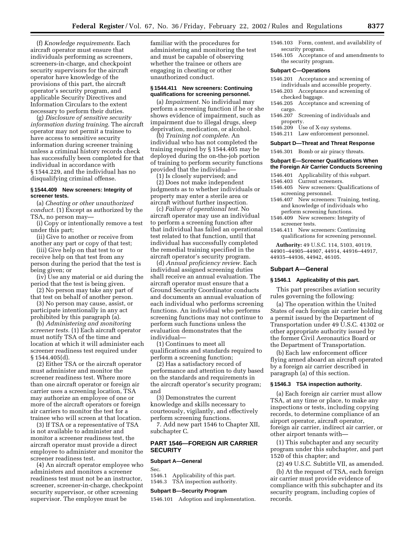(f) *Knowledge requirements.* Each aircraft operator must ensure that individuals performing as screeners, screeners-in-charge, and checkpoint security supervisors for the aircraft operator have knowledge of the provisions of this part, the aircraft operator's security program, and applicable Security Directives and Information Circulars to the extent necessary to perform their duties.

(g) *Disclosure of sensitive security information during training.* The aircraft operator may not permit a trainee to have access to sensitive security information during screener training unless a criminal history records check has successfully been completed for that individual in accordance with § 1544.229, and the individual has no disqualifying criminal offense.

## **§ 1544.409 New screeners: Integrity of screener tests.**

(a) *Cheating or other unauthorized conduct.* (1) Except as authorized by the TSA, no person may—

(i) Copy or intentionally remove a test under this part;

(ii) Give to another or receive from another any part or copy of that test;

(iii) Give help on that test to or receive help on that test from any person during the period that the test is being given; or

(iv) Use any material or aid during the period that the test is being given.

(2) No person may take any part of that test on behalf of another person.

(3) No person may cause, assist, or participate intentionally in any act prohibited by this paragraph (a).

(b) *Administering and monitoring screener tests.* (1) Each aircraft operator must notify TSA of the time and location at which it will administer each screener readiness test required under § 1544.405(d).

(2) Either TSA or the aircraft operator must administer and monitor the screener readiness test. Where more than one aircraft operator or foreign air carrier uses a screening location, TSA may authorize an employee of one or more of the aircraft operators or foreign air carriers to monitor the test for a trainee who will screen at that location.

(3) If TSA or a representative of TSA is not available to administer and monitor a screener readiness test, the aircraft operator must provide a direct employee to administer and monitor the screener readiness test.

(4) An aircraft operator employee who administers and monitors a screener readiness test must not be an instructor, screener, screener-in-charge, checkpoint security supervisor, or other screening supervisor. The employee must be

familiar with the procedures for administering and monitoring the test and must be capable of observing whether the trainee or others are engaging in cheating or other unauthorized conduct.

## **§ 1544.411 New screeners: Continuing qualifications for screening personnel.**

(a) *Impairment.* No individual may perform a screening function if he or she shows evidence of impairment, such as impairment due to illegal drugs, sleep deprivation, medication, or alcohol.

(b) *Training not complete.* An individual who has not completed the training required by § 1544.405 may be deployed during the on-the-job portion of training to perform security functions provided that the individual—

(1) Is closely supervised; and

(2) Does not make independent judgments as to whether individuals or property may enter a sterile area or aircraft without further inspection.

(c) *Failure of operational test.* No aircraft operator may use an individual to perform a screening function after that individual has failed an operational test related to that function, until that individual has successfully completed the remedial training specified in the aircraft operator's security program.

(d) *Annual proficiency review.* Each individual assigned screening duties shall receive an annual evaluation. The aircraft operator must ensure that a Ground Security Coordinator conducts and documents an annual evaluation of each individual who performs screening functions. An individual who performs screening functions may not continue to perform such functions unless the evaluation demonstrates that the individual—

(1) Continues to meet all qualifications and standards required to perform a screening function;

(2) Has a satisfactory record of performance and attention to duty based on the standards and requirements in the aircraft operator's security program; and

(3) Demonstrates the current knowledge and skills necessary to courteously, vigilantly, and effectively perform screening functions.

7. Add new part 1546 to Chapter XII, subchapter C.

## **PART 1546—FOREIGN AIR CARRIER SECURITY**

## **Subpart A—General**

Sec.

1546.1 Applicability of this part. 1546.3 TSA inspection authority.

## **Subpart B—Security Program**

1546.101 Adoption and implementation.

- 1546.103 Form, content, and availability of security program.
- 1546.105 Acceptance of and amendments to the security program.

#### **Subpart C—Operations**

- 1546.201 Acceptance and screening of individuals and accessible property.
- 1546.203 Acceptance and screening of checked baggage.
- 1546.205 Acceptance and screening of cargo.
- 1546.207 Screening of individuals and property.
- 1546.209 Use of X-ray systems.
- 1546.211 Law enforcement personnel.

#### **Subpart D—Threat and Threat Response**

1546.301 Bomb or air piracy threats.

## **Subpart E—Screener Qualifications When the Foreign Air Carrier Conducts Screening**

- 1546.401 Applicability of this subpart.
- 1546.403 Current screeners.
- 1546.405 New screeners: Qualifications of screening personnel.
- 1546.407 New screeners: Training, testing, and knowledge of individuals who perform screening functions.
- 1546.409 New screeners: Integrity of screener tests.
- 1546.411 New screeners: Continuing qualifications for screening personnel.

**Authority:** 49 U.S.C. 114, 5103, 40119, 44901–44905–44907, 44914, 44916–44917, 44935–44936, 44942, 46105.

## **Subpart A—General**

#### **§ 1546.1 Applicability of this part.**

This part prescribes aviation security rules governing the following:

(a) The operation within the United States of each foreign air carrier holding a permit issued by the Department of Transportation under 49 U.S.C. 41302 or other appropriate authority issued by the former Civil Aeronautics Board or the Department of Transportation.

(b) Each law enforcement officer flying armed aboard an aircraft operated by a foreign air carrier described in paragraph (a) of this section.

## **§ 1546.3 TSA inspection authority.**

(a) Each foreign air carrier must allow TSA, at any time or place, to make any inspections or tests, including copying records, to determine compliance of an airport operator, aircraft operator, foreign air carrier, indirect air carrier, or other airport tenants with—

(1) This subchapter and any security program under this subchapter, and part 1520 of this chapter; and

(2) 49 U.S.C. Subtitle VII, as amended.

(b) At the request of TSA, each foreign air carrier must provide evidence of compliance with this subchapter and its security program, including copies of records.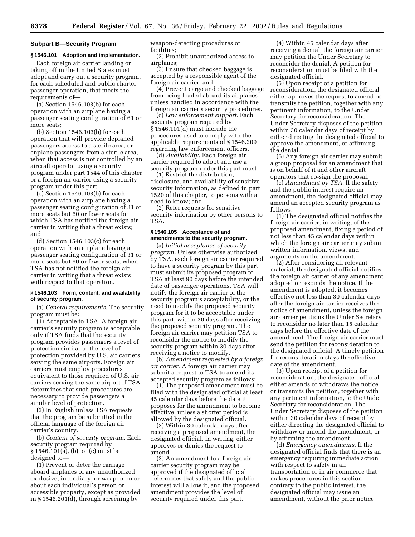## **Subpart B—Security Program**

## **§ 1546.101 Adoption and implementation.**

Each foreign air carrier landing or taking off in the United States must adopt and carry out a security program, for each scheduled and public charter passenger operation, that meets the requirements of—

(a) Section 1546.103(b) for each operation with an airplane having a passenger seating configuration of 61 or more seats;

(b) Section 1546.103(b) for each operation that will provide deplaned passengers access to a sterile area, or enplane passengers from a sterile area, when that access is not controlled by an aircraft operator using a security program under part 1544 of this chapter or a foreign air carrier using a security program under this part;

(c) Section 1546.103(b) for each operation with an airplane having a passenger seating configuration of 31 or more seats but 60 or fewer seats for which TSA has notified the foreign air carrier in writing that a threat exists; and

(d) Section 1546.103(c) for each operation with an airplane having a passenger seating configuration of 31 or more seats but 60 or fewer seats, when TSA has not notified the foreign air carrier in writing that a threat exists with respect to that operation.

#### **§ 1546.103 Form, content, and availability of security program.**

(a) *General requirements.* The security program must be:

(1) Acceptable to TSA. A foreign air carrier's security program is acceptable only if TSA finds that the security program provides passengers a level of protection similar to the level of protection provided by U.S. air carriers serving the same airports. Foreign air carriers must employ procedures equivalent to those required of U.S. air carriers serving the same airport if TSA determines that such procedures are necessary to provide passengers a similar level of protection.

(2) In English unless TSA requests that the program be submitted in the official language of the foreign air carrier's country.

(b) *Content of security program.* Each security program required by § 1546.101(a), (b), or (c) must be designed to—

(1) Prevent or deter the carriage aboard airplanes of any unauthorized explosive, incendiary, or weapon on or about each individual's person or accessible property, except as provided in § 1546.201(d), through screening by

weapon-detecting procedures or facilities;

(2) Prohibit unauthorized access to airplanes;

(3) Ensure that checked baggage is accepted by a responsible agent of the foreign air carrier; and

(4) Prevent cargo and checked baggage from being loaded aboard its airplanes unless handled in accordance with the foreign air carrier's security procedures.

(c) *Law enforcement support.* Each security program required by § 1546.101(d) must include the procedures used to comply with the applicable requirements of § 1546.209 regarding law enforcement officers.

(d) *Availability.* Each foreign air carrier required to adopt and use a security program under this part must—

(1) Restrict the distribution, disclosure, and availability of sensitive security information, as defined in part 1520 of this chapter, to persons with a need to know; and

(2) Refer requests for sensitive security information by other persons to TSA.

## **§ 1546.105 Acceptance of and amendments to the security program.**

(a) *Initial acceptance of security program.* Unless otherwise authorized by TSA, each foreign air carrier required to have a security program by this part must submit its proposed program to TSA at least 90 days before the intended date of passenger operations. TSA will notify the foreign air carrier of the security program's acceptability, or the need to modify the proposed security program for it to be acceptable under this part, within 30 days after receiving the proposed security program. The foreign air carrier may petition TSA to reconsider the notice to modify the security program within 30 days after receiving a notice to modify.

(b) *Amendment requested by a foreign air carrier.* A foreign air carrier may submit a request to TSA to amend its accepted security program as follows:

(1) The proposed amendment must be filed with the designated official at least 45 calendar days before the date it proposes for the amendment to become effective, unless a shorter period is allowed by the designated official.

(2) Within 30 calendar days after receiving a proposed amendment, the designated official, in writing, either approves or denies the request to amend.

(3) An amendment to a foreign air carrier security program may be approved if the designated official determines that safety and the public interest will allow it, and the proposed amendment provides the level of security required under this part.

(4) Within 45 calendar days after receiving a denial, the foreign air carrier may petition the Under Secretary to reconsider the denial. A petition for reconsideration must be filed with the designated official.

(5) Upon receipt of a petition for reconsideration, the designated official either approves the request to amend or transmits the petition, together with any pertinent information, to the Under Secretary for reconsideration. The Under Secretary disposes of the petition within 30 calendar days of receipt by either directing the designated official to approve the amendment, or affirming the denial.

(6) Any foreign air carrier may submit a group proposal for an amendment that is on behalf of it and other aircraft operators that co-sign the proposal.

(c) *Amendment by TSA.* If the safety and the public interest require an amendment, the designated official may amend an accepted security program as follows:

(1) The designated official notifies the foreign air carrier, in writing, of the proposed amendment, fixing a period of not less than 45 calendar days within which the foreign air carrier may submit written information, views, and arguments on the amendment.

(2) After considering all relevant material, the designated official notifies the foreign air carrier of any amendment adopted or rescinds the notice. If the amendment is adopted, it becomes effective not less than 30 calendar days after the foreign air carrier receives the notice of amendment, unless the foreign air carrier petitions the Under Secretary to reconsider no later than 15 calendar days before the effective date of the amendment. The foreign air carrier must send the petition for reconsideration to the designated official. A timely petition for reconsideration stays the effective date of the amendment.

(3) Upon receipt of a petition for reconsideration, the designated official either amends or withdraws the notice or transmits the petition, together with any pertinent information, to the Under Secretary for reconsideration. The Under Secretary disposes of the petition within 30 calendar days of receipt by either directing the designated official to withdraw or amend the amendment, or by affirming the amendment.

(d) *Emergency amendments.* If the designated official finds that there is an emergency requiring immediate action with respect to safety in air transportation or in air commerce that makes procedures in this section contrary to the public interest, the designated official may issue an amendment, without the prior notice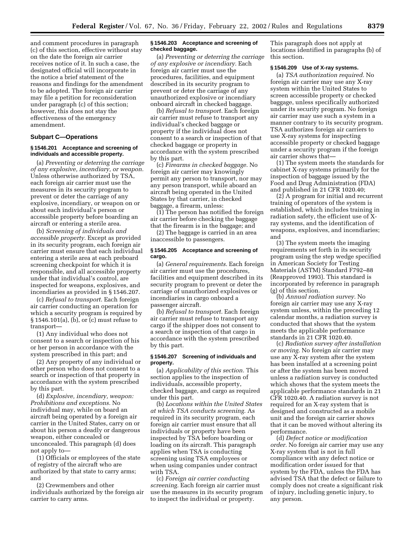and comment procedures in paragraph (c) of this section, effective without stay on the date the foreign air carrier receives notice of it. In such a case, the designated official will incorporate in the notice a brief statement of the reasons and findings for the amendment to be adopted. The foreign air carrier may file a petition for reconsideration under paragraph (c) of this section; however, this does not stay the effectiveness of the emergency amendment.

## **Subpart C—Operations**

## **§ 1546.201 Acceptance and screening of individuals and accessible property.**

(a) *Preventing or deterring the carriage of any explosive, incendiary, or weapon.* Unless otherwise authorized by TSA, each foreign air carrier must use the measures in its security program to prevent or deter the carriage of any explosive, incendiary, or weapon on or about each individual's person or accessible property before boarding an aircraft or entering a sterile area.

(b) *Screening of individuals and accessible property.* Except as provided in its security program, each foreign air carrier must ensure that each individual entering a sterile area at each preboard screening checkpoint for which it is responsible, and all accessible property under that individual's control, are inspected for weapons, explosives, and incendiaries as provided in § 1546.207.

(c) *Refusal to transport.* Each foreign air carrier conducting an operation for which a security program is required by § 1546.101(a), (b), or (c) must refuse to transport—

(1) Any individual who does not consent to a search or inspection of his or her person in accordance with the system prescribed in this part; and

(2) Any property of any individual or other person who does not consent to a search or inspection of that property in accordance with the system prescribed by this part.

(d) *Explosive, incendiary, weapon: Prohibitions and exceptions.* No individual may, while on board an aircraft being operated by a foreign air carrier in the United States, carry on or about his person a deadly or dangerous weapon, either concealed or unconcealed. This paragraph (d) does not apply to—

(1) Officials or employees of the state of registry of the aircraft who are authorized by that state to carry arms; and

(2) Crewmembers and other individuals authorized by the foreign air carrier to carry arms.

## **§ 1546.203 Acceptance and screening of checked baggage.**

(a) *Preventing or deterring the carriage of any explosive or incendiary.* Each foreign air carrier must use the procedures, facilities, and equipment described in its security program to prevent or deter the carriage of any unauthorized explosive or incendiary onboard aircraft in checked baggage.

(b) *Refusal to transport.* Each foreign air carrier must refuse to transport any individual's checked baggage or property if the individual does not consent to a search or inspection of that checked baggage or property in accordance with the system prescribed by this part.

(c) *Firearms in checked baggage.* No foreign air carrier may knowingly permit any person to transport, nor may any person transport, while aboard an aircraft being operated in the United States by that carrier, in checked baggage, a firearm, unless:

(1) The person has notified the foreign air carrier before checking the baggage that the firearm is in the baggage; and

(2) The baggage is carried in an area inaccessible to passengers.

## **§ 1546.205 Acceptance and screening of cargo.**

(a) *General requirements.* Each foreign air carrier must use the procedures, facilities and equipment described in its security program to prevent or deter the carriage of unauthorized explosives or incendiaries in cargo onboard a passenger aircraft.

(b) *Refusal to transport.* Each foreign air carrier must refuse to transport any cargo if the shipper does not consent to a search or inspection of that cargo in accordance with the system prescribed by this part.

## **§ 1546.207 Screening of individuals and property.**

(a) *Applicability of this section.* This section applies to the inspection of individuals, accessible property, checked baggage, and cargo as required under this part.

(b) *Locations within the United States at which TSA conducts screening.* As required in its security program, each foreign air carrier must ensure that all individuals or property have been inspected by TSA before boarding or loading on its aircraft. This paragraph applies when TSA is conducting screening using TSA employees or when using companies under contract with TSA.

(c) *Foreign air carrier conducting screening.* Each foreign air carrier must use the measures in its security program to inspect the individual or property.

This paragraph does not apply at locations identified in paragraphs (b) of this section.

## **§ 1546.209 Use of X-ray systems.**

(a) *TSA authorization required.* No foreign air carrier may use any X-ray system within the United States to screen accessible property or checked baggage, unless specifically authorized under its security program. No foreign air carrier may use such a system in a manner contrary to its security program. TSA authorizes foreign air carriers to use X-ray systems for inspecting accessible property or checked baggage under a security program if the foreign air carrier shows that—

(1) The system meets the standards for cabinet X-ray systems primarily for the inspection of baggage issued by the Food and Drug Administration (FDA) and published in 21 CFR 1020.40;

(2) A program for initial and recurrent training of operators of the system is established, which includes training in radiation safety, the efficient use of Xray systems, and the identification of weapons, explosives, and incendiaries; and

(3) The system meets the imaging requirements set forth in its security program using the step wedge specified in American Society for Testing Materials (ASTM) Standard F792–88 (Reapproved 1993). This standard is incorporated by reference in paragraph (g) of this section.

(b) *Annual radiation survey.* No foreign air carrier may use any X-ray system unless, within the preceding 12 calendar months, a radiation survey is conducted that shows that the system meets the applicable performance standards in 21 CFR 1020.40.

(c) *Radiation survey after installation or moving.* No foreign air carrier may use any X-ray system after the system has been installed at a screening point or after the system has been moved unless a radiation survey is conducted which shows that the system meets the applicable performance standards in 21 CFR 1020.40. A radiation survey is not required for an X-ray system that is designed and constructed as a mobile unit and the foreign air carrier shows that it can be moved without altering its performance.

(d) *Defect notice or modification order.* No foreign air carrier may use any X-ray system that is not in full compliance with any defect notice or modification order issued for that system by the FDA, unless the FDA has advised TSA that the defect or failure to comply does not create a significant risk of injury, including genetic injury, to any person.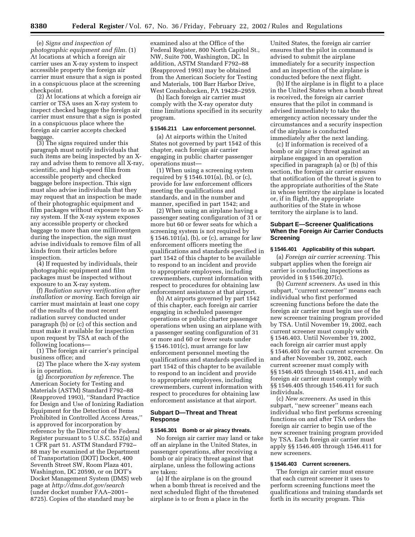(e) *Signs and inspection of photographic equipment and film.* (1) At locations at which a foreign air carrier uses an X-ray system to inspect accessible property the foreign air carrier must ensure that a sign is posted in a conspicuous place at the screening checkpoint.

(2) At locations at which a foreign air carrier or TSA uses an X-ray system to inspect checked baggage the foreign air carrier must ensure that a sign is posted in a conspicuous place where the foreign air carrier accepts checked baggage.

(3) The signs required under this paragraph must notify individuals that such items are being inspected by an Xray and advise them to remove all X-ray, scientific, and high-speed film from accessible property and checked baggage before inspection. This sign must also advise individuals that they may request that an inspection be made of their photographic equipment and film packages without exposure to an Xray system. If the X-ray system exposes any accessible property or checked baggage to more than one milliroentgen during the inspection, the sign must advise individuals to remove film of all kinds from their articles before inspection.

(4) If requested by individuals, their photographic equipment and film packages must be inspected without exposure to an X-ray system.

(f) *Radiation survey verification after installation or moving.* Each foreign air carrier must maintain at least one copy of the results of the most recent radiation survey conducted under paragraph (b) or (c) of this section and must make it available for inspection upon request by TSA at each of the following locations—

(1) The foreign air carrier's principal business office; and

(2) The place where the X-ray system is in operation.

(g) *Incorporation by reference.* The American Society for Testing and Materials (ASTM) Standard F792–88 (Reapproved 1993), ''Standard Practice for Design and Use of Ionizing Radiation Equipment for the Detection of Items Prohibited in Controlled Access Areas,'' is approved for incorporation by reference by the Director of the Federal Register pursuant to 5 U.S.C. 552(a) and 1 CFR part 51. ASTM Standard F792– 88 may be examined at the Department of Transportation (DOT) Docket, 400 Seventh Street SW, Room Plaza 401, Washington, DC 20590, or on DOT's Docket Management System (DMS) web page at *http://dms.dot.gov/search* (under docket number FAA–2001– 8725). Copies of the standard may be

examined also at the Office of the Federal Register, 800 North Capitol St., NW, Suite 700, Washington, DC. In addition, ASTM Standard F792–88 (Reapproved 1993) may be obtained from the American Society for Testing and Materials, 100 Barr Harbor Drive, West Conshohocken, PA 19428–2959.

(h) Each foreign air carrier must comply with the X-ray operator duty time limitations specified in its security program.

#### **§ 1546.211 Law enforcement personnel.**

(a) At airports within the United States not governed by part 1542 of this chapter, each foreign air carrier engaging in public charter passenger operations must—

(1) When using a screening system required by § 1546.101(a), (b), or (c), provide for law enforcement officers meeting the qualifications and standards, and in the number and manner, specified in part 1542; and

(2) When using an airplane having a passenger seating configuration of 31 or more but 60 or fewer seats for which a screening system is not required by § 1546.101(a), (b), or (c), arrange for law enforcement officers meeting the qualifications and standards specified in part 1542 of this chapter to be available to respond to an incident and provide to appropriate employees, including crewmembers, current information with respect to procedures for obtaining law enforcement assistance at that airport.

(b) At airports governed by part 1542 of this chapter, each foreign air carrier engaging in scheduled passenger operations or public charter passenger operations when using an airplane with a passenger seating configuration of 31 or more and 60 or fewer seats under § 1546.101(c), must arrange for law enforcement personnel meeting the qualifications and standards specified in part 1542 of this chapter to be available to respond to an incident and provide to appropriate employees, including crewmembers, current information with respect to procedures for obtaining law enforcement assistance at that airport.

## **Subpart D—Threat and Threat Response**

#### **§ 1546.301 Bomb or air piracy threats.**

No foreign air carrier may land or take off an airplane in the United States, in passenger operations, after receiving a bomb or air piracy threat against that airplane, unless the following actions are taken:

(a) If the airplane is on the ground when a bomb threat is received and the next scheduled flight of the threatened airplane is to or from a place in the

United States, the foreign air carrier ensures that the pilot in command is advised to submit the airplane immediately for a security inspection and an inspection of the airplane is conducted before the next flight.

(b) If the airplane is in flight to a place in the United States when a bomb threat is received, the foreign air carrier ensures that the pilot in command is advised immediately to take the emergency action necessary under the circumstances and a security inspection of the airplane is conducted immediately after the next landing.

(c) If information is received of a bomb or air piracy threat against an airplane engaged in an operation specified in paragraph (a) or (b) of this section, the foreign air carrier ensures that notification of the threat is given to the appropriate authorities of the State in whose territory the airplane is located or, if in flight, the appropriate authorities of the State in whose territory the airplane is to land.

## **Subpart E—Screener Qualifications When the Foreign Air Carrier Conducts Screening**

## **§ 1546.401 Applicability of this subpart.**

(a) *Foreign air carrier screening.* This subpart applies when the foreign air carrier is conducting inspections as provided in  $\S 1546.207(c)$ .

(b) *Current screeners.* As used in this subpart, ''current screener'' means each individual who first performed screening functions before the date the foreign air carrier must begin use of the new screener training program provided by TSA. Until November 19, 2002, each current screener must comply with § 1546.403. Until November 19, 2002, each foreign air carrier must apply § 1546.403 for each current screener. On and after November 19, 2002, each current screener must comply with §§ 1546.405 through 1546.411, and each foreign air carrier must comply with §§ 1546.405 through 1546.411 for such individuals.

(c) *New screeners.* As used in this subpart, ''new screener'' means each individual who first performs screening functions on and after TSA orders the foreign air carrier to begin use of the new screener training program provided by TSA. Each foreign air carrier must apply §§ 1546.405 through 1546.411 for new screeners.

## **§ 1546.403 Current screeners.**

The foreign air carrier must ensure that each current screener it uses to perform screening functions meet the qualifications and training standards set forth in its security program. This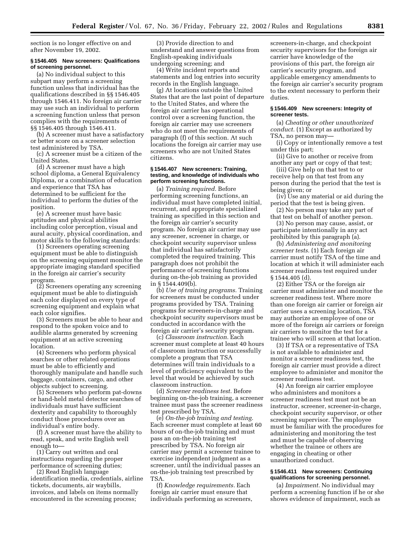section is no longer effective on and after November 19, 2002.

## **§ 1546.405 New screeners: Qualifications of screening personnel.**

(a) No individual subject to this subpart may perform a screening function unless that individual has the qualifications described in §§ 1546.405 through 1546.411. No foreign air carrier may use such an individual to perform a screening function unless that person complies with the requirements of §§ 1546.405 through 1546.411.

(b) A screener must have a satisfactory or better score on a screener selection test administered by TSA.

(c) A screener must be a citizen of the United States.

(d) A screener must have a high school diploma, a General Equivalency Diploma, or a combination of education and experience that TSA has determined to be sufficient for the individual to perform the duties of the position.

(e) A screener must have basic aptitudes and physical abilities including color perception, visual and aural acuity, physical coordination, and motor skills to the following standards:

(1) Screeners operating screening equipment must be able to distinguish on the screening equipment monitor the appropriate imaging standard specified in the foreign air carrier's security program.

(2) Screeners operating any screening equipment must be able to distinguish each color displayed on every type of screening equipment and explain what each color signifies.

(3) Screeners must be able to hear and respond to the spoken voice and to audible alarms generated by screening equipment at an active screening location.

(4) Screeners who perform physical searches or other related operations must be able to efficiently and thoroughly manipulate and handle such baggage, containers, cargo, and other objects subject to screening.

(5) Screeners who perform pat-downs or hand-held metal detector searches of individuals must have sufficient dexterity and capability to thoroughly conduct those procedures over an individual's entire body.

(f) A screener must have the ability to read, speak, and write English well enough to—

(1) Carry out written and oral instructions regarding the proper performance of screening duties;

(2) Read English language identification media, credentials, airline tickets, documents, air waybills, invoices, and labels on items normally encountered in the screening process;

(3) Provide direction to and understand and answer questions from English-speaking individuals undergoing screening; and

(4) Write incident reports and statements and log entries into security records in the English language.

(g) At locations outside the United States that are the last point of departure to the United States, and where the foreign air carrier has operational control over a screening function, the foreign air carrier may use screeners who do not meet the requirements of paragraph (f) of this section. At such locations the foreign air carrier may use screeners who are not United States citizens.

## **§ 1546.407 New screeners: Training, testing, and knowledge of individuals who perform screening functions.**

(a) *Training required.* Before performing screening functions, an individual must have completed initial, recurrent, and appropriate specialized training as specified in this section and the foreign air carrier's security program. No foreign air carrier may use any screener, screener in charge, or checkpoint security supervisor unless that individual has satisfactorily completed the required training. This paragraph does not prohibit the performance of screening functions during on-the-job training as provided in § 1544.409(b).

(b) *Use of training programs.* Training for screeners must be conducted under programs provided by TSA. Training programs for screeners-in-charge and checkpoint security supervisors must be conducted in accordance with the foreign air carrier's security program.

(c) *Classroom instruction.* Each screener must complete at least 40 hours of classroom instruction or successfully complete a program that TSA determines will train individuals to a level of proficiency equivalent to the level that would be achieved by such classroom instruction.

(d) *Screener readiness test.* Before beginning on-the-job training, a screener trainee must pass the screener readiness test prescribed by TSA.

(e) *On-the-job training and testing.* Each screener must complete at least 60 hours of on-the-job training and must pass an on-the-job training test prescribed by TSA. No foreign air carrier may permit a screener trainee to exercise independent judgment as a screener, until the individual passes an on-the-job training test prescribed by TSA.

(f) *Knowledge requirements.* Each foreign air carrier must ensure that individuals performing as screeners,

screeners-in-charge, and checkpoint security supervisors for the foreign air carrier have knowledge of the provisions of this part, the foreign air carrier's security program, and applicable emergency amendments to the foreign air carrier's security program to the extent necessary to perform their duties.

## **§ 1546.409 New screeners: Integrity of screener tests.**

(a) *Cheating or other unauthorized conduct.* (1) Except as authorized by TSA, no person may—

(i) Copy or intentionally remove a test under this part;

(ii) Give to another or receive from another any part or copy of that test;

(iii) Give help on that test to or receive help on that test from any person during the period that the test is being given; or

(iv) Use any material or aid during the period that the test is being given.

(2) No person may take any part of that test on behalf of another person.

(3) No person may cause, assist, or participate intentionally in any act prohibited by this paragraph (a).

(b) *Administering and monitoring screener tests.* (1) Each foreign air carrier must notify TSA of the time and location at which it will administer each screener readiness test required under § 1544.405 (d).

(2) Either TSA or the foreign air carrier must administer and monitor the screener readiness test. Where more than one foreign air carrier or foreign air carrier uses a screening location, TSA may authorize an employee of one or more of the foreign air carriers or foreign air carriers to monitor the test for a trainee who will screen at that location.

(3) If TSA or a representative of TSA is not available to administer and monitor a screener readiness test, the foreign air carrier must provide a direct employee to administer and monitor the screener readiness test.

(4) An foreign air carrier employee who administers and monitors a screener readiness test must not be an instructor, screener, screener-in-charge, checkpoint security supervisor, or other screening supervisor. The employee must be familiar with the procedures for administering and monitoring the test and must be capable of observing whether the trainee or others are engaging in cheating or other unauthorized conduct.

## **§ 1546.411 New screeners: Continuing qualifications for screening personnel.**

(a) *Impairment.* No individual may perform a screening function if he or she shows evidence of impairment, such as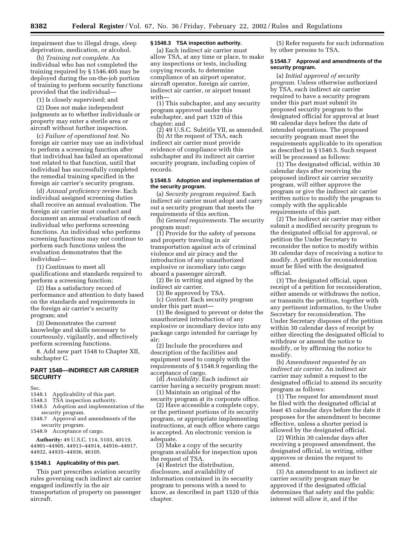impairment due to illegal drugs, sleep deprivation, medication, or alcohol.

(b) *Training not complete.* An individual who has not completed the training required by § 1546.405 may be deployed during the on-the-job portion of training to perform security functions provided that the individual—

(1) Is closely supervised; and

(2) Does not make independent judgments as to whether individuals or property may enter a sterile area or aircraft without further inspection.

(c) *Failure of operational test.* No foreign air carrier may use an individual to perform a screening function after that individual has failed an operational test related to that function, until that individual has successfully completed the remedial training specified in the foreign air carrier's security program.

(d) *Annual proficiency review.* Each individual assigned screening duties shall receive an annual evaluation. The foreign air carrier must conduct and document an annual evaluation of each individual who performs screening functions. An individual who performs screening functions may not continue to perform such functions unless the evaluation demonstrates that the individual—

(1) Continues to meet all qualifications and standards required to perform a screening function;

(2) Has a satisfactory record of performance and attention to duty based on the standards and requirements in the foreign air carrier's security program; and

(3) Demonstrates the current knowledge and skills necessary to courteously, vigilantly, and effectively perform screening functions.

8. Add new part 1548 to Chapter XII, subchapter C.

## **PART 1548—INDIRECT AIR CARRIER SECURITY**

Sec.

- 1548.1 Applicability of this part.
- 1548.3 TSA inspection authority.
- 1548.5 Adoption and implementation of the security program.
- 1548.7 Approval and amendments of the security program.
- 1548.9 Acceptance of cargo.

**Authority:** 49 U.S.C. 114, 5103, 40119, 44901–44905, 44913–44914, 44916–44917, 44932, 44935–44936, 46105.

#### **§ 1548.1 Applicability of this part.**

This part prescribes aviation security rules governing each indirect air carrier engaged indirectly in the air transportation of property on passenger aircraft.

#### **§ 1548.3 TSA inspection authority.**

(a) Each indirect air carrier must allow TSA, at any time or place, to make any inspections or tests, including copying records, to determine compliance of an airport operator, aircraft operator, foreign air carrier, indirect air carrier, or airport tenant with—

(1) This subchapter, and any security program approved under this subchapter, and part 1520 of this chapter; and

(2) 49 U.S.C. Subtitle VII, as amended. (b) At the request of TSA, each indirect air carrier must provide evidence of compliance with this subchapter and its indirect air carrier security program, including copies of records.

## **§ 1548.5 Adoption and implementation of the security program.**

(a) *Security program required.* Each indirect air carrier must adopt and carry out a security program that meets the requirements of this section.

(b) *General requirements.* The security program must:

(1) Provide for the safety of persons and property traveling in air transportation against acts of criminal violence and air piracy and the introduction of any unauthorized explosive or incendiary into cargo aboard a passenger aircraft.

(2) Be in writing and signed by the indirect air carrier.

(3) Be approved by TSA.

(c) *Content.* Each security program under this part must—

(1) Be designed to prevent or deter the unauthorized introduction of any explosive or incendiary device into any package cargo intended for carriage by air;

(2) Include the procedures and description of the facilities and equipment used to comply with the requirements of § 1548.9 regarding the acceptance of cargo.

(d) *Availability.* Each indirect air carrier having a security program must:

(1) Maintain an original of the security program at its corporate office.

(2) Have accessible a complete copy, or the pertinent portions of its security program, or appropriate implementing instructions, at each office where cargo is accepted. An electronic version is adequate.

(3) Make a copy of the security program available for inspection upon the request of TSA.

(4) Restrict the distribution, disclosure, and availability of information contained in its security program to persons with a need to know, as described in part 1520 of this chapter.

(5) Refer requests for such information by other persons to TSA.

## **§ 1548.7 Approval and amendments of the security program.**

(a) *Initial approval of security program.* Unless otherwise authorized by TSA, each indirect air carrier required to have a security program under this part must submit its proposed security program to the designated official for approval at least 90 calendar days before the date of intended operations. The proposed security program must meet the requirements applicable to its operation as described in § 1540.5. Such request will be processed as follows:

(1) The designated official, within 30 calendar days after receiving the proposed indirect air carrier security program, will either approve the program or give the indirect air carrier written notice to modify the program to comply with the applicable requirements of this part.

(2) The indirect air carrier may either submit a modified security program to the designated official for approval, or petition the Under Secretary to reconsider the notice to modify within 30 calendar days of receiving a notice to modify. A petition for reconsideration must be filed with the designated official.

(3) The designated official, upon receipt of a petition for reconsideration, either amends or withdraws the notice, or transmits the petition, together with any pertinent information, to the Under Secretary for reconsideration. The Under Secretary disposes of the petition within 30 calendar days of receipt by either directing the designated official to withdraw or amend the notice to modify, or by affirming the notice to modify.

(b) *Amendment requested by an indirect air carrier.* An indirect air carrier may submit a request to the designated official to amend its security program as follows:

(1) The request for amendment must be filed with the designated official at least 45 calendar days before the date it proposes for the amendment to become effective, unless a shorter period is allowed by the designated official.

(2) Within 30 calendar days after receiving a proposed amendment, the designated official, in writing, either approves or denies the request to amend.

(3) An amendment to an indirect air carrier security program may be approved if the designated official determines that safety and the public interest will allow it, and if the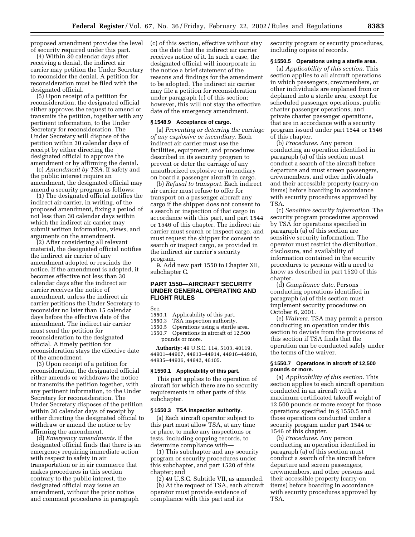proposed amendment provides the level of security required under this part.

(4) Within 30 calendar days after receiving a denial, the indirect air carrier may petition the Under Secretary to reconsider the denial. A petition for reconsideration must be filed with the designated official.

(5) Upon receipt of a petition for reconsideration, the designated official either approves the request to amend or transmits the petition, together with any pertinent information, to the Under Secretary for reconsideration. The Under Secretary will dispose of the petition within 30 calendar days of receipt by either directing the designated official to approve the amendment or by affirming the denial.

(c) *Amendment by TSA.* If safety and the public interest require an amendment, the designated official may amend a security program as follows:

(1) The designated official notifies the indirect air carrier, in writing, of the proposed amendment, fixing a period of not less than 30 calendar days within which the indirect air carrier may submit written information, views, and arguments on the amendment.

(2) After considering all relevant material, the designated official notifies the indirect air carrier of any amendment adopted or rescinds the notice. If the amendment is adopted, it becomes effective not less than 30 calendar days after the indirect air carrier receives the notice of amendment, unless the indirect air carrier petitions the Under Secretary to reconsider no later than 15 calendar days before the effective date of the amendment. The indirect air carrier must send the petition for reconsideration to the designated official. A timely petition for reconsideration stays the effective date of the amendment.

(3) Upon receipt of a petition for reconsideration, the designated official either amends or withdraws the notice or transmits the petition together, with any pertinent information, to the Under Secretary for reconsideration. The Under Secretary disposes of the petition within 30 calendar days of receipt by either directing the designated official to withdraw or amend the notice or by affirming the amendment.

(d) *Emergency amendments.* If the designated official finds that there is an emergency requiring immediate action with respect to safety in air transportation or in air commerce that makes procedures in this section contrary to the public interest, the designated official may issue an amendment, without the prior notice and comment procedures in paragraph

(c) of this section, effective without stay on the date that the indirect air carrier receives notice of it. In such a case, the designated official will incorporate in the notice a brief statement of the reasons and findings for the amendment to be adopted. The indirect air carrier may file a petition for reconsideration under paragraph (c) of this section; however, this will not stay the effective date of the emergency amendment.

#### **§ 1548.9 Acceptance of cargo.**

(a) *Preventing or deterring the carriage of any explosive or incendiary.* Each indirect air carrier must use the facilities, equipment, and procedures described in its security program to prevent or deter the carriage of any unauthorized explosive or incendiary on board a passenger aircraft in cargo.

(b) *Refusal to transport.* Each indirect air carrier must refuse to offer for transport on a passenger aircraft any cargo if the shipper does not consent to a search or inspection of that cargo in accordance with this part, and part 1544 or 1546 of this chapter. The indirect air carrier must search or inspect cargo, and must request the shipper for consent to search or inspect cargo, as provided in the indirect air carrier's security program.

9. Add new part 1550 to Chapter XII, subchapter C.

## **PART 1550—AIRCRAFT SECURITY UNDER GENERAL OPERATING AND FLIGHT RULES**

Sec.

- 1550.1 Applicability of this part.
- 1550.3 TSA inspection authority.
- 1550.5 Operations using a sterile area.

1550.7 Operations in aircraft of 12,500 pounds or more.

**Authority:** 49 U.S.C. 114, 5103, 40119, 44901–44907, 44913–44914, 44916–44918, 44935–44936, 44942, 46105.

## **§ 1550.1 Applicability of this part.**

This part applies to the operation of aircraft for which there are no security requirements in other parts of this subchapter.

## **§ 1550.3 TSA inspection authority.**

(a) Each aircraft operator subject to this part must allow TSA, at any time or place, to make any inspections or tests, including copying records, to determine compliance with—

(1) This subchapter and any security program or security procedures under this subchapter, and part 1520 of this chapter; and

(2) 49 U.S.C. Subtitle VII, as amended. (b) At the request of TSA, each aircraft operator must provide evidence of compliance with this part and its

security program or security procedures, including copies of records.

#### **§ 1550.5 Operations using a sterile area.**

(a) *Applicability of this section.* This section applies to all aircraft operations in which passengers, crewmembers, or other individuals are enplaned from or deplaned into a sterile area, except for scheduled passenger operations, public charter passenger operations, and private charter passenger operations, that are in accordance with a security program issued under part 1544 or 1546 of this chapter.

(b) *Procedures.* Any person conducting an operation identified in paragraph (a) of this section must conduct a search of the aircraft before departure and must screen passengers, crewmembers, and other individuals and their accessible property (carry-on items) before boarding in accordance with security procedures approved by TSA.

(c) *Sensitive security information.* The security program procedures approved by TSA for operations specified in paragraph (a) of this section are sensitive security information. The operator must restrict the distribution, disclosure, and availability of information contained in the security procedures to persons with a need to know as described in part 1520 of this chapter.

(d) *Compliance date.* Persons conducting operations identified in paragraph (a) of this section must implement security procedures on October 6, 2001.

(e) *Waivers.* TSA may permit a person conducting an operation under this section to deviate from the provisions of this section if TSA finds that the operation can be conducted safely under the terms of the waiver.

## **§ 1550.7 Operations in aircraft of 12,500 pounds or more.**

(a) *Applicability of this section.* This section applies to each aircraft operation conducted in an aircraft with a maximum certificated takeoff weight of 12,500 pounds or more except for those operations specified in § 1550.5 and those operations conducted under a security program under part 1544 or 1546 of this chapter.

(b) *Procedures.* Any person conducting an operation identified in paragraph (a) of this section must conduct a search of the aircraft before departure and screen passengers, crewmembers, and other persons and their accessible property (carry-on items) before boarding in accordance with security procedures approved by TSA.